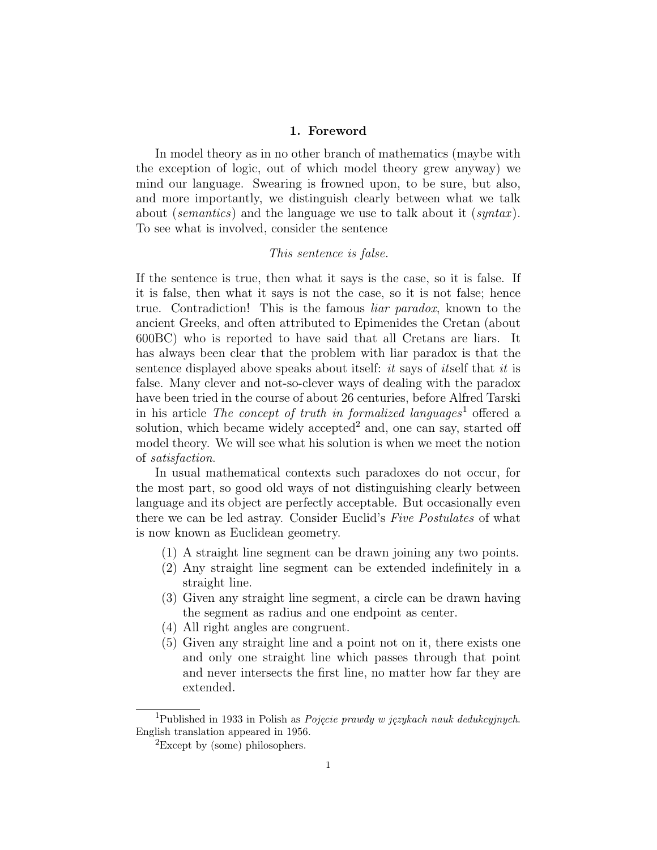#### 1. Foreword

In model theory as in no other branch of mathematics (maybe with the exception of logic, out of which model theory grew anyway) we mind our language. Swearing is frowned upon, to be sure, but also, and more importantly, we distinguish clearly between what we talk about (*semantics*) and the language we use to talk about it (*syntax*). To see what is involved, consider the sentence

## This sentence is false.

If the sentence is true, then what it says is the case, so it is false. If it is false, then what it says is not the case, so it is not false; hence true. Contradiction! This is the famous liar paradox, known to the ancient Greeks, and often attributed to Epimenides the Cretan (about 600BC) who is reported to have said that all Cretans are liars. It has always been clear that the problem with liar paradox is that the sentence displayed above speaks about itself: it says of itself that it is false. Many clever and not-so-clever ways of dealing with the paradox have been tried in the course of about 26 centuries, before Alfred Tarski in his article The concept of truth in formalized languages<sup>1</sup> offered a solution, which became widely accepted<sup>2</sup> and, one can say, started off model theory. We will see what his solution is when we meet the notion of satisfaction.

In usual mathematical contexts such paradoxes do not occur, for the most part, so good old ways of not distinguishing clearly between language and its object are perfectly acceptable. But occasionally even there we can be led astray. Consider Euclid's Five Postulates of what is now known as Euclidean geometry.

- (1) A straight line segment can be drawn joining any two points.
- (2) Any straight line segment can be extended indefinitely in a straight line.
- (3) Given any straight line segment, a circle can be drawn having the segment as radius and one endpoint as center.
- (4) All right angles are congruent.
- (5) Given any straight line and a point not on it, there exists one and only one straight line which passes through that point and never intersects the first line, no matter how far they are extended.

<sup>&</sup>lt;sup>1</sup>Published in 1933 in Polish as *Pojęcie prawdy w językach nauk dedukcyjnych*. English translation appeared in 1956.

 ${}^{2}$ Except by (some) philosophers.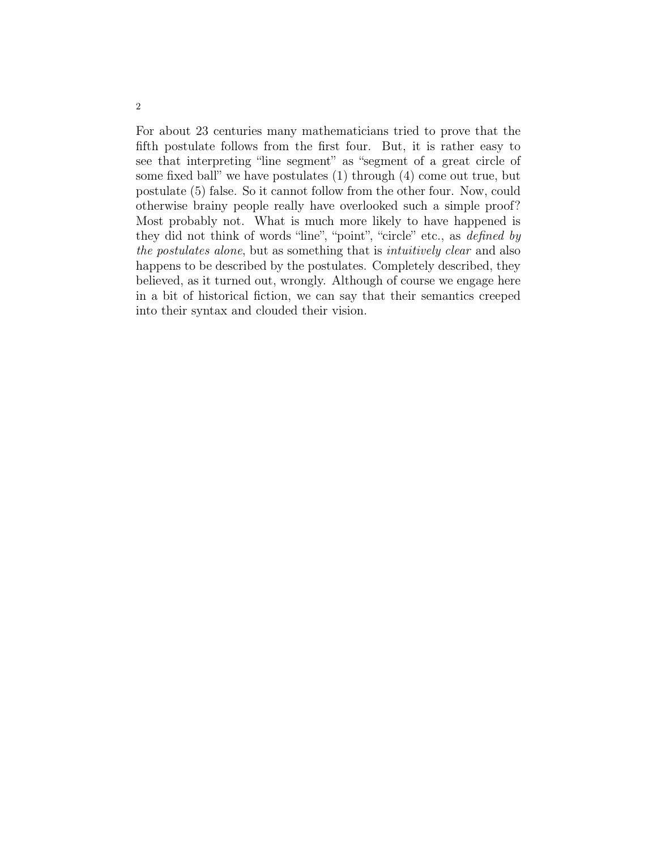For about 23 centuries many mathematicians tried to prove that the fifth postulate follows from the first four. But, it is rather easy to see that interpreting "line segment" as "segment of a great circle of some fixed ball" we have postulates (1) through (4) come out true, but postulate (5) false. So it cannot follow from the other four. Now, could otherwise brainy people really have overlooked such a simple proof? Most probably not. What is much more likely to have happened is they did not think of words "line", "point", "circle" etc., as defined by the postulates alone, but as something that is intuitively clear and also happens to be described by the postulates. Completely described, they believed, as it turned out, wrongly. Although of course we engage here in a bit of historical fiction, we can say that their semantics creeped into their syntax and clouded their vision.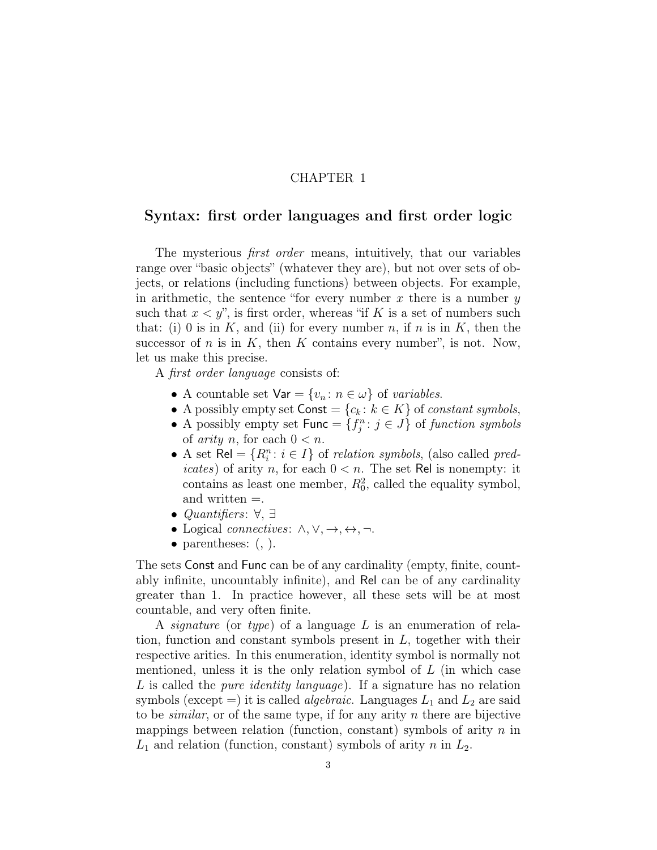## CHAPTER 1

## Syntax: first order languages and first order logic

The mysterious *first order* means, intuitively, that our variables range over "basic objects" (whatever they are), but not over sets of objects, or relations (including functions) between objects. For example, in arithmetic, the sentence "for every number  $x$  there is a number  $y$ such that  $x < y$ ", is first order, whereas "if K is a set of numbers such that: (i) 0 is in  $K$ , and (ii) for every number n, if n is in  $K$ , then the successor of n is in K, then K contains every number", is not. Now, let us make this precise.

A first order language consists of:

- A countable set  $\forall$ ar =  $\{v_n : n \in \omega\}$  of variables.
- A possibly empty set  $\text{Const} = \{c_k : k \in K\}$  of *constant symbols*,
- A possibly empty set  $\mathsf{Func} = \{f_j^n : j \in J\}$  of function symbols of *arity* n, for each  $0 < n$ .
- A set  $\text{Rel} = \{R_i^n : i \in I\}$  of *relation symbols*, (also called *pred*icates) of arity n, for each  $0 < n$ . The set Rel is nonempty: it contains as least one member,  $R_0^2$ , called the equality symbol, and written =.
- Quantifiers:  $\forall, \exists$
- Logical *connectives*:  $\wedge, \vee, \rightarrow, \leftrightarrow, \neg$ .
- parentheses:  $($ ,  $)$ .

The sets Const and Func can be of any cardinality (empty, finite, countably infinite, uncountably infinite), and Rel can be of any cardinality greater than 1. In practice however, all these sets will be at most countable, and very often finite.

A *signature* (or type) of a language L is an enumeration of relation, function and constant symbols present in  $L$ , together with their respective arities. In this enumeration, identity symbol is normally not mentioned, unless it is the only relation symbol of  $L$  (in which case L is called the *pure identity language*). If a signature has no relation symbols (except =) it is called *algebraic*. Languages  $L_1$  and  $L_2$  are said to be *similar*, or of the same type, if for any arity n there are bijective mappings between relation (function, constant) symbols of arity  $n$  in  $L_1$  and relation (function, constant) symbols of arity n in  $L_2$ .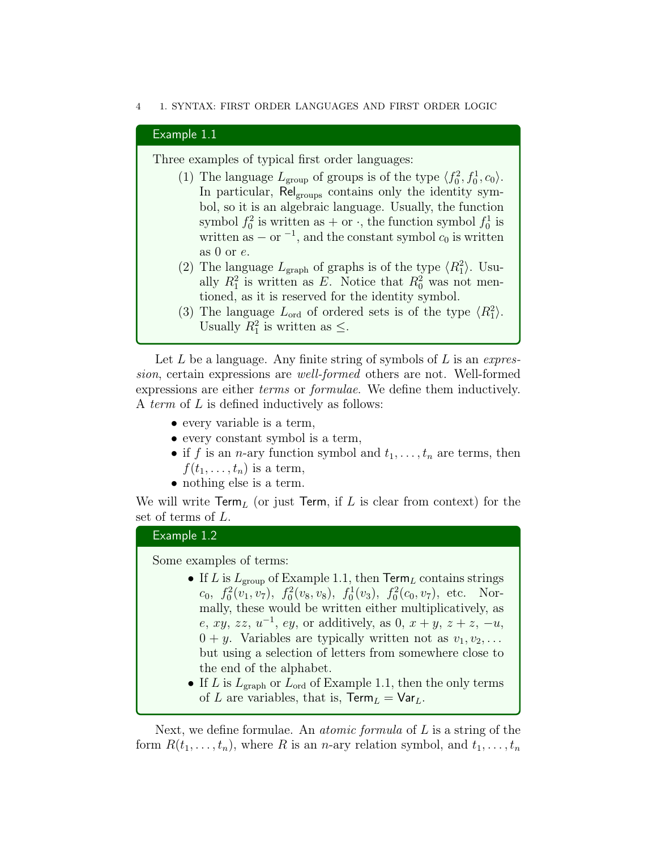#### 4 1. SYNTAX: FIRST ORDER LANGUAGES AND FIRST ORDER LOGIC

#### Example 1.1

Three examples of typical first order languages:

- (1) The language  $L_{\text{group}}$  of groups is of the type  $\langle f_0^2, f_0^1, c_0 \rangle$ . In particular, Rel<sub>groups</sub> contains only the identity symbol, so it is an algebraic language. Usually, the function symbol  $f_0^2$  is written as  $+$  or  $\cdot$ , the function symbol  $f_0^1$  is written as  $-$  or  $^{-1}$ , and the constant symbol  $c_0$  is written as 0 or  $e$ .
- (2) The language  $L_{\text{graph}}$  of graphs is of the type  $\langle R_1^2 \rangle$ . Usually  $R_1^2$  is written as E. Notice that  $R_0^2$  was not mentioned, as it is reserved for the identity symbol.
- (3) The language  $L_{\text{ord}}$  of ordered sets is of the type  $\langle R_1^2 \rangle$ . Usually  $R_1^2$  is written as  $\leq$ .

Let  $L$  be a language. Any finite string of symbols of  $L$  is an expression, certain expressions are well-formed others are not. Well-formed expressions are either terms or formulae. We define them inductively. A term of L is defined inductively as follows:

- every variable is a term,
- every constant symbol is a term,
- if f is an n-ary function symbol and  $t_1, \ldots, t_n$  are terms, then  $f(t_1,\ldots,t_n)$  is a term,
- nothing else is a term.

We will write  $\mathsf{Term}_L$  (or just  $\mathsf{Term}$ , if L is clear from context) for the set of terms of L.

## Example 1.2

Some examples of terms:

- If L is  $L_{\text{group}}$  of Example 1.1, then  $\text{Term}_L$  contains strings  $c_0, f_0^2(v_1, v_7), f_0^2(v_8, v_8), f_0^1(v_3), f_0^2(c_0, v_7),$  etc. Normally, these would be written either multiplicatively, as  $e, xy, zz, u^{-1}, ey, or additively, as 0, x+y, z+z, -u,$  $0 + y$ . Variables are typically written not as  $v_1, v_2, \ldots$ but using a selection of letters from somewhere close to the end of the alphabet.
- If L is  $L_{\text{graph}}$  or  $L_{\text{ord}}$  of Example 1.1, then the only terms of L are variables, that is,  $\text{Term}_L = \text{Var}_L$ .

Next, we define formulae. An *atomic formula* of  $L$  is a string of the form  $R(t_1, \ldots, t_n)$ , where R is an n-ary relation symbol, and  $t_1, \ldots, t_n$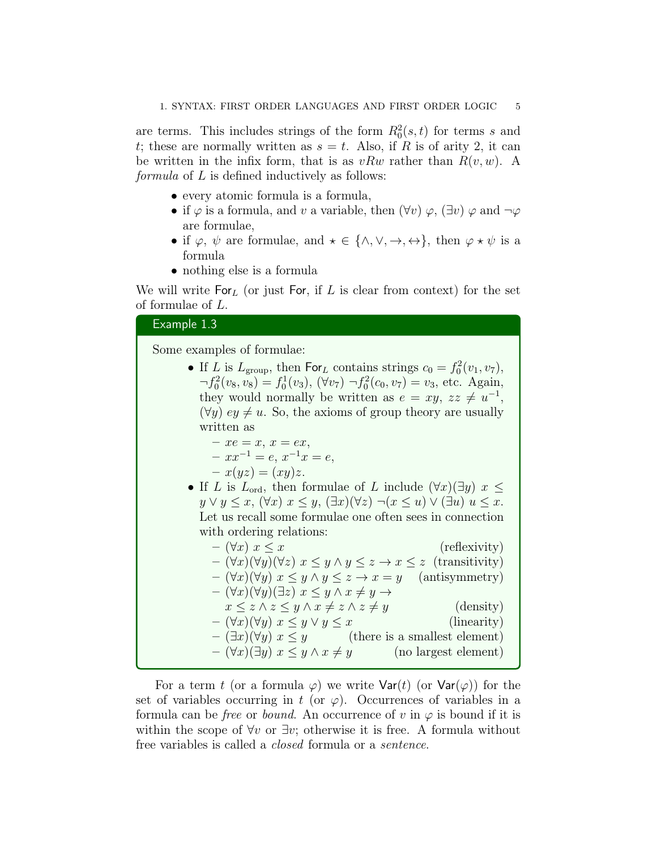are terms. This includes strings of the form  $R_0^2(s,t)$  for terms s and t; these are normally written as  $s = t$ . Also, if R is of arity 2, it can be written in the infix form, that is as  $vRw$  rather than  $R(v, w)$ . A formula of L is defined inductively as follows:

- every atomic formula is a formula,
- if  $\varphi$  is a formula, and v a variable, then  $(\forall v)$   $\varphi$ ,  $(\exists v)$   $\varphi$  and  $\neg \varphi$ are formulae,
- if  $\varphi$ ,  $\psi$  are formulae, and  $\star \in \{\wedge, \vee, \rightarrow, \leftrightarrow\}$ , then  $\varphi \star \psi$  is a formula
- nothing else is a formula

We will write  $For_L$  (or just For, if L is clear from context) for the set of formulae of L.

## Example 1.3

Some examples of formulae:

| • If L is $L_{\text{group}}$ , then For <sub>L</sub> contains strings $c_0 = f_0^2(v_1, v_7)$ , |
|-------------------------------------------------------------------------------------------------|
| $\neg f_0^2(v_8, v_8) = f_0^1(v_3), (\forall v_7) \neg f_0^2(c_0, v_7) = v_3$ , etc. Again,     |
| they would normally be written as $e = xy$ , $zz \neq u^{-1}$ ,                                 |
| $(\forall y)$ ey $\neq u$ . So, the axioms of group theory are usually                          |
| written as                                                                                      |
| $-xe=x, x=ex,$                                                                                  |
| $- xx^{-1} = e, x^{-1}x = e,$                                                                   |
| $- x(yz) = (xy)z.$                                                                              |

• If L is  $L_{\text{ord}}$ , then formulae of L include  $(\forall x)(\exists y)$   $x \leq$  $y \vee y \leq x$ ,  $(\forall x)$   $x \leq y$ ,  $(\exists x)(\forall z) \neg (x \leq u) \vee (\exists u) u \leq x$ . Let us recall some formulae one often sees in connection with ordering relations:

| $ (\forall x)$ $x \leq x$                                                                          | (reflexivity)        |
|----------------------------------------------------------------------------------------------------|----------------------|
| $-(\forall x)(\forall y)(\forall z)$ $x \leq y \land y \leq z \rightarrow x \leq z$ (transitivity) |                      |
| $-(\forall x)(\forall y)$ $x \leq y \land y \leq z \rightarrow x = y$ (antisymmetry)               |                      |
| $-(\forall x)(\forall y)(\exists z)\ x \leq y \land x \neq y \rightarrow$                          |                      |
| $x \leq z \land z \leq y \land x \neq z \land z \neq y$                                            | (density)            |
| $-(\forall x)(\forall y) \ x \leq y \lor y \leq x$                                                 | (linearity)          |
| $-(\exists x)(\forall y)$ $x \leq y$ (there is a smallest element)                                 |                      |
| $-(\forall x)(\exists y) x \leq y \land x \neq y$                                                  | (no largest element) |
|                                                                                                    |                      |

For a term t (or a formula  $\varphi$ ) we write  $\text{Var}(t)$  (or  $\text{Var}(\varphi)$ ) for the set of variables occurring in t (or  $\varphi$ ). Occurrences of variables in a formula can be *free* or *bound*. An occurrence of v in  $\varphi$  is bound if it is within the scope of  $\forall v$  or  $\exists v$ ; otherwise it is free. A formula without free variables is called a closed formula or a sentence.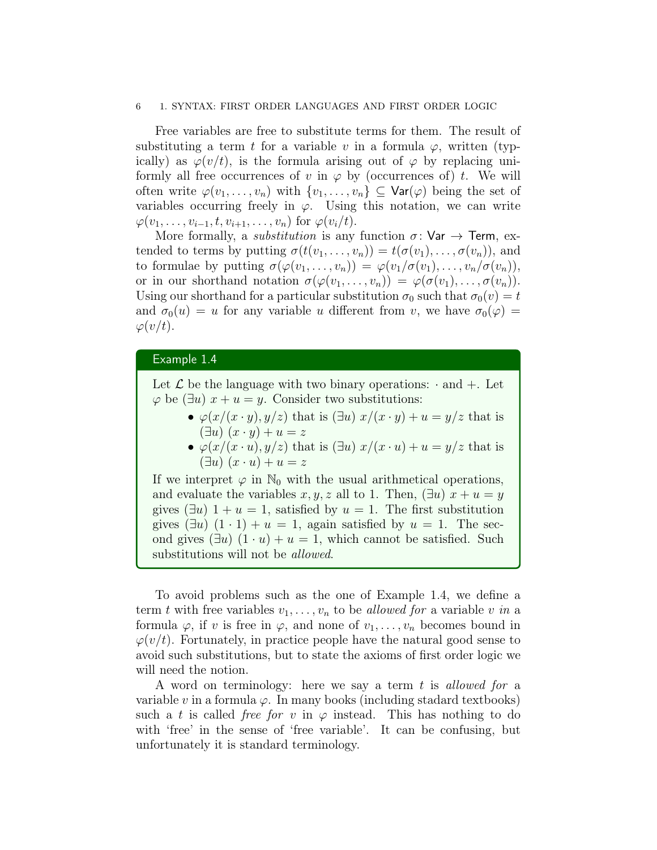#### 6 1. SYNTAX: FIRST ORDER LANGUAGES AND FIRST ORDER LOGIC

Free variables are free to substitute terms for them. The result of substituting a term t for a variable v in a formula  $\varphi$ , written (typically) as  $\varphi(v/t)$ , is the formula arising out of  $\varphi$  by replacing uniformly all free occurrences of v in  $\varphi$  by (occurrences of) t. We will often write  $\varphi(v_1,\ldots,v_n)$  with  $\{v_1,\ldots,v_n\}\subseteq \text{Var}(\varphi)$  being the set of variables occurring freely in  $\varphi$ . Using this notation, we can write  $\varphi(v_1,\ldots,v_{i-1},t,v_{i+1},\ldots,v_n)$  for  $\varphi(v_i/t)$ .

More formally, a *substitution* is any function  $\sigma$ : Var  $\rightarrow$  Term, extended to terms by putting  $\sigma(t(v_1,\ldots,v_n)) = t(\sigma(v_1),\ldots,\sigma(v_n))$ , and to formulae by putting  $\sigma(\varphi(v_1,\ldots,v_n)) = \varphi(v_1/\sigma(v_1),\ldots,v_n/\sigma(v_n)),$ or in our shorthand notation  $\sigma(\varphi(v_1,\ldots,v_n)) = \varphi(\sigma(v_1),\ldots,\sigma(v_n)).$ Using our shorthand for a particular substitution  $\sigma_0$  such that  $\sigma_0(v) = t$ and  $\sigma_0(u) = u$  for any variable u different from v, we have  $\sigma_0(\varphi) =$  $\varphi(v/t)$ .

#### Example 1.4

Let  $\mathcal L$  be the language with two binary operations:  $\cdot$  and  $+$ . Let  $\varphi$  be ( $\exists u$ )  $x + u = y$ . Consider two substitutions:

- $\varphi(x/(x \cdot y), y/z)$  that is  $(\exists u) x/(x \cdot y) + u = y/z$  that is  $(\exists u)(x \cdot y) + u = z$
- $\varphi(x/(x \cdot u), y/z)$  that is  $(\exists u) x/(x \cdot u) + u = y/z$  that is  $(\exists u)(x \cdot u) + u = z$

If we interpret  $\varphi$  in  $\mathbb{N}_0$  with the usual arithmetical operations, and evaluate the variables  $x, y, z$  all to 1. Then,  $(\exists u) x + u = y$ gives  $(\exists u)$  1 + u = 1, satisfied by u = 1. The first substitution gives  $(\exists u) (1 \cdot 1) + u = 1$ , again satisfied by  $u = 1$ . The second gives  $(\exists u)$   $(1 \cdot u) + u = 1$ , which cannot be satisfied. Such substitutions will not be *allowed*.

To avoid problems such as the one of Example 1.4, we define a term t with free variables  $v_1, \ldots, v_n$  to be allowed for a variable v in a formula  $\varphi$ , if v is free in  $\varphi$ , and none of  $v_1, \ldots, v_n$  becomes bound in  $\varphi(v/t)$ . Fortunately, in practice people have the natural good sense to avoid such substitutions, but to state the axioms of first order logic we will need the notion.

A word on terminology: here we say a term t is allowed for a variable v in a formula  $\varphi$ . In many books (including stadard textbooks) such a t is called free for v in  $\varphi$  instead. This has nothing to do with 'free' in the sense of 'free variable'. It can be confusing, but unfortunately it is standard terminology.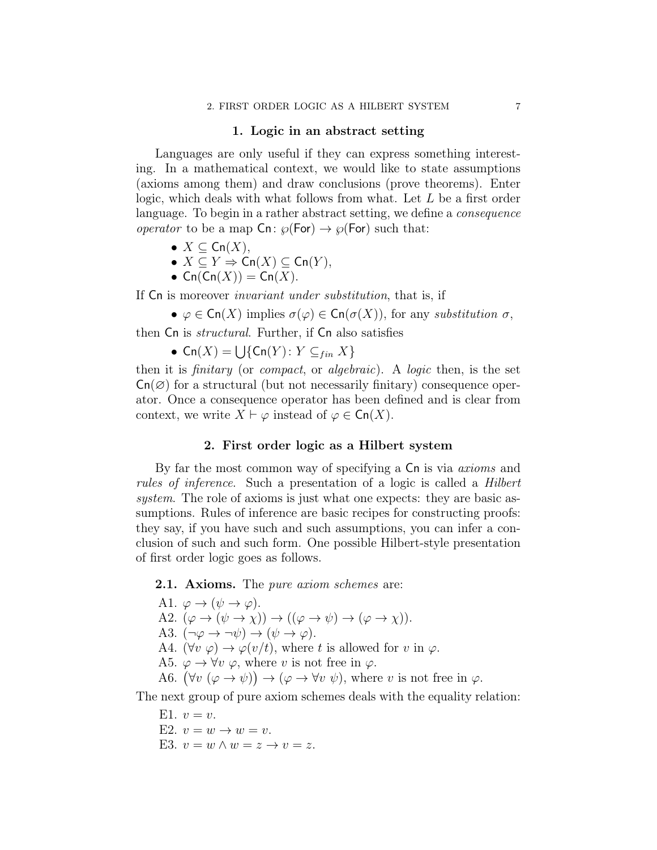#### 1. Logic in an abstract setting

Languages are only useful if they can express something interesting. In a mathematical context, we would like to state assumptions (axioms among them) and draw conclusions (prove theorems). Enter logic, which deals with what follows from what. Let L be a first order language. To begin in a rather abstract setting, we define a consequence *operator* to be a map  $\textsf{C}_n$ :  $\wp(\textsf{For}) \to \wp(\textsf{For})$  such that:

- $X \subseteq \mathsf{Cn}(X)$ ,
- $X \subseteq Y \Rightarrow \mathsf{Cn}(X) \subseteq \mathsf{Cn}(Y)$ ,
- $\mathsf{Cn}(\mathsf{Cn}(X)) = \mathsf{Cn}(X)$ .

If Cn is moreover invariant under substitution, that is, if

•  $\varphi \in \mathsf{Cn}(X)$  implies  $\sigma(\varphi) \in \mathsf{Cn}(\sigma(X))$ , for any substitution  $\sigma$ ,

then Cn is *structural*. Further, if Cn also satisfies

•  $\mathsf{Cn}(X) = \bigcup \{ \mathsf{Cn}(Y) : Y \subseteq_{fin} X \}$ 

then it is finitary (or compact, or algebraic). A logic then, is the set  $Cn(\emptyset)$  for a structural (but not necessarily finitary) consequence operator. Once a consequence operator has been defined and is clear from context, we write  $X \vdash \varphi$  instead of  $\varphi \in \mathsf{Cn}(X)$ .

## 2. First order logic as a Hilbert system

By far the most common way of specifying a  $\mathsf{C}_n$  is via *axioms* and rules of inference. Such a presentation of a logic is called a Hilbert system. The role of axioms is just what one expects: they are basic assumptions. Rules of inference are basic recipes for constructing proofs: they say, if you have such and such assumptions, you can infer a conclusion of such and such form. One possible Hilbert-style presentation of first order logic goes as follows.

## **2.1. Axioms.** The *pure axiom schemes* are:

A1.  $\varphi \rightarrow (\psi \rightarrow \varphi)$ . A2.  $(\varphi \to (\psi \to \chi)) \to ((\varphi \to \psi) \to (\varphi \to \chi))$ . A3.  $(\neg \varphi \rightarrow \neg \psi) \rightarrow (\psi \rightarrow \varphi)$ . A4.  $(\forall v \varphi) \rightarrow \varphi(v/t)$ , where t is allowed for v in  $\varphi$ . A5.  $\varphi \to \forall v \varphi$ , where v is not free in  $\varphi$ . A6.  $(\forall v \ (\varphi \to \psi)) \to (\varphi \to \forall v \ \psi)$ , where v is not free in  $\varphi$ .

The next group of pure axiom schemes deals with the equality relation:

- E1.  $v=v$ .
- E2.  $v = w \rightarrow w = v$ .
- E3.  $v = w \wedge w = z \rightarrow v = z$ .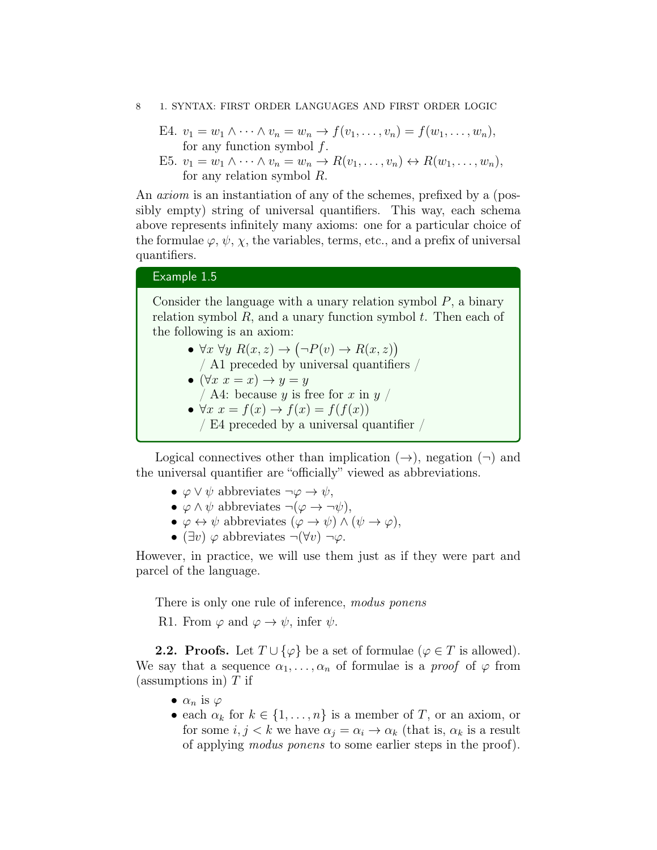#### 8 1. SYNTAX: FIRST ORDER LANGUAGES AND FIRST ORDER LOGIC

E4. 
$$
v_1 = w_1 \wedge \cdots \wedge v_n = w_n \rightarrow f(v_1, \ldots, v_n) = f(w_1, \ldots, w_n),
$$
  
for any function symbol f.

E5. 
$$
v_1 = w_1 \wedge \cdots \wedge v_n = w_n \rightarrow R(v_1, \ldots, v_n) \leftrightarrow R(w_1, \ldots, w_n)
$$
,  
for any relation symbol R.

An axiom is an instantiation of any of the schemes, prefixed by a (possibly empty) string of universal quantifiers. This way, each schema above represents infinitely many axioms: one for a particular choice of the formulae  $\varphi, \psi, \chi$ , the variables, terms, etc., and a prefix of universal quantifiers.

## Example 1.5

Consider the language with a unary relation symbol  $P$ , a binary relation symbol  $R$ , and a unary function symbol  $t$ . Then each of the following is an axiom:

- $\forall x \forall y \ R(x, z) \rightarrow (\neg P(v) \rightarrow R(x, z))$ 
	- / A1 preceded by universal quantifiers /
- $(\forall x \ x = x) \rightarrow y = y$
- / A4: because y is free for x in  $y$  /

• 
$$
\forall x \ x = f(x) \rightarrow f(x) = f(f(x))
$$

/ E4 preceded by a universal quantifier /

Logical connectives other than implication  $(\rightarrow)$ , negation  $(\rightarrow)$  and the universal quantifier are "officially" viewed as abbreviations.

- $\varphi \vee \psi$  abbreviates  $\neg \varphi \rightarrow \psi$ ,
- $\varphi \wedge \psi$  abbreviates  $\neg(\varphi \rightarrow \neg \psi)$ ,
- $\varphi \leftrightarrow \psi$  abbreviates  $(\varphi \rightarrow \psi) \land (\psi \rightarrow \varphi)$ ,
- $(\exists v) \varphi$  abbreviates  $\neg(\forall v) \neg \varphi$ .

However, in practice, we will use them just as if they were part and parcel of the language.

There is only one rule of inference, *modus ponens* 

R1. From  $\varphi$  and  $\varphi \to \psi$ , infer  $\psi$ .

**2.2. Proofs.** Let  $T \cup {\varphi}$  be a set of formulae ( $\varphi \in T$  is allowed). We say that a sequence  $\alpha_1, \ldots, \alpha_n$  of formulae is a *proof* of  $\varphi$  from (assumptions in)  $T$  if

- $\alpha_n$  is  $\varphi$
- each  $\alpha_k$  for  $k \in \{1, \ldots, n\}$  is a member of T, or an axiom, or for some  $i, j < k$  we have  $\alpha_j = \alpha_i \rightarrow \alpha_k$  (that is,  $\alpha_k$  is a result of applying modus ponens to some earlier steps in the proof).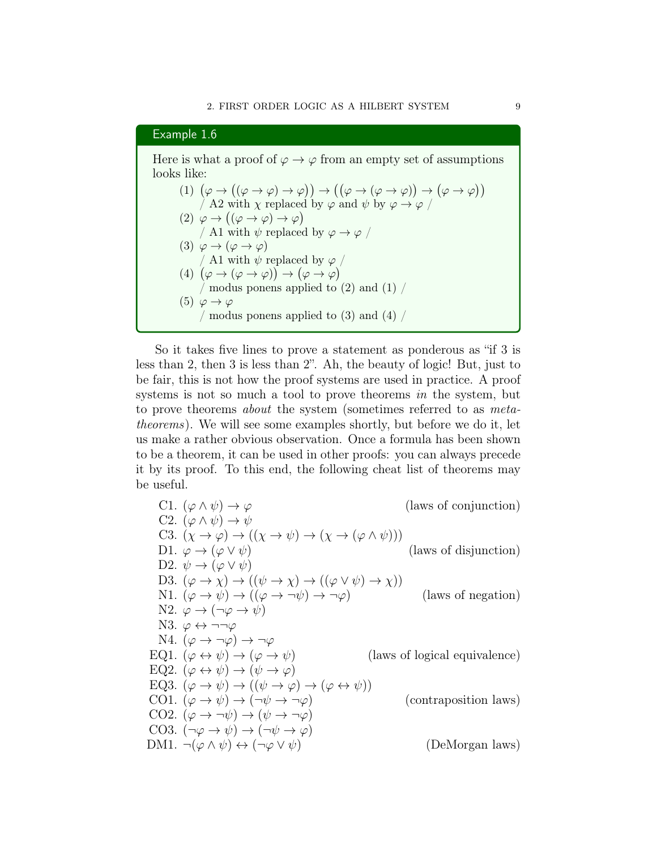## Example 1.6

Here is what a proof of  $\varphi \to \varphi$  from an empty set of assumptions looks like:

(1) 
$$
(\varphi \rightarrow ((\varphi \rightarrow \varphi) \rightarrow \varphi)) \rightarrow ((\varphi \rightarrow (\varphi \rightarrow \varphi)) \rightarrow (\varphi \rightarrow \varphi))
$$
  
\n/A2 with  $\chi$  replaced by  $\varphi$  and  $\psi$  by  $\varphi \rightarrow \varphi$   
\n(2)  $\varphi \rightarrow ((\varphi \rightarrow \varphi) \rightarrow \varphi)$   
\n/A1 with  $\psi$  replaced by  $\varphi \rightarrow \varphi$   
\n(3)  $\varphi \rightarrow (\varphi \rightarrow \varphi)$   
\n(A1 with  $\psi$  replaced by  $\varphi \rightarrow \varphi$   
\n(A2)  $(\varphi \rightarrow (\varphi \rightarrow \varphi)) \rightarrow (\varphi \rightarrow \varphi)$   
\n(4)  $(\varphi \rightarrow (\varphi \rightarrow \varphi)) \rightarrow (\varphi \rightarrow \varphi)$   
\nmodus ponens applied to (2) and (1) /  
\n(5)  $\varphi \rightarrow \varphi$   
\nmodus ponens applied to (3) and (4) /

So it takes five lines to prove a statement as ponderous as "if 3 is less than 2, then 3 is less than 2". Ah, the beauty of logic! But, just to be fair, this is not how the proof systems are used in practice. A proof systems is not so much a tool to prove theorems in the system, but to prove theorems about the system (sometimes referred to as metatheorems). We will see some examples shortly, but before we do it, let us make a rather obvious observation. Once a formula has been shown to be a theorem, it can be used in other proofs: you can always precede it by its proof. To this end, the following cheat list of theorems may be useful.

C1. 
$$
(\varphi \land \psi) \rightarrow \varphi
$$
 (laws of conjunction)  
\nC2.  $(\varphi \land \psi) \rightarrow \psi$   
\nC3.  $(\chi \rightarrow \varphi) \rightarrow ((\chi \rightarrow \psi) \rightarrow (\chi \rightarrow (\varphi \land \psi)))$   
\nD1.  $\varphi \rightarrow (\varphi \lor \psi)$  (laws of disjunction)  
\nD2.  $\psi \rightarrow (\varphi \lor \psi)$  (laws of disjunction)  
\nD3.  $(\varphi \rightarrow \chi) \rightarrow ((\psi \rightarrow \chi) \rightarrow ((\varphi \lor \psi) \rightarrow \chi))$   
\nN1.  $(\varphi \rightarrow \psi) \rightarrow ((\varphi \rightarrow \neg \psi) \rightarrow \neg \varphi)$  (laws of negation)  
\nN2.  $\varphi \rightarrow (\neg \varphi \rightarrow \psi)$   
\nN3.  $\varphi \leftrightarrow \neg \neg \varphi$   
\nRQ1.  $(\varphi \leftrightarrow \psi) \rightarrow (\varphi \rightarrow \psi)$  (laws of logical equivalence)  
\nEQ2.  $(\varphi \leftrightarrow \psi) \rightarrow ((\psi \rightarrow \varphi) \rightarrow (\varphi \leftrightarrow \psi))$   
\nCO1.  $(\varphi \rightarrow \psi) \rightarrow ((\psi \rightarrow \varphi) \rightarrow (\varphi \leftrightarrow \psi))$  (contraposition laws)  
\nCO2.  $(\varphi \rightarrow \neg \psi) \rightarrow (\neg \psi \rightarrow \neg \varphi)$   
\nCO3.  $(\neg \varphi \rightarrow \psi) \rightarrow (\neg \psi \rightarrow \varphi)$   
\nDM1.  $\neg (\varphi \land \psi) \leftrightarrow (\neg \varphi \lor \psi)$  (DeMorgan laws)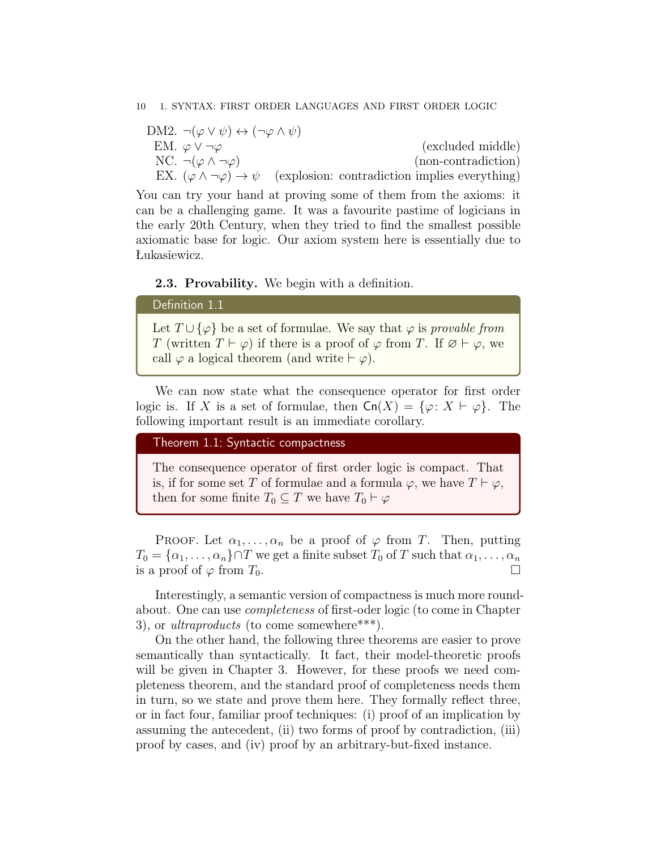#### 10 1. SYNTAX: FIRST ORDER LANGUAGES AND FIRST ORDER LOGIC

DM2.  $\neg(\varphi \lor \psi) \leftrightarrow (\neg \varphi \land \psi)$ EM.  $\varphi \vee \neg \varphi$  (excluded middle) NC.  $\neg(\varphi \land \neg \varphi)$  (non-contradiction) EX.  $(\varphi \wedge \neg \varphi) \rightarrow \psi$  (explosion: contradiction implies everything)

You can try your hand at proving some of them from the axioms: it can be a challenging game. It was a favourite pastime of logicians in the early 20th Century, when they tried to find the smallest possible axiomatic base for logic. Our axiom system here is essentially due to Łukasiewicz.

#### 2.3. Provability. We begin with a definition.

## Definition 1.1

Let  $T \cup {\varphi}$  be a set of formulae. We say that  $\varphi$  is provable from T (written  $T \vdash \varphi$ ) if there is a proof of  $\varphi$  from T. If  $\varnothing \vdash \varphi$ , we call  $\varphi$  a logical theorem (and write  $\vdash \varphi$ ).

We can now state what the consequence operator for first order logic is. If X is a set of formulae, then  $\text{Cn}(X) = \{\varphi: X \vdash \varphi\}.$  The following important result is an immediate corollary.

### Theorem 1.1: Syntactic compactness

The consequence operator of first order logic is compact. That is, if for some set T of formulae and a formula  $\varphi$ , we have  $T \vdash \varphi$ , then for some finite  $T_0 \subseteq T$  we have  $T_0 \vdash \varphi$ 

PROOF. Let  $\alpha_1, \ldots, \alpha_n$  be a proof of  $\varphi$  from T. Then, putting  $T_0 = {\alpha_1, \ldots, \alpha_n} \cap T$  we get a finite subset  $T_0$  of T such that  $\alpha_1, \ldots, \alpha_n$ is a proof of  $\varphi$  from  $T_0$ .

Interestingly, a semantic version of compactness is much more roundabout. One can use completeness of first-oder logic (to come in Chapter 3), or *ultraproducts* (to come somewhere\*\*\*).

On the other hand, the following three theorems are easier to prove semantically than syntactically. It fact, their model-theoretic proofs will be given in Chapter 3. However, for these proofs we need completeness theorem, and the standard proof of completeness needs them in turn, so we state and prove them here. They formally reflect three, or in fact four, familiar proof techniques: (i) proof of an implication by assuming the antecedent, (ii) two forms of proof by contradiction, (iii) proof by cases, and (iv) proof by an arbitrary-but-fixed instance.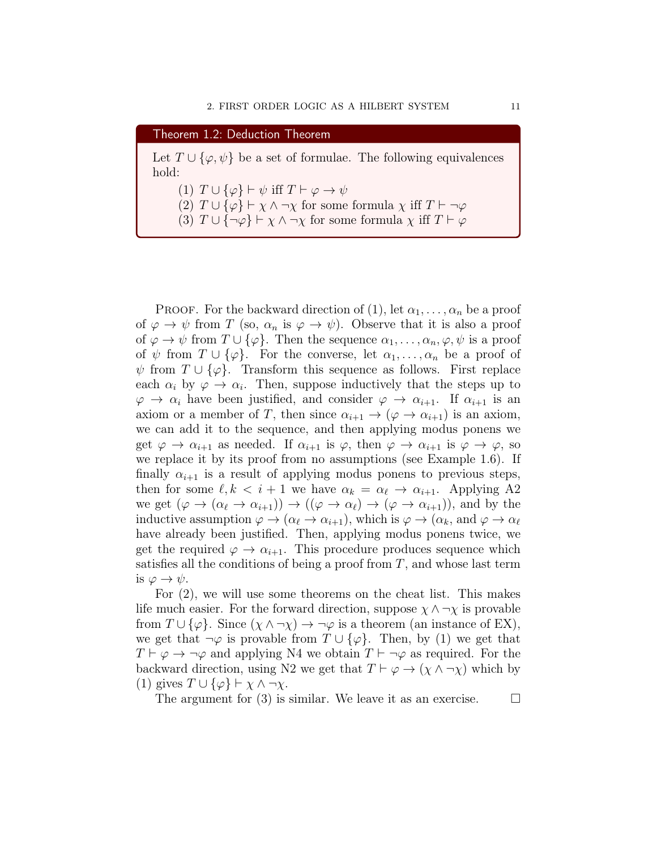| Theorem 1.2: Deduction Theorem                                                                                                                                                                                                                                                                     |
|----------------------------------------------------------------------------------------------------------------------------------------------------------------------------------------------------------------------------------------------------------------------------------------------------|
| Let $T \cup {\varphi, \psi}$ be a set of formulae. The following equivalences<br>hold:                                                                                                                                                                                                             |
| (1) $T \cup {\varphi} \vdash \psi$ iff $T \vdash \varphi \rightarrow \psi$<br>(2) $T \cup {\varphi} \vdash \chi \wedge \neg \chi$ for some formula $\chi$ iff $T \vdash \neg \varphi$<br>(3) $T \cup \{\neg \varphi\} \vdash \chi \wedge \neg \chi$ for some formula $\chi$ iff $T \vdash \varphi$ |

PROOF. For the backward direction of (1), let  $\alpha_1, \ldots, \alpha_n$  be a proof of  $\varphi \to \psi$  from T (so,  $\alpha_n$  is  $\varphi \to \psi$ ). Observe that it is also a proof of  $\varphi \to \psi$  from  $T \cup {\varphi}$ . Then the sequence  $\alpha_1, \ldots, \alpha_n, \varphi, \psi$  is a proof of  $\psi$  from  $T \cup {\varphi}$ . For the converse, let  $\alpha_1, \ldots, \alpha_n$  be a proof of  $\psi$  from  $T \cup {\varphi}$ . Transform this sequence as follows. First replace each  $\alpha_i$  by  $\varphi \to \alpha_i$ . Then, suppose inductively that the steps up to  $\varphi \to \alpha_i$  have been justified, and consider  $\varphi \to \alpha_{i+1}$ . If  $\alpha_{i+1}$  is an axiom or a member of T, then since  $\alpha_{i+1} \to (\varphi \to \alpha_{i+1})$  is an axiom, we can add it to the sequence, and then applying modus ponens we get  $\varphi \to \alpha_{i+1}$  as needed. If  $\alpha_{i+1}$  is  $\varphi$ , then  $\varphi \to \alpha_{i+1}$  is  $\varphi \to \varphi$ , so we replace it by its proof from no assumptions (see Example 1.6). If finally  $\alpha_{i+1}$  is a result of applying modus ponens to previous steps, then for some  $\ell, k < i + 1$  we have  $\alpha_k = \alpha_{\ell} \rightarrow \alpha_{i+1}$ . Applying A2 we get  $(\varphi \to (\alpha_{\ell} \to \alpha_{i+1})) \to ((\varphi \to \alpha_{\ell}) \to (\varphi \to \alpha_{i+1}))$ , and by the inductive assumption  $\varphi \to (\alpha_\ell \to \alpha_{i+1})$ , which is  $\varphi \to (\alpha_k$ , and  $\varphi \to \alpha_\ell$ have already been justified. Then, applying modus ponens twice, we get the required  $\varphi \to \alpha_{i+1}$ . This procedure produces sequence which satisfies all the conditions of being a proof from  $T$ , and whose last term is  $\varphi \to \psi$ .

For (2), we will use some theorems on the cheat list. This makes life much easier. For the forward direction, suppose  $\chi \wedge \neg \chi$  is provable from  $T \cup {\varphi}$ . Since  $(\chi \wedge \neg \chi) \rightarrow \neg \varphi$  is a theorem (an instance of EX), we get that  $\neg \varphi$  is provable from  $T \cup {\varphi}$ . Then, by (1) we get that  $T \vdash \varphi \rightarrow \neg \varphi$  and applying N4 we obtain  $T \vdash \neg \varphi$  as required. For the backward direction, using N2 we get that  $T \vdash \varphi \rightarrow (\chi \wedge \neg \chi)$  which by (1) gives  $T \cup {\varphi} \vdash \chi \wedge \neg \chi$ .

The argument for (3) is similar. We leave it as an exercise.  $\Box$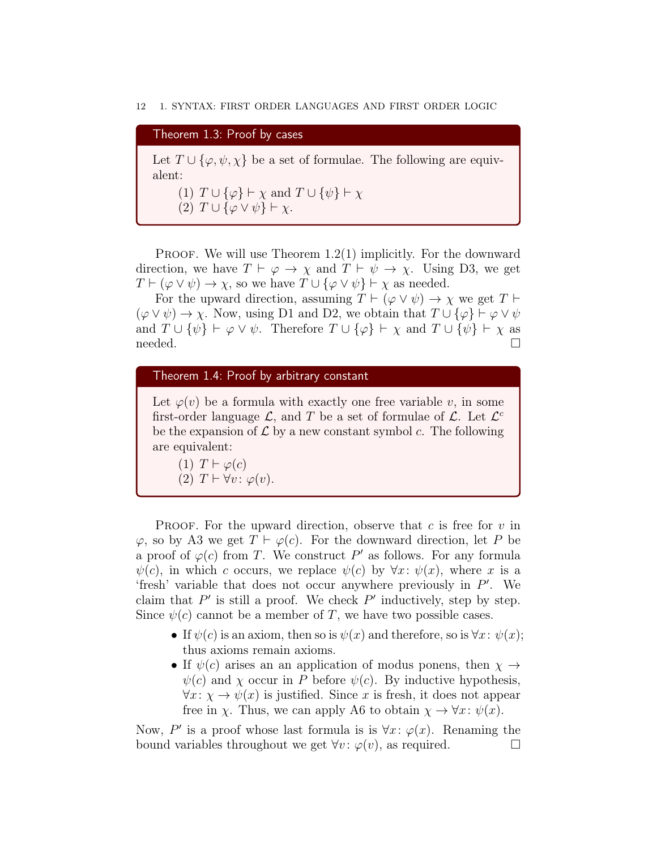#### 12 1. SYNTAX: FIRST ORDER LANGUAGES AND FIRST ORDER LOGIC

# Theorem 1.3: Proof by cases Let  $T \cup {\varphi, \psi, \chi}$  be a set of formulae. The following are equivalent: (1)  $T \cup {\varphi} \vdash \chi$  and  $T \cup {\psi} \vdash \chi$ (2)  $T \cup {\varphi \vee \psi} \vdash \chi$ .

PROOF. We will use Theorem  $1.2(1)$  implicitly. For the downward direction, we have  $T \vdash \varphi \to \chi$  and  $T \vdash \psi \to \chi$ . Using D3, we get  $T \vdash (\varphi \lor \psi) \to \chi$ , so we have  $T \cup {\varphi \lor \psi} \vdash \chi$  as needed.

For the upward direction, assuming  $T \vdash (\varphi \lor \psi) \rightarrow \chi$  we get  $T \vdash$  $(\varphi \vee \psi) \rightarrow \chi$ . Now, using D1 and D2, we obtain that  $T \cup {\varphi} \vdash \varphi \vee \psi$ and  $T \cup {\psi} \vdash \varphi \vee \psi$ . Therefore  $T \cup {\varphi} \vdash \chi$  and  $T \cup {\psi} \vdash \chi$  as needed. □

## Theorem 1.4: Proof by arbitrary constant

Let  $\varphi(v)$  be a formula with exactly one free variable v, in some first-order language  $\mathcal{L}$ , and T be a set of formulae of  $\mathcal{L}$ . Let  $\mathcal{L}^c$ be the expansion of  $\mathcal L$  by a new constant symbol c. The following are equivalent:

(1)  $T \vdash \varphi(c)$ (2)  $T \vdash \forall v : \varphi(v)$ .

PROOF. For the upward direction, observe that  $c$  is free for  $v$  in  $\varphi$ , so by A3 we get  $T \vdash \varphi(c)$ . For the downward direction, let P be a proof of  $\varphi(c)$  from T. We construct P' as follows. For any formula  $\psi(c)$ , in which c occurs, we replace  $\psi(c)$  by  $\forall x: \psi(x)$ , where x is a 'fresh' variable that does not occur anywhere previously in  $P'$ . We claim that  $P'$  is still a proof. We check  $P'$  inductively, step by step. Since  $\psi(c)$  cannot be a member of T, we have two possible cases.

- If  $\psi(c)$  is an axiom, then so is  $\psi(x)$  and therefore, so is  $\forall x : \psi(x)$ ; thus axioms remain axioms.
- If  $\psi(c)$  arises an an application of modus ponens, then  $\chi \rightarrow$  $\psi(c)$  and  $\chi$  occur in P before  $\psi(c)$ . By inductive hypothesis,  $\forall x: \chi \rightarrow \psi(x)$  is justified. Since x is fresh, it does not appear free in  $\chi$ . Thus, we can apply A6 to obtain  $\chi \to \forall x : \psi(x)$ .

Now, P' is a proof whose last formula is is  $\forall x : \varphi(x)$ . Renaming the bound variables throughout we get  $\forall v : \varphi(v)$ , as required.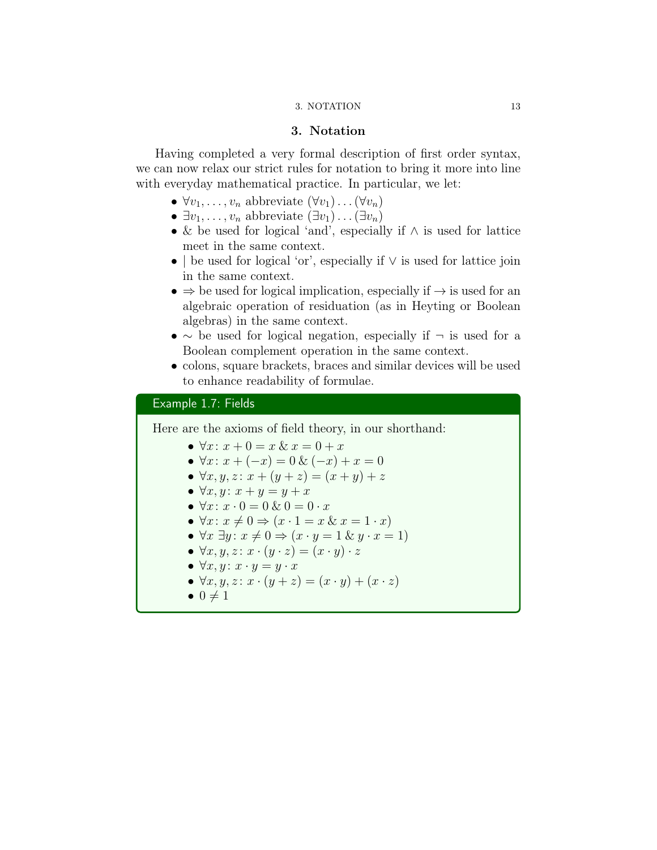#### 3. NOTATION 13

## 3. Notation

Having completed a very formal description of first order syntax, we can now relax our strict rules for notation to bring it more into line with everyday mathematical practice. In particular, we let:

- $\forall v_1, \ldots, v_n$  abbreviate  $(\forall v_1) \ldots (\forall v_n)$
- $\exists v_1, \ldots, v_n$  abbreviate  $(\exists v_1) \ldots (\exists v_n)$
- & be used for logical 'and', especially if ∧ is used for lattice meet in the same context.
- | be used for logical 'or', especially if ∨ is used for lattice join in the same context.
- $\Rightarrow$  be used for logical implication, especially if  $\rightarrow$  is used for an algebraic operation of residuation (as in Heyting or Boolean algebras) in the same context.
- ∼ be used for logical negation, especially if  $\neg$  is used for a Boolean complement operation in the same context.
- colons, square brackets, braces and similar devices will be used to enhance readability of formulae.

## Example 1.7: Fields

Here are the axioms of field theory, in our shorthand:

- $\forall x: x + 0 = x \& x = 0 + x$
- $\forall x: x + (-x) = 0 \& (-x) + x = 0$
- $\forall x, y, z : x + (y + z) = (x + y) + z$
- $\forall x, y \colon x + y = y + x$
- $\forall x: x \cdot 0 = 0 \& 0 = 0 \cdot x$
- $\forall x: x \neq 0 \Rightarrow (x \cdot 1 = x \& x = 1 \cdot x)$
- $\forall x \exists y: x \neq 0 \Rightarrow (x \cdot y = 1 \& y \cdot x = 1)$
- $\forall x, y, z : x \cdot (y \cdot z) = (x \cdot y) \cdot z$
- $\forall x, y \colon x \cdot y = y \cdot x$
- $\forall x, y, z \colon x \cdot (y + z) = (x \cdot y) + (x \cdot z)$
- $\bullet$  0  $\neq$  1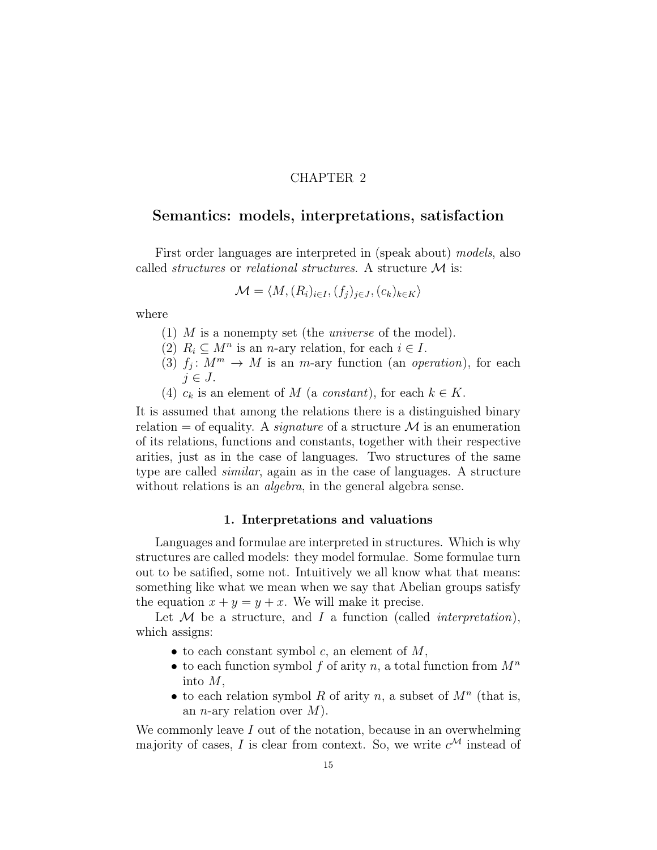## CHAPTER 2

## Semantics: models, interpretations, satisfaction

First order languages are interpreted in (speak about) models, also called *structures* or *relational structures*. A structure  $\mathcal{M}$  is:

$$
\mathcal{M} = \langle M, (R_i)_{i \in I}, (f_j)_{j \in J}, (c_k)_{k \in K} \rangle
$$

where

- (1) M is a nonempty set (the *universe* of the model).
- (2)  $R_i \subseteq M^n$  is an *n*-ary relation, for each  $i \in I$ .
- (3)  $f_j: M^m \to M$  is an *m*-ary function (an *operation*), for each  $j \in J$ .
- (4)  $c_k$  is an element of M (a constant), for each  $k \in K$ .

It is assumed that among the relations there is a distinguished binary relation  $=$  of equality. A *signature* of a structure  $\mathcal M$  is an enumeration of its relations, functions and constants, together with their respective arities, just as in the case of languages. Two structures of the same type are called similar, again as in the case of languages. A structure without relations is an *algebra*, in the general algebra sense.

#### 1. Interpretations and valuations

Languages and formulae are interpreted in structures. Which is why structures are called models: they model formulae. Some formulae turn out to be satified, some not. Intuitively we all know what that means: something like what we mean when we say that Abelian groups satisfy the equation  $x + y = y + x$ . We will make it precise.

Let  $M$  be a structure, and  $I$  a function (called *interpretation*), which assigns:

- to each constant symbol c, an element of  $M$ ,
- to each function symbol f of arity n, a total function from  $M^n$ into M,
- to each relation symbol R of arity n, a subset of  $M<sup>n</sup>$  (that is, an *n*-ary relation over  $M$ ).

We commonly leave  $I$  out of the notation, because in an overwhelming majority of cases, I is clear from context. So, we write  $c^{\mathcal{M}}$  instead of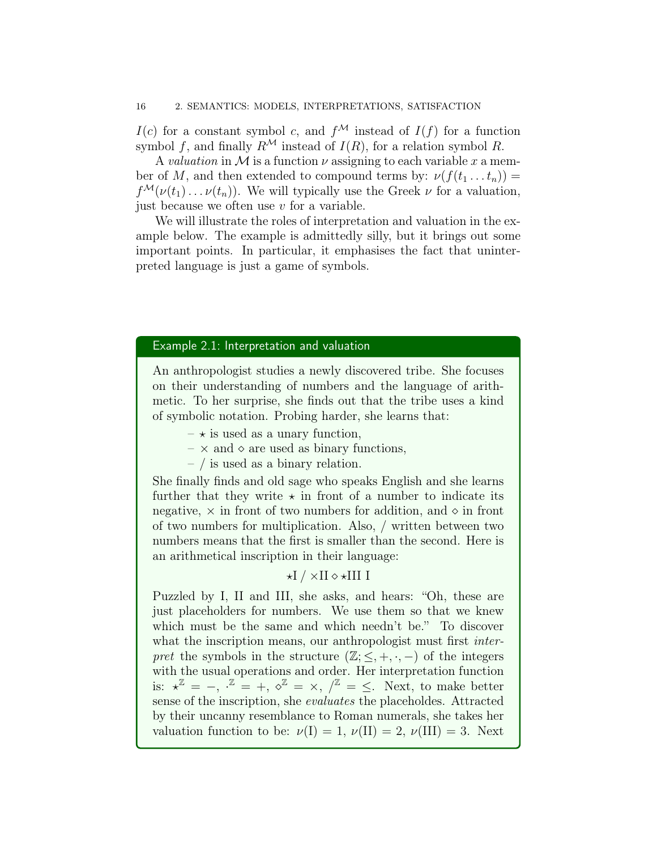#### 16 2. SEMANTICS: MODELS, INTERPRETATIONS, SATISFACTION

 $I(c)$  for a constant symbol c, and  $f^{\mathcal{M}}$  instead of  $I(f)$  for a function symbol f, and finally  $R^{\mathcal{M}}$  instead of  $I(R)$ , for a relation symbol R.

A valuation in M is a function  $\nu$  assigning to each variable x a member of M, and then extended to compound terms by:  $\nu(f(t_1 \dots t_n)) =$  $f^{\mathcal{M}}(\nu(t_1)\dots\nu(t_n)).$  We will typically use the Greek  $\nu$  for a valuation, just because we often use  $v$  for a variable.

We will illustrate the roles of interpretation and valuation in the example below. The example is admittedly silly, but it brings out some important points. In particular, it emphasises the fact that uninterpreted language is just a game of symbols.

## Example 2.1: Interpretation and valuation

An anthropologist studies a newly discovered tribe. She focuses on their understanding of numbers and the language of arithmetic. To her surprise, she finds out that the tribe uses a kind of symbolic notation. Probing harder, she learns that:

- $-\star$  is used as a unary function,
- $\times$  and  $\diamond$  are used as binary functions,
- / is used as a binary relation.

She finally finds and old sage who speaks English and she learns further that they write  $\star$  in front of a number to indicate its negative,  $\times$  in front of two numbers for addition, and  $\diamond$  in front of two numbers for multiplication. Also, / written between two numbers means that the first is smaller than the second. Here is an arithmetical inscription in their language:

## $\star$ I /  $\times$ II  $\diamond$   $\star$ III I

Puzzled by I, II and III, she asks, and hears: "Oh, these are just placeholders for numbers. We use them so that we knew which must be the same and which needn't be." To discover what the inscription means, our anthropologist must first *inter*pret the symbols in the structure  $(\mathbb{Z}; \leq, +, \cdot, -)$  of the integers with the usual operations and order. Her interpretation function is:  $x^{\mathbb{Z}} = -$ ,  $\overline{z} = +$ ,  $\overline{z} = \times$ ,  $\overline{z} = \overline{z}$ . Next, to make better sense of the inscription, she evaluates the placeholdes. Attracted by their uncanny resemblance to Roman numerals, she takes her valuation function to be:  $\nu(I) = 1, \nu(II) = 2, \nu(III) = 3.$  Next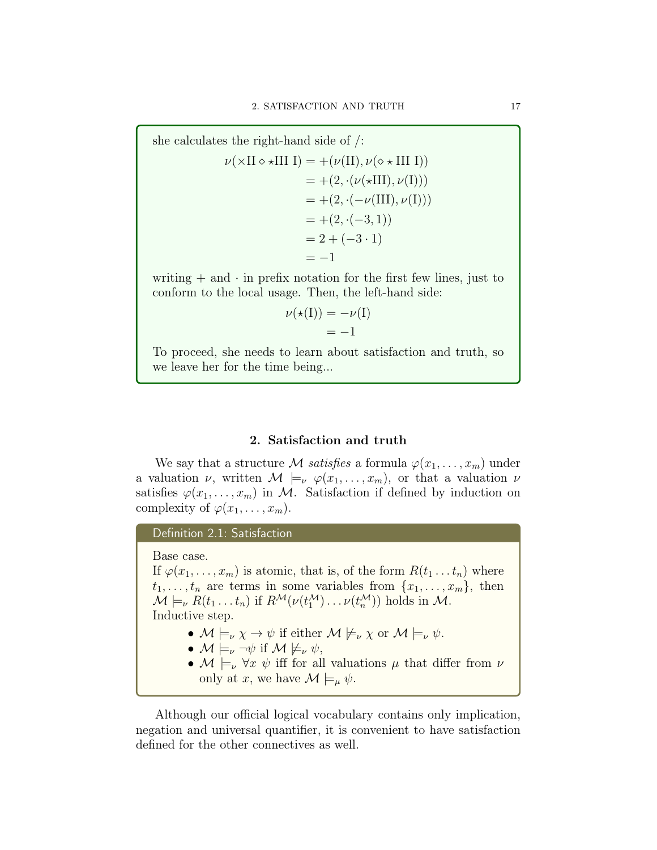she calculates the right-hand side of /:

$$
\nu(\times II \diamond \star III I) = +(\nu(II), \nu(\diamond \star III I))
$$
  
= + (2, ·( $\nu(\star III), \nu(I)$ ))  
= + (2, ·( $-\nu(III), \nu(I)$ ))  
= + (2, ·( $-3, 1$ ))  
= 2 + (-3 · 1)  
= -1

writing  $+$  and  $\cdot$  in prefix notation for the first few lines, just to conform to the local usage. Then, the left-hand side:

$$
\nu(\star(I)) = -\nu(I) \n= -1
$$

To proceed, she needs to learn about satisfaction and truth, so we leave her for the time being...

## 2. Satisfaction and truth

We say that a structure M satisfies a formula  $\varphi(x_1, \ldots, x_m)$  under a valuation  $\nu$ , written  $\mathcal{M} \models_{\nu} \varphi(x_1,\ldots,x_m)$ , or that a valuation  $\nu$ satisfies  $\varphi(x_1,\ldots,x_m)$  in M. Satisfaction if defined by induction on complexity of  $\varphi(x_1, \ldots, x_m)$ .

Definition 2.1: Satisfaction

Base case. If  $\varphi(x_1,\ldots,x_m)$  is atomic, that is, of the form  $R(t_1 \ldots t_n)$  where  $t_1, \ldots, t_n$  are terms in some variables from  $\{x_1, \ldots, x_m\}$ , then  $\mathcal{M} \models_{\nu} R(t_1 \dots t_n)$  if  $R^{\mathcal{M}}(\nu(t_1^{\mathcal{M}}) \dots \nu(t_n^{\mathcal{M}}))$  holds in  $\mathcal{M}$ . Inductive step.

- $M \models_{\nu} \chi \rightarrow \psi$  if either  $M \not\models_{\nu} \chi$  or  $M \models_{\nu} \psi$ .
- $\mathcal{M} \models_{\nu} \neg \psi$  if  $\mathcal{M} \not\models_{\nu} \psi$ ,
- $\mathcal{M} \models_{\nu} \forall x \psi$  iff for all valuations  $\mu$  that differ from  $\nu$ only at x, we have  $\mathcal{M} \models_{\mu} \psi$ .

Although our official logical vocabulary contains only implication, negation and universal quantifier, it is convenient to have satisfaction defined for the other connectives as well.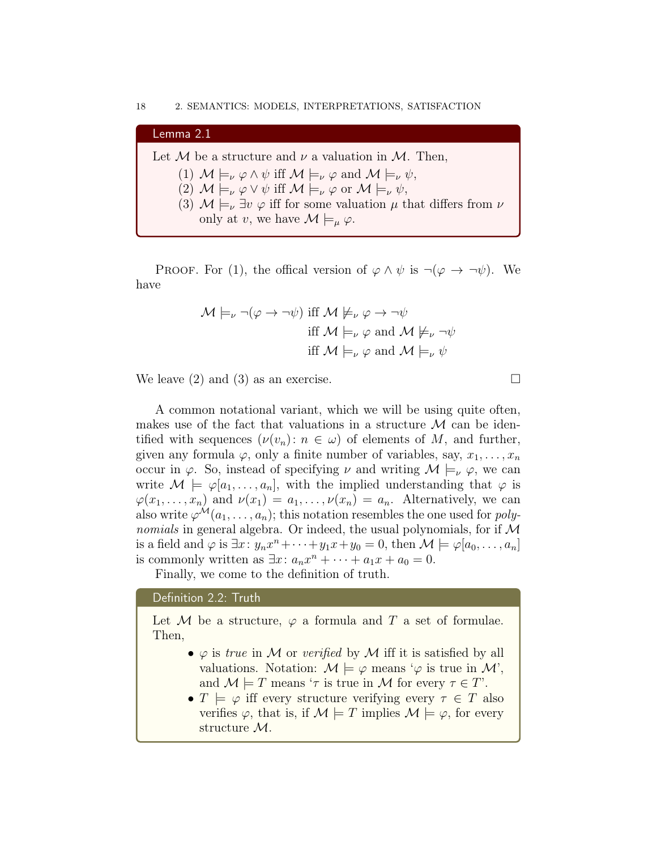| Lemma 2.1                                                                                                                          |
|------------------------------------------------------------------------------------------------------------------------------------|
| Let M be a structure and $\nu$ a valuation in M. Then,                                                                             |
| (1) $\mathcal{M} \models_{\nu} \varphi \wedge \psi$ iff $\mathcal{M} \models_{\nu} \varphi$ and $\mathcal{M} \models_{\nu} \psi$ , |
| (2) $\mathcal{M} \models_{\nu} \varphi \vee \psi$ iff $\mathcal{M} \models_{\nu} \varphi$ or $\mathcal{M} \models_{\nu} \psi$ ,    |
| (3) $\mathcal{M} \models_{\nu} \exists v \varphi$ iff for some valuation $\mu$ that differs from $\nu$                             |
| only at v, we have $\mathcal{M}\models_{\mu}\varphi$ .                                                                             |
|                                                                                                                                    |

PROOF. For (1), the offical version of  $\varphi \wedge \psi$  is  $\neg(\varphi \rightarrow \neg \psi)$ . We have

$$
\mathcal{M} \models_{\nu} \neg (\varphi \to \neg \psi) \text{ iff } \mathcal{M} \not\models_{\nu} \varphi \to \neg \psi
$$
  
iff  $\mathcal{M} \models_{\nu} \varphi \text{ and } \mathcal{M} \not\models_{\nu} \neg \psi$   
iff  $\mathcal{M} \models_{\nu} \varphi \text{ and } \mathcal{M} \models_{\nu} \psi$ 

We leave (2) and (3) as an exercise.

A common notational variant, which we will be using quite often, makes use of the fact that valuations in a structure  $\mathcal M$  can be identified with sequences  $(\nu(v_n): n \in \omega)$  of elements of M, and further, given any formula  $\varphi$ , only a finite number of variables, say,  $x_1, \ldots, x_n$ occur in  $\varphi$ . So, instead of specifying  $\nu$  and writing  $\mathcal{M} \models_{\nu} \varphi$ , we can write  $\mathcal{M} \models \varphi[a_1,\ldots,a_n],$  with the implied understanding that  $\varphi$  is  $\varphi(x_1,\ldots,x_n)$  and  $\nu(x_1)=a_1,\ldots,\nu(x_n)=a_n$ . Alternatively, we can also write  $\varphi^{\mathcal{M}}(a_1, \ldots, a_n)$ ; this notation resembles the one used for *polynomials* in general algebra. Or indeed, the usual polynomials, for if  $M$ is a field and  $\varphi$  is  $\exists x \colon y_n x^n + \cdots + y_1 x + y_0 = 0$ , then  $\mathcal{M} \models \varphi[a_0, \ldots, a_n]$ is commonly written as  $\exists x: a_n x^n + \cdots + a_1 x + a_0 = 0.$ 

Finally, we come to the definition of truth.

#### Definition 2.2: Truth

Let M be a structure,  $\varphi$  a formula and T a set of formulae. Then,

- $\varphi$  is true in M or verified by M iff it is satisfied by all valuations. Notation:  $\mathcal{M} \models \varphi$  means ' $\varphi$  is true in  $\mathcal{M}'$ , and  $\mathcal{M} \models T$  means ' $\tau$  is true in  $\mathcal M$  for every  $\tau \in T'$ .
- $T \models \varphi$  iff every structure verifying every  $\tau \in T$  also verifies  $\varphi$ , that is, if  $\mathcal{M} \models T$  implies  $\mathcal{M} \models \varphi$ , for every structure M.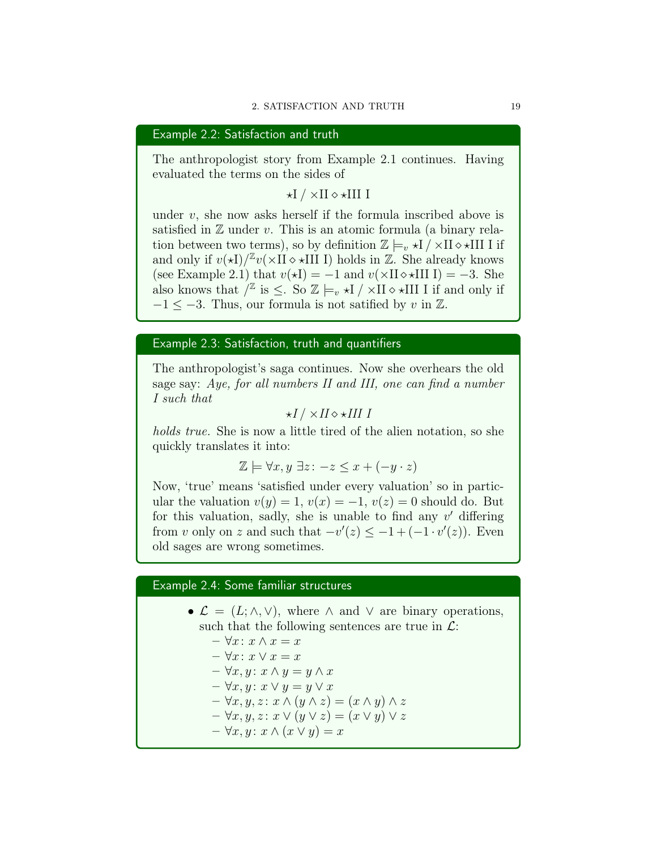Example 2.2: Satisfaction and truth

The anthropologist story from Example 2.1 continues. Having evaluated the terms on the sides of

 $\star$ I /  $\times$ II  $\diamond$   $\star$ III I

under  $v$ , she now asks herself if the formula inscribed above is satisfied in  $\mathbb Z$  under v. This is an atomic formula (a binary relation between two terms), so by definition  $\mathbb{Z} \models_{v} \star I / \times II \diamond \star III$  I if and only if  $v(\star I)/\mathbb{Z}v(\times II \diamond \star III]$  is holds in  $\mathbb{Z}$ . She already knows (see Example 2.1) that  $v(\star I) = -1$  and  $v(\times II \diamond \star III I) = -3$ . She also knows that  $\int^{\mathbb{Z}}$  is  $\leq$ . So  $\mathbb{Z} \models_v \star I / \times II \star III$  I if and only if  $-1 < -3$ . Thus, our formula is not satified by v in  $\mathbb{Z}$ .

## Example 2.3: Satisfaction, truth and quantifiers

The anthropologist's saga continues. Now she overhears the old sage say: Aye, for all numbers II and III, one can find a number I such that

$$
\star I \,/\times II \!\diamond\!\star III \,I
$$

holds true. She is now a little tired of the alien notation, so she quickly translates it into:

$$
\mathbb{Z} \models \forall x, y \; \exists z \colon -z \le x + (-y \cdot z)
$$

Now, 'true' means 'satisfied under every valuation' so in particular the valuation  $v(y) = 1$ ,  $v(x) = -1$ ,  $v(z) = 0$  should do. But for this valuation, sadly, she is unable to find any  $v'$  differing from v only on z and such that  $-v'(z) \leq -1 + (-1 \cdot v'(z))$ . Even old sages are wrong sometimes.

## Example 2.4: Some familiar structures

- $\mathcal{L} = (L; \wedge, \vee)$ , where  $\wedge$  and  $\vee$  are binary operations, such that the following sentences are true in  $\mathcal{L}$ :
	- $-\forall x: x \wedge x = x$
	- $-\forall x: x \vee x = x$
	- $-\forall x, y \colon x \land y = y \land x$
	- $-\forall x, y \colon x \lor y = y \lor x$
	- $-\forall x, y, z: x \wedge (y \wedge z) = (x \wedge y) \wedge z$
	- $-\forall x, y, z: x \vee (y \vee z) = (x \vee y) \vee z$
	- $-\forall x, y \colon x \wedge (x \vee y) = x$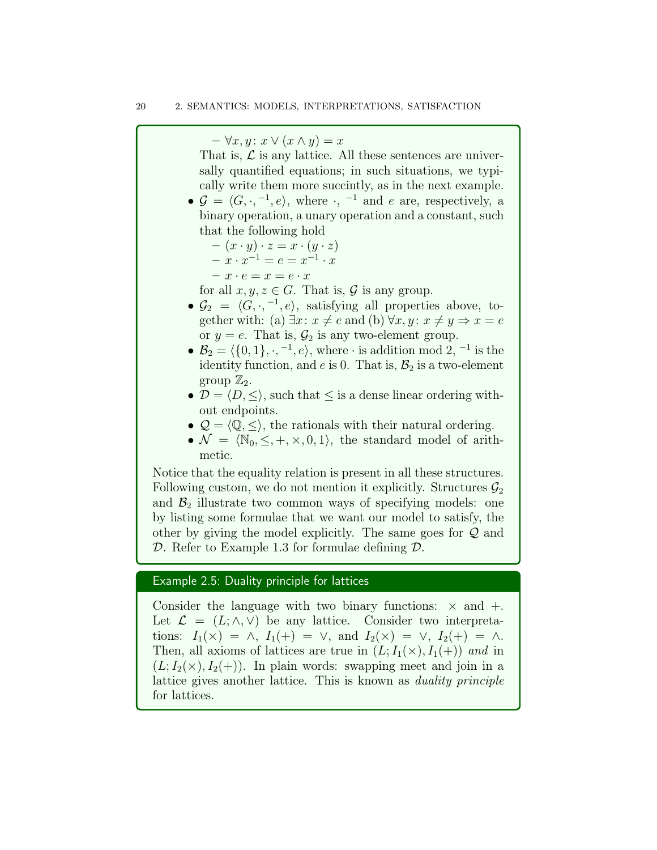$-\forall x, y \colon x \lor (x \land y) = x$ 

That is,  $\mathcal L$  is any lattice. All these sentences are universally quantified equations; in such situations, we typically write them more succintly, as in the next example.

•  $\mathcal{G} = \langle G, \cdot, ^{-1}, e \rangle$ , where  $\cdot, ^{-1}$  and e are, respectively, a binary operation, a unary operation and a constant, such that the following hold

$$
- (x \cdot y) \cdot z = x \cdot (y \cdot z)
$$
  

$$
- x \cdot x^{-1} = e = x^{-1} \cdot x
$$

$$
- x \cdot e = x = e \cdot x
$$

for all  $x, y, z \in G$ . That is,  $\mathcal G$  is any group.

- $\mathcal{G}_2 = \langle G, \cdot, \cdot^{-1}, e \rangle$ , satisfying all properties above, together with: (a)  $\exists x: x \neq e$  and (b)  $\forall x, y: x \neq y \Rightarrow x = e$ or  $y = e$ . That is,  $\mathcal{G}_2$  is any two-element group.
- $\mathcal{B}_2 = \langle \{0, 1\}, \cdot, \overline{\phantom{0}}^{-1}, e \rangle$ , where  $\cdot$  is addition mod 2,  $^{-1}$  is the identity function, and  $e$  is 0. That is,  $\mathcal{B}_2$  is a two-element group  $\mathbb{Z}_2$ .
- $\mathcal{D} = \langle D, \leq \rangle$ , such that  $\leq$  is a dense linear ordering without endpoints.
- $\mathcal{Q} = \langle \mathbb{Q}, \leq \rangle$ , the rationals with their natural ordering.
- $\mathcal{N} = \langle \mathbb{N}_0, \leq, +, \times, 0, 1 \rangle$ , the standard model of arithmetic.

Notice that the equality relation is present in all these structures. Following custom, we do not mention it explicitly. Structures  $\mathcal{G}_2$ and  $\mathcal{B}_2$  illustrate two common ways of specifying models: one by listing some formulae that we want our model to satisfy, the other by giving the model explicitly. The same goes for  $\mathcal Q$  and D. Refer to Example 1.3 for formulae defining  $\mathcal{D}$ .

## Example 2.5: Duality principle for lattices

Consider the language with two binary functions:  $\times$  and  $+$ . Let  $\mathcal{L} = (L; \wedge, \vee)$  be any lattice. Consider two interpretations:  $I_1(\times) = \wedge$ ,  $I_1(+) = \vee$ , and  $I_2(\times) = \vee$ ,  $I_2(+) = \wedge$ . Then, all axioms of lattices are true in  $(L; I_1(\times), I_1(+))$  and in  $(L; I_2(\times), I_2(\div))$ . In plain words: swapping meet and join in a lattice gives another lattice. This is known as duality principle for lattices.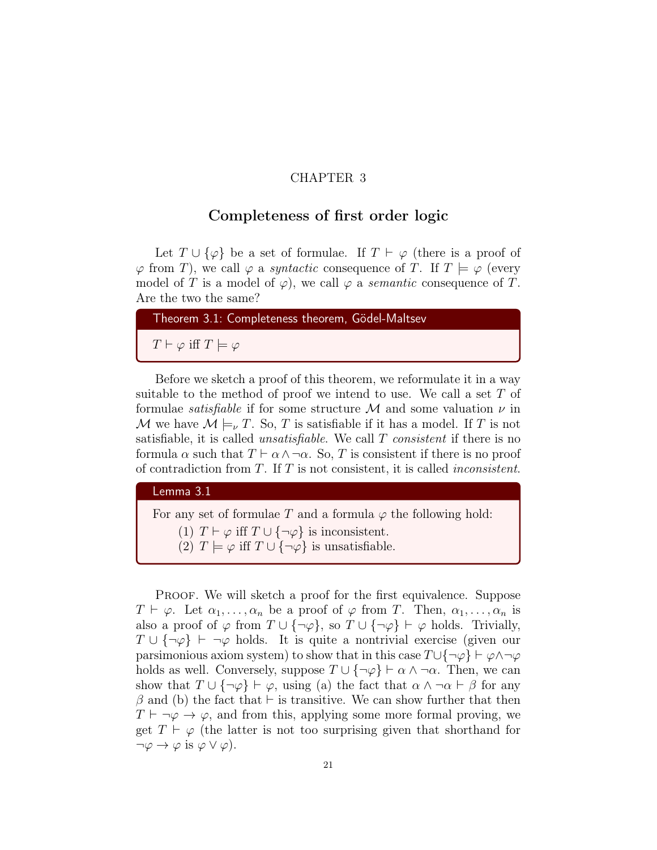## CHAPTER 3

## Completeness of first order logic

Let  $T \cup {\varphi}$  be a set of formulae. If  $T \vdash \varphi$  (there is a proof of  $\varphi$  from T), we call  $\varphi$  a *syntactic* consequence of T. If  $T \models \varphi$  (every model of T is a model of  $\varphi$ ), we call  $\varphi$  a *semantic* consequence of T. Are the two the same?

Theorem 3.1: Completeness theorem, Gödel-Maltsev  $T \vdash \varphi$  iff  $T \models \varphi$ 

Before we sketch a proof of this theorem, we reformulate it in a way suitable to the method of proof we intend to use. We call a set  $T$  of formulae *satisfiable* if for some structure M and some valuation  $\nu$  in M we have  $M \models_{\nu} T$ . So, T is satisfiable if it has a model. If T is not satisfiable, it is called *unsatisfiable*. We call  $T$  *consistent* if there is no formula  $\alpha$  such that  $T \vdash \alpha \wedge \neg \alpha$ . So, T is consistent if there is no proof of contradiction from  $T$ . If  $T$  is not consistent, it is called *inconsistent*.

Lemma 3.1

For any set of formulae T and a formula  $\varphi$  the following hold: (1)  $T \vdash \varphi$  iff  $T \cup {\neg \varphi}$  is inconsistent. (2)  $T \models \varphi$  iff  $T \cup {\neg \varphi}$  is unsatisfiable.

PROOF. We will sketch a proof for the first equivalence. Suppose  $T \vdash \varphi$ . Let  $\alpha_1, \ldots, \alpha_n$  be a proof of  $\varphi$  from T. Then,  $\alpha_1, \ldots, \alpha_n$  is also a proof of  $\varphi$  from  $T \cup {\neg \varphi}$ , so  $T \cup {\neg \varphi} \vdash \varphi$  holds. Trivially,  $T \cup {\neg \varphi} \vdash \neg \varphi$  holds. It is quite a nontrivial exercise (given our parsimonious axiom system) to show that in this case  $T\cup\{\neg\varphi\} \vdash \varphi \wedge \neg\varphi$ holds as well. Conversely, suppose  $T \cup \{\neg \varphi\} \vdash \alpha \wedge \neg \alpha$ . Then, we can show that  $T \cup {\neg \varphi} \vdash \varphi$ , using (a) the fact that  $\alpha \wedge \neg \alpha \vdash \beta$  for any  $\beta$  and (b) the fact that  $\vdash$  is transitive. We can show further that then  $T \vdash \neg \varphi \rightarrow \varphi$ , and from this, applying some more formal proving, we get  $T \vdash \varphi$  (the latter is not too surprising given that shorthand for  $\neg \varphi \rightarrow \varphi$  is  $\varphi \vee \varphi$ ).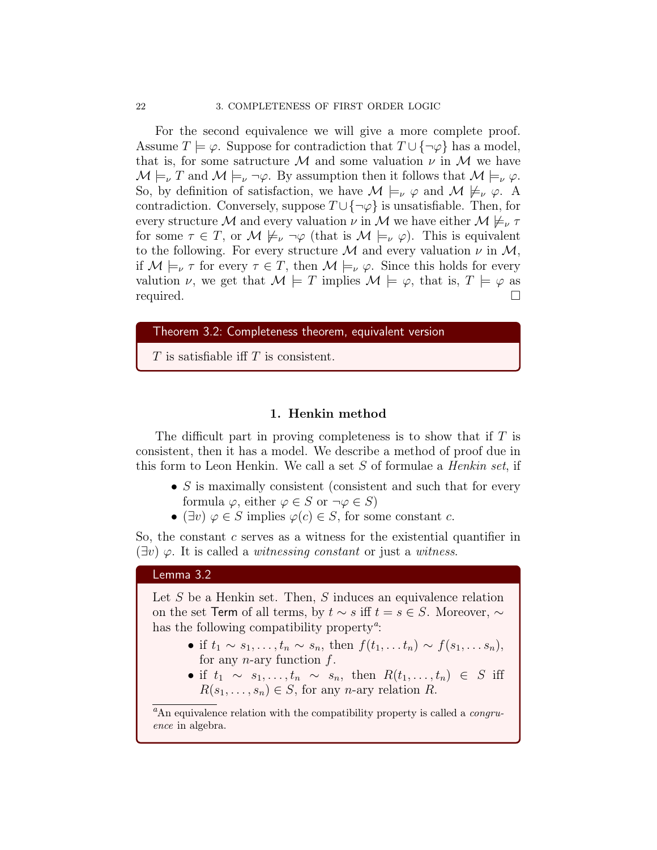For the second equivalence we will give a more complete proof. Assume  $T \models \varphi$ . Suppose for contradiction that  $T \cup {\neg \varphi}$  has a model, that is, for some satructure M and some valuation  $\nu$  in M we have  $\mathcal{M} \models_{\nu} T$  and  $\mathcal{M} \models_{\nu} \neg \varphi$ . By assumption then it follows that  $\mathcal{M} \models_{\nu} \varphi$ . So, by definition of satisfaction, we have  $\mathcal{M} \models_{\nu} \varphi$  and  $\mathcal{M} \not\models_{\nu} \varphi$ . A contradiction. Conversely, suppose  $T \cup \{\neg \varphi\}$  is unsatisfiable. Then, for every structure M and every valuation  $\nu$  in M we have either  $M \not\models_{\nu} \tau$ for some  $\tau \in T$ , or  $\mathcal{M} \not\models_{\nu} \neg \varphi$  (that is  $\mathcal{M} \models_{\nu} \varphi$ ). This is equivalent to the following. For every structure M and every valuation  $\nu$  in M, if  $M \models_{\nu} \tau$  for every  $\tau \in T$ , then  $M \models_{\nu} \varphi$ . Since this holds for every valution  $\nu$ , we get that  $\mathcal{M} \models T$  implies  $\mathcal{M} \models \varphi$ , that is,  $T \models \varphi$  as required.

#### Theorem 3.2: Completeness theorem, equivalent version

T is satisfiable if T is consistent.

#### 1. Henkin method

The difficult part in proving completeness is to show that if  $T$  is consistent, then it has a model. We describe a method of proof due in this form to Leon Henkin. We call a set  $S$  of formulae a *Henkin set*, if

- $S$  is maximally consistent (consistent and such that for every formula  $\varphi$ , either  $\varphi \in S$  or  $\neg \varphi \in S$ )
- ( $\exists v$ )  $\varphi \in S$  implies  $\varphi(c) \in S$ , for some constant c.

So, the constant  $c$  serves as a witness for the existential quantifier in  $(\exists v) \varphi$ . It is called a *witnessing constant* or just a *witness*.

## Lemma 3.2

Let  $S$  be a Henkin set. Then,  $S$  induces an equivalence relation on the set Term of all terms, by  $t \sim s$  iff  $t = s \in S$ . Moreover,  $\sim$ has the following compatibility property<sup> $a$ </sup>:

- if  $t_1 \sim s_1, \ldots, t_n \sim s_n$ , then  $f(t_1, \ldots t_n) \sim f(s_1, \ldots s_n)$ , for any n-ary function  $f$ .
- if  $t_1 \sim s_1, \ldots, t_n \sim s_n$ , then  $R(t_1, \ldots, t_n) \in S$  iff  $R(s_1, \ldots, s_n) \in S$ , for any *n*-ary relation R.

 ${}^a$ An equivalence relation with the compatibility property is called a *congru*ence in algebra.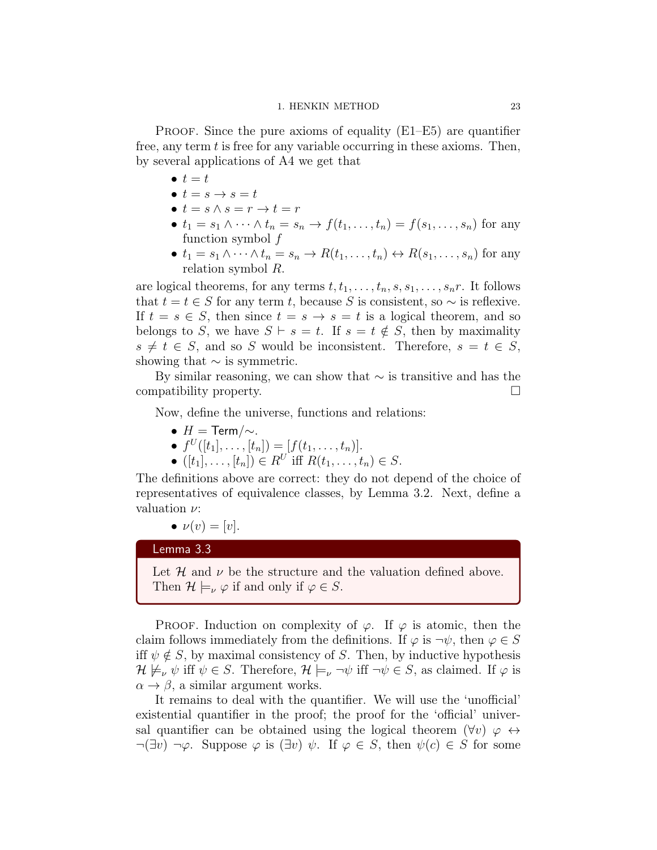#### 1. HENKIN METHOD 23

PROOF. Since the pure axioms of equality  $(E1-E5)$  are quantifier free, any term  $t$  is free for any variable occurring in these axioms. Then, by several applications of A4 we get that

- $\bullet$   $t=t$
- $t = s \rightarrow s = t$
- $t = s \wedge s = r \rightarrow t = r$
- $t_1 = s_1 \wedge \cdots \wedge t_n = s_n \rightarrow f(t_1, \ldots, t_n) = f(s_1, \ldots, s_n)$  for any function symbol  $f$
- $t_1 = s_1 \wedge \cdots \wedge t_n = s_n \rightarrow R(t_1, \ldots, t_n) \leftrightarrow R(s_1, \ldots, s_n)$  for any relation symbol R.

are logical theorems, for any terms  $t, t_1, \ldots, t_n, s, s_1, \ldots, s_n r$ . It follows that  $t = t \in S$  for any term t, because S is consistent, so  $\sim$  is reflexive. If  $t = s \in S$ , then since  $t = s \rightarrow s = t$  is a logical theorem, and so belongs to S, we have  $S \vdash s = t$ . If  $s = t \notin S$ , then by maximality  $s \neq t \in S$ , and so S would be inconsistent. Therefore,  $s = t \in S$ , showing that  $\sim$  is symmetric.

By similar reasoning, we can show that  $\sim$  is transitive and has the compatibility property.

Now, define the universe, functions and relations:

- $H = \text{Term}/\sim$ .
- $f^U([t_1], \ldots, [t_n]) = [f(t_1, \ldots, t_n)].$
- $([t_1], \ldots, [t_n]) \in R^U$  iff  $R(t_1, \ldots, t_n) \in S$ .

The definitions above are correct: they do not depend of the choice of representatives of equivalence classes, by Lemma 3.2. Next, define a valuation  $\nu$ :

$$
\bullet \ \nu(v) = [v].
$$

Lemma 3.3

Let  $\mathcal H$  and  $\nu$  be the structure and the valuation defined above. Then  $\mathcal{H} \models_{\nu} \varphi$  if and only if  $\varphi \in S$ .

PROOF. Induction on complexity of  $\varphi$ . If  $\varphi$  is atomic, then the claim follows immediately from the definitions. If  $\varphi$  is  $\neg \psi$ , then  $\varphi \in S$ iff  $\psi \notin S$ , by maximal consistency of S. Then, by inductive hypothesis  $\mathcal{H} \not\models_{\nu} \psi$  iff  $\psi \in S$ . Therefore,  $\mathcal{H} \models_{\nu} \neg \psi$  iff  $\neg \psi \in S$ , as claimed. If  $\varphi$  is  $\alpha \rightarrow \beta$ , a similar argument works.

It remains to deal with the quantifier. We will use the 'unofficial' existential quantifier in the proof; the proof for the 'official' universal quantifier can be obtained using the logical theorem  $(\forall v) \varphi \leftrightarrow$  $\neg(\exists v) \neg \varphi$ . Suppose  $\varphi$  is  $(\exists v) \psi$ . If  $\varphi \in S$ , then  $\psi(c) \in S$  for some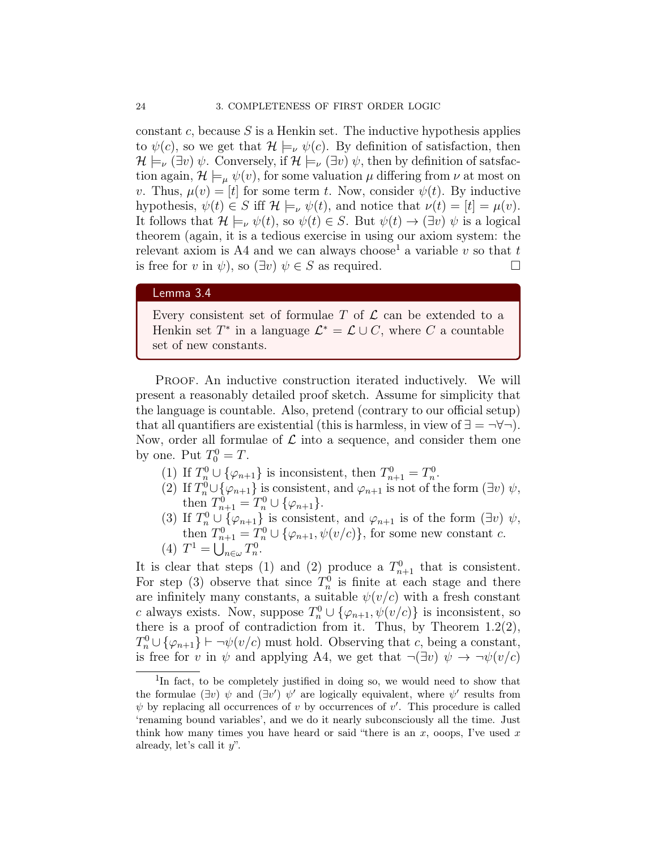constant c, because  $S$  is a Henkin set. The inductive hypothesis applies to  $\psi(c)$ , so we get that  $\mathcal{H} \models_{\nu} \psi(c)$ . By definition of satisfaction, then  $\mathcal{H} \models_{\nu} (\exists v) \psi$ . Conversely, if  $\mathcal{H} \models_{\nu} (\exists v) \psi$ , then by definition of satsfaction again,  $\mathcal{H} \models_{\mu} \psi(v)$ , for some valuation  $\mu$  differing from  $\nu$  at most on v. Thus,  $\mu(v) = [t]$  for some term t. Now, consider  $\psi(t)$ . By inductive hypothesis,  $\psi(t) \in S$  iff  $\mathcal{H} \models_{\nu} \psi(t)$ , and notice that  $\nu(t) = [t] = \mu(v)$ . It follows that  $\mathcal{H} \models_{\nu} \psi(t)$ , so  $\psi(t) \in S$ . But  $\psi(t) \to (\exists v) \psi$  is a logical theorem (again, it is a tedious exercise in using our axiom system: the relevant axiom is A4 and we can always choose<sup>1</sup> a variable v so that t is free for v in  $\psi$ ), so  $(\exists v)$   $\psi \in S$  as required.

## Lemma 3.4

Every consistent set of formulae  $T$  of  $\mathcal L$  can be extended to a Henkin set  $T^*$  in a language  $\mathcal{L}^* = \mathcal{L} \cup C$ , where C a countable set of new constants.

PROOF. An inductive construction iterated inductively. We will present a reasonably detailed proof sketch. Assume for simplicity that the language is countable. Also, pretend (contrary to our official setup) that all quantifiers are existential (this is harmless, in view of  $\exists = \neg \forall \neg$ ). Now, order all formulae of  $\mathcal L$  into a sequence, and consider them one by one. Put  $T_0^0 = T$ .

- (1) If  $T_n^0 \cup {\varphi_{n+1}}$  is inconsistent, then  $T_{n+1}^0 = T_n^0$ .
- (2) If  $T_n^0 \cup {\varphi_{n+1}}$  is consistent, and  $\varphi_{n+1}$  is not of the form  $(\exists v) \psi$ , then  $T_{n+1}^0 = T_n^0 \cup {\varphi_{n+1}}$ .
- (3) If  $T_n^0 \cup {\varphi_{n+1}}$  is consistent, and  $\varphi_{n+1}$  is of the form  $(\exists v) \psi$ , then  $T_{n+1}^0 = T_n^0 \cup {\varphi_{n+1}, \psi(v/c)}$ , for some new constant c. (4)  $T^1 = \bigcup_{n \in \omega} T_n^0$ .

It is clear that steps (1) and (2) produce a  $T_{n+1}^0$  that is consistent. For step (3) observe that since  $T_n^0$  is finite at each stage and there are infinitely many constants, a suitable  $\psi(v/c)$  with a fresh constant c always exists. Now, suppose  $T_n^0 \cup {\varphi_{n+1}, \psi(v/c)}$  is inconsistent, so there is a proof of contradiction from it. Thus, by Theorem  $1.2(2)$ ,  $T_n^0 \cup {\varphi_{n+1}}$   $\vdash \neg \psi(v/c)$  must hold. Observing that c, being a constant, is free for v in  $\psi$  and applying A4, we get that  $\neg(\exists v) \ \psi \rightarrow \neg \psi(v/c)$ 

<sup>&</sup>lt;sup>1</sup>In fact, to be completely justified in doing so, we would need to show that the formulae  $(\exists v) \psi$  and  $(\exists v') \psi'$  are logically equivalent, where  $\psi'$  results from  $\psi$  by replacing all occurrences of v by occurrences of v'. This procedure is called 'renaming bound variables', and we do it nearly subconsciously all the time. Just think how many times you have heard or said "there is an x, ooops, I've used x already, let's call it  $y$ ".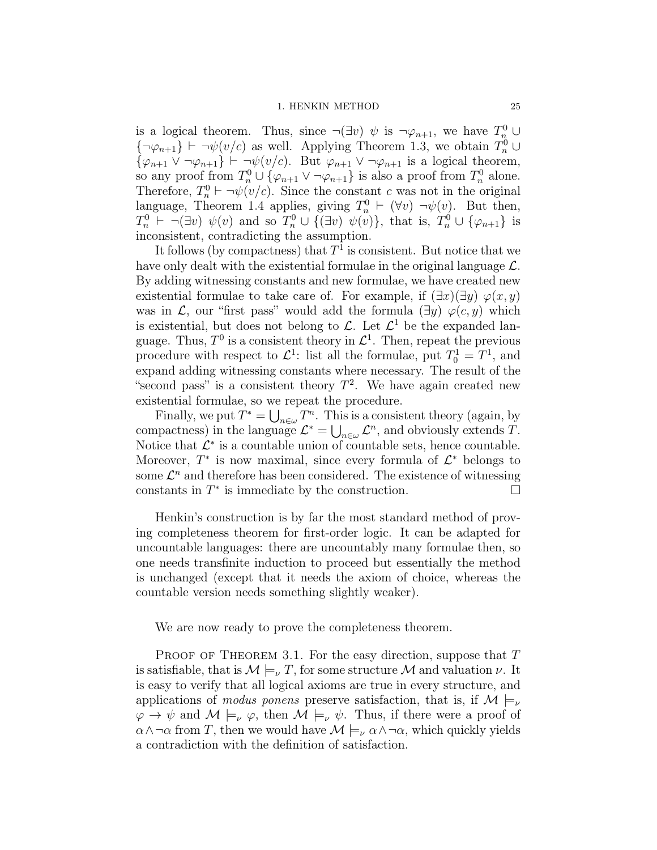#### 1. HENKIN METHOD 25

is a logical theorem. Thus, since  $\neg(\exists v)\psi$  is  $\neg \varphi_{n+1}$ , we have  $T_n^0 \cup$  $\{\neg \varphi_{n+1}\}\vdash \neg \psi(v/c)$  as well. Applying Theorem 1.3, we obtain  $T_n^0\cup$  $\{\varphi_{n+1} \vee \neg \varphi_{n+1}\}\vdash \neg \psi(v/c)$ . But  $\varphi_{n+1} \vee \neg \varphi_{n+1}$  is a logical theorem, so any proof from  $T_n^0 \cup {\varphi_{n+1} \vee \neg \varphi_{n+1}}$  is also a proof from  $T_n^0$  alone. Therefore,  $T_n^0 \vdash \neg \psi(v/c)$ . Since the constant c was not in the original language, Theorem 1.4 applies, giving  $T_n^0 \vdash (\forall v) \neg \psi(v)$ . But then,  $T_n^0 \vdash \neg (\exists v) \psi(v)$  and so  $T_n^0 \cup \{(\exists v) \psi(v)\},$  that is,  $T_n^0 \cup \{\varphi_{n+1}\}$  is inconsistent, contradicting the assumption.

It follows (by compactness) that  $T^1$  is consistent. But notice that we have only dealt with the existential formulae in the original language  $\mathcal{L}$ . By adding witnessing constants and new formulae, we have created new existential formulae to take care of. For example, if  $(\exists x)(\exists y) \varphi(x, y)$ was in  $\mathcal{L}$ , our "first pass" would add the formula  $(\exists y) \varphi(c, y)$  which is existential, but does not belong to  $\mathcal{L}$ . Let  $\mathcal{L}^1$  be the expanded language. Thus,  $T^0$  is a consistent theory in  $\mathcal{L}^1$ . Then, repeat the previous procedure with respect to  $\mathcal{L}^1$ : list all the formulae, put  $T_0^1 = T^1$ , and expand adding witnessing constants where necessary. The result of the "second pass" is a consistent theory  $T^2$ . We have again created new existential formulae, so we repeat the procedure.

Finally, we put  $T^* = \bigcup_{n \in \omega} T^n$ . This is a consistent theory (again, by compactness) in the language  $\mathcal{L}^* = \bigcup_{n \in \omega} \mathcal{L}^n$ , and obviously extends T. Notice that  $\mathcal{L}^*$  is a countable union of countable sets, hence countable. Moreover,  $T^*$  is now maximal, since every formula of  $\mathcal{L}^*$  belongs to some  $\mathcal{L}^n$  and therefore has been considered. The existence of witnessing constants in  $T^*$  is immediate by the construction.

Henkin's construction is by far the most standard method of proving completeness theorem for first-order logic. It can be adapted for uncountable languages: there are uncountably many formulae then, so one needs transfinite induction to proceed but essentially the method is unchanged (except that it needs the axiom of choice, whereas the countable version needs something slightly weaker).

We are now ready to prove the completeness theorem.

PROOF OF THEOREM 3.1. For the easy direction, suppose that  $T$ is satisfiable, that is  $\mathcal{M} \models_{\nu} T$ , for some structure  $\mathcal M$  and valuation  $\nu$ . It is easy to verify that all logical axioms are true in every structure, and applications of *modus ponens* preserve satisfaction, that is, if  $\mathcal{M} \models_{\nu}$  $\varphi \to \psi$  and  $\mathcal{M} \models_{\nu} \varphi$ , then  $\mathcal{M} \models_{\nu} \psi$ . Thus, if there were a proof of  $\alpha \wedge \neg \alpha$  from T, then we would have  $\mathcal{M} \models_{\nu} \alpha \wedge \neg \alpha$ , which quickly yields a contradiction with the definition of satisfaction.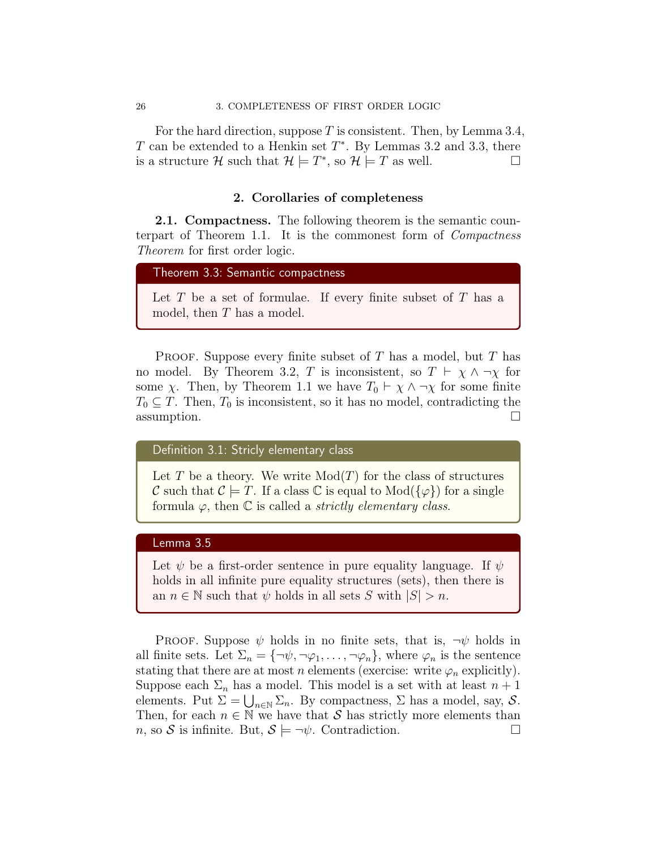For the hard direction, suppose T is consistent. Then, by Lemma 3.4, T can be extended to a Henkin set  $T^*$ . By Lemmas 3.2 and 3.3, there is a structure H such that  $\mathcal{H} \models T^*$ , so  $\mathcal{H} \models T$  as well.

#### 2. Corollaries of completeness

**2.1. Compactness.** The following theorem is the semantic counterpart of Theorem 1.1. It is the commonest form of Compactness Theorem for first order logic.

```
Theorem 3.3: Semantic compactness
```
Let  $T$  be a set of formulae. If every finite subset of  $T$  has a model, then T has a model.

**PROOF.** Suppose every finite subset of T has a model, but T has no model. By Theorem 3.2, T is inconsistent, so  $T \vdash \chi \wedge \neg \chi$  for some  $\chi$ . Then, by Theorem 1.1 we have  $T_0 \vdash \chi \wedge \neg \chi$  for some finite  $T_0 \subseteq T$ . Then,  $T_0$  is inconsistent, so it has no model, contradicting the assumption.

Definition 3.1: Stricly elementary class

Let T be a theory. We write  $Mod(T)$  for the class of structures C such that  $C \models T$ . If a class C is equal to  $Mod({\{\varphi\}})$  for a single formula  $\varphi$ , then  $\mathbb C$  is called a *strictly elementary class.* 

## Lemma 3.5

Let  $\psi$  be a first-order sentence in pure equality language. If  $\psi$ holds in all infinite pure equality structures (sets), then there is an  $n \in \mathbb{N}$  such that  $\psi$  holds in all sets S with  $|S| > n$ .

PROOF. Suppose  $\psi$  holds in no finite sets, that is,  $\neg \psi$  holds in all finite sets. Let  $\Sigma_n = {\neg \psi, \neg \varphi_1, \dots, \neg \varphi_n}$ , where  $\varphi_n$  is the sentence stating that there are at most *n* elements (exercise: write  $\varphi_n$  explicitly). Suppose each  $\Sigma_n$  has a model. This model is a set with at least  $n+1$ elements. Put  $\Sigma = \bigcup_{n \in \mathbb{N}} \Sigma_n$ . By compactness,  $\Sigma$  has a model, say,  $S$ . Then, for each  $n \in \mathbb{N}$  we have that S has strictly more elements than  $n$ , so S is infinite. But,  $S \models \neg \psi$ . Contradiction.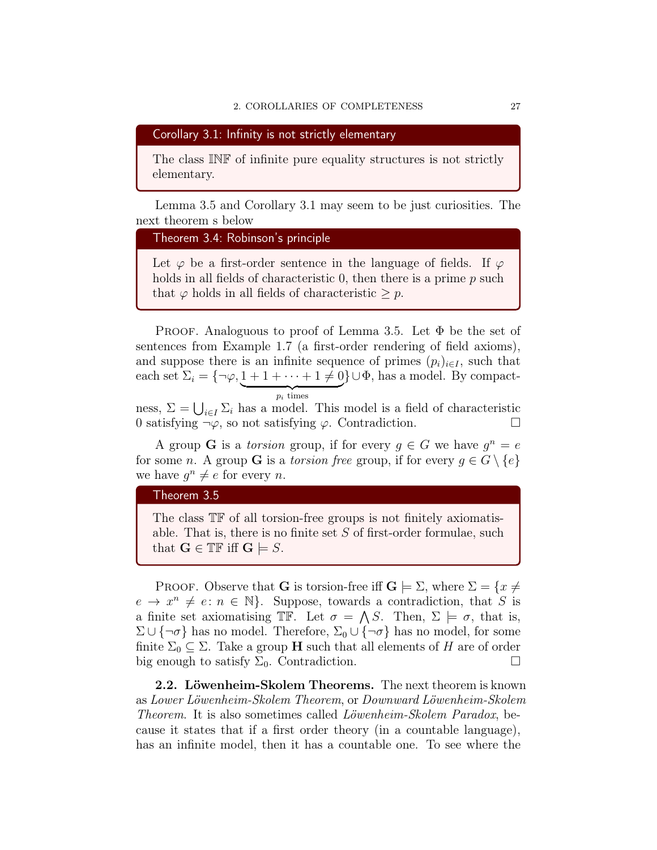Corollary 3.1: Infinity is not strictly elementary

The class INF of infinite pure equality structures is not strictly elementary.

Lemma 3.5 and Corollary 3.1 may seem to be just curiosities. The next theorem s below

```
Theorem 3.4: Robinson's principle
```
Let  $\varphi$  be a first-order sentence in the language of fields. If  $\varphi$ holds in all fields of characteristic 0, then there is a prime p such that  $\varphi$  holds in all fields of characteristic  $\geq p$ .

PROOF. Analoguous to proof of Lemma 3.5. Let  $\Phi$  be the set of sentences from Example 1.7 (a first-order rendering of field axioms), and suppose there is an infinite sequence of primes  $(p_i)_{i\in I}$ , such that each set  $\Sigma_i = \{\neg \varphi, 1 + 1 + \cdots + 1 \neq 0\} \cup \Phi$ , has a model. By compact- ${p_i}$  times

ness,  $\Sigma = \bigcup_{i \in I} \Sigma_i$  has a model. This model is a field of characteristic 0 satisfying  $\neg \varphi$ , so not satisfying  $\varphi$ . Contradiction.

A group **G** is a torsion group, if for every  $g \in G$  we have  $g^n = e$ for some n. A group **G** is a torsion free group, if for every  $g \in G \setminus \{e\}$ we have  $g^n \neq e$  for every *n*.

## Theorem 3.5

The class TF of all torsion-free groups is not finitely axiomatisable. That is, there is no finite set  $S$  of first-order formulae, such that  $\mathbf{G} \in \mathbb{TF}$  iff  $\mathbf{G} \models S$ .

PROOF. Observe that **G** is torsion-free iff  $\mathbf{G} \models \Sigma$ , where  $\Sigma = \{x \neq 0\}$  $e \to x^n \neq e: n \in \mathbb{N}$ . Suppose, towards a contradiction, that S is a finite set axiomatising TF. Let  $\sigma = \bigwedge S$ . Then,  $\Sigma \models \sigma$ , that is,  $\Sigma \cup \{\neg \sigma\}$  has no model. Therefore,  $\Sigma_0 \cup \{\neg \sigma\}$  has no model, for some finite  $\Sigma_0 \subseteq \Sigma$ . Take a group **H** such that all elements of H are of order big enough to satisfy  $\Sigma_0$ . Contradiction.

2.2. Löwenheim-Skolem Theorems. The next theorem is known as Lower Löwenheim-Skolem Theorem, or Downward Löwenheim-Skolem Theorem. It is also sometimes called Löwenheim-Skolem Paradox, because it states that if a first order theory (in a countable language), has an infinite model, then it has a countable one. To see where the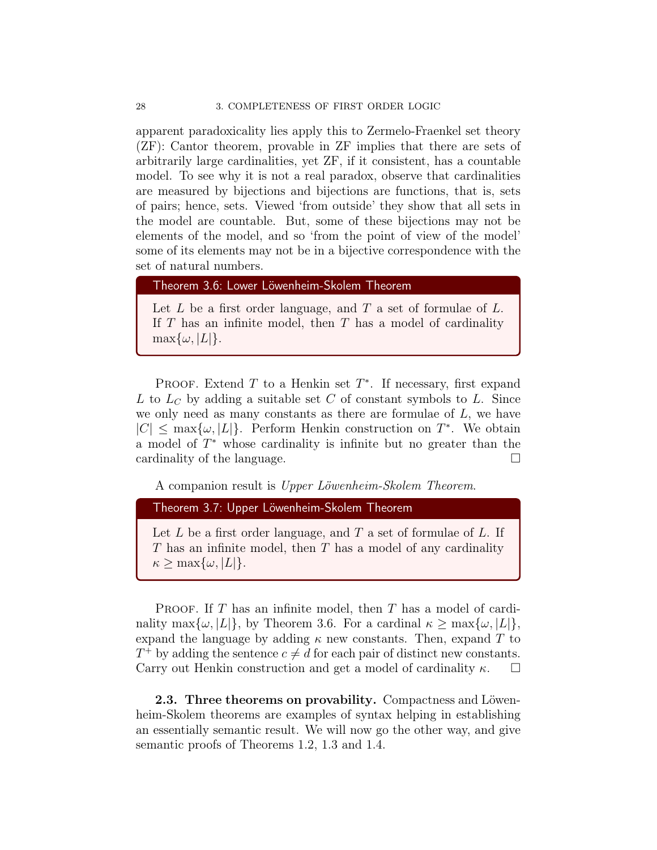apparent paradoxicality lies apply this to Zermelo-Fraenkel set theory (ZF): Cantor theorem, provable in ZF implies that there are sets of arbitrarily large cardinalities, yet ZF, if it consistent, has a countable model. To see why it is not a real paradox, observe that cardinalities are measured by bijections and bijections are functions, that is, sets of pairs; hence, sets. Viewed 'from outside' they show that all sets in the model are countable. But, some of these bijections may not be elements of the model, and so 'from the point of view of the model' some of its elements may not be in a bijective correspondence with the set of natural numbers.

Theorem 3.6: Lower Löwenheim-Skolem Theorem

Let  $L$  be a first order language, and  $T$  a set of formulae of  $L$ . If  $T$  has an infinite model, then  $T$  has a model of cardinality  $\max\{\omega, |L|\}.$ 

PROOF. Extend  $T$  to a Henkin set  $T^*$ . If necessary, first expand L to  $L<sub>C</sub>$  by adding a suitable set C of constant symbols to L. Since we only need as many constants as there are formulae of  $L$ , we have  $|C| \leq \max\{\omega, |L|\}.$  Perform Henkin construction on  $T^*$ . We obtain a model of  $T^*$  whose cardinality is infinite but no greater than the cardinality of the language.

A companion result is Upper Löwenheim-Skolem Theorem.

Theorem 3.7: Upper Löwenheim-Skolem Theorem

Let  $L$  be a first order language, and  $T$  a set of formulae of  $L$ . If  $T$  has an infinite model, then  $T$  has a model of any cardinality  $\kappa > \max\{\omega, |L|\}.$ 

**PROOF.** If T has an infinite model, then T has a model of cardinality max $\{\omega, |L|\}$ , by Theorem 3.6. For a cardinal  $\kappa \geq \max{\{\omega, |L|\}}$ , expand the language by adding  $\kappa$  new constants. Then, expand T to  $T^+$  by adding the sentence  $c \neq d$  for each pair of distinct new constants. Carry out Henkin construction and get a model of cardinality  $\kappa$ .  $\Box$ 

2.3. Three theorems on provability. Compactness and Löwenheim-Skolem theorems are examples of syntax helping in establishing an essentially semantic result. We will now go the other way, and give semantic proofs of Theorems 1.2, 1.3 and 1.4.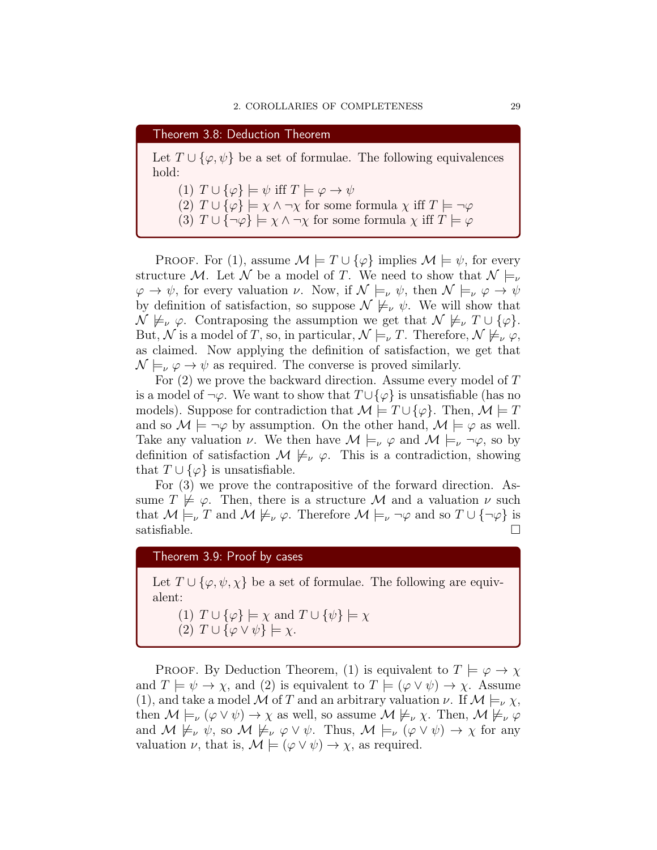Theorem 3.8: Deduction Theorem Let  $T \cup {\varphi, \psi}$  be a set of formulae. The following equivalences hold: (1)  $T \cup {\varphi} \models \psi$  iff  $T \models \varphi \rightarrow \psi$ (2)  $T \cup {\varphi} \models \chi \land \neg \chi$  for some formula  $\chi$  iff  $T \models \neg \varphi$ (3)  $T \cup {\neg \varphi} \models \chi \land \neg \chi$  for some formula  $\chi$  iff  $T \models \varphi$ 

PROOF. For (1), assume  $\mathcal{M} \models T \cup \{\varphi\}$  implies  $\mathcal{M} \models \psi$ , for every structure M. Let N be a model of T. We need to show that  $\mathcal{N} \models_{\nu}$  $\varphi \to \psi$ , for every valuation  $\nu$ . Now, if  $\mathcal{N} \models_{\nu} \psi$ , then  $\mathcal{N} \models_{\nu} \varphi \to \psi$ by definition of satisfaction, so suppose  $\mathcal{N} \not\models_{\nu} \psi$ . We will show that  $\mathcal{N} \not\models_{\nu} \varphi$ . Contraposing the assumption we get that  $\mathcal{N} \not\models_{\nu} T \cup {\varphi}.$ But, N is a model of T, so, in particular,  $\mathcal{N} \models_{\nu} T$ . Therefore,  $\mathcal{N} \not\models_{\nu} \varphi$ , as claimed. Now applying the definition of satisfaction, we get that  $\mathcal{N} \models_{\nu} \varphi \rightarrow \psi$  as required. The converse is proved similarly.

For (2) we prove the backward direction. Assume every model of T is a model of  $\neg \varphi$ . We want to show that  $T \cup {\varphi}$  is unsatisfiable (has no models). Suppose for contradiction that  $\mathcal{M} \models T \cup \{\varphi\}$ . Then,  $\mathcal{M} \models T$ and so  $\mathcal{M} \models \neg \varphi$  by assumption. On the other hand,  $\mathcal{M} \models \varphi$  as well. Take any valuation v. We then have  $\mathcal{M} \models_{\nu} \varphi$  and  $\mathcal{M} \models_{\nu} \neg \varphi$ , so by definition of satisfaction  $\mathcal{M} \not\models_{\nu} \varphi$ . This is a contradiction, showing that  $T \cup {\varphi}$  is unsatisfiable.

For (3) we prove the contrapositive of the forward direction. Assume  $T \not\models \varphi$ . Then, there is a structure M and a valuation  $\nu$  such that  $M \models_{\nu} T$  and  $M \not\models_{\nu} \varphi$ . Therefore  $M \models_{\nu} \neg \varphi$  and so  $T \cup {\neg \varphi}$  is satisfiable.

Theorem 3.9: Proof by cases

Let  $T \cup {\varphi, \psi, \chi}$  be a set of formulae. The following are equivalent:

(1)  $T \cup {\varphi} \models \chi$  and  $T \cup {\psi} \models \chi$ 

(2)  $T \cup {\varphi \vee \psi} \models \chi.$ 

PROOF. By Deduction Theorem, (1) is equivalent to  $T \models \varphi \rightarrow \chi$ and  $T \models \psi \rightarrow \chi$ , and (2) is equivalent to  $T \models (\varphi \lor \psi) \rightarrow \chi$ . Assume (1), and take a model M of T and an arbitrary valuation  $\nu$ . If  $\mathcal{M} \models_{\nu} \chi$ , then  $M \models_{\nu} (\varphi \lor \psi) \to \chi$  as well, so assume  $M \not\models_{\nu} \chi$ . Then,  $M \not\models_{\nu} \varphi$ and  $M \not\models_{\nu} \psi$ , so  $M \not\models_{\nu} \varphi \vee \psi$ . Thus,  $M \models_{\nu} (\varphi \vee \psi) \rightarrow \chi$  for any valuation  $\nu$ , that is,  $\mathcal{M} \models (\varphi \lor \psi) \to \chi$ , as required.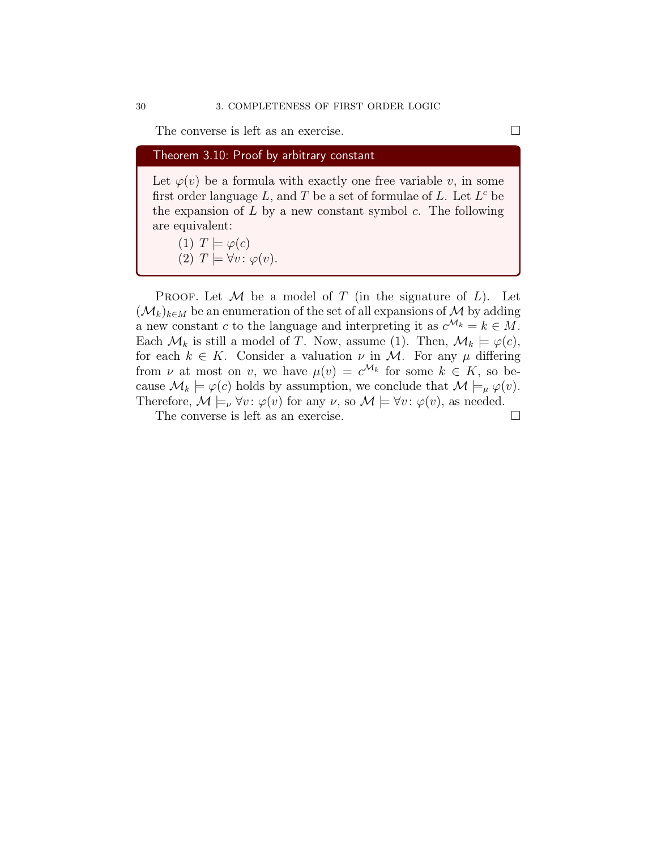The converse is left as an exercise.

Theorem 3.10: Proof by arbitrary constant

Let  $\varphi(v)$  be a formula with exactly one free variable v, in some first order language L, and T be a set of formulae of L. Let  $L^c$  be the expansion of  $L$  by a new constant symbol  $c$ . The following are equivalent:

(1)  $T \models \varphi(c)$ (2)  $T \models \forall v : \varphi(v)$ .

PROOF. Let  $\mathcal M$  be a model of T (in the signature of  $L$ ). Let  $(\mathcal{M}_k)_{k\in M}$  be an enumeration of the set of all expansions of M by adding a new constant c to the language and interpreting it as  $c^{\mathcal{M}_k} = k \in M$ . Each  $\mathcal{M}_k$  is still a model of T. Now, assume (1). Then,  $\mathcal{M}_k \models \varphi(c)$ , for each  $k \in K$ . Consider a valuation  $\nu$  in M. For any  $\mu$  differing from  $\nu$  at most on v, we have  $\mu(v) = c^{\mathcal{M}_k}$  for some  $k \in K$ , so because  $\mathcal{M}_k \models \varphi(c)$  holds by assumption, we conclude that  $\mathcal{M} \models_{\mu} \varphi(v)$ . Therefore,  $\mathcal{M} \models_{\nu} \forall v : \varphi(v)$  for any  $\nu$ , so  $\mathcal{M} \models \forall v : \varphi(v)$ , as needed.

The converse is left as an exercise.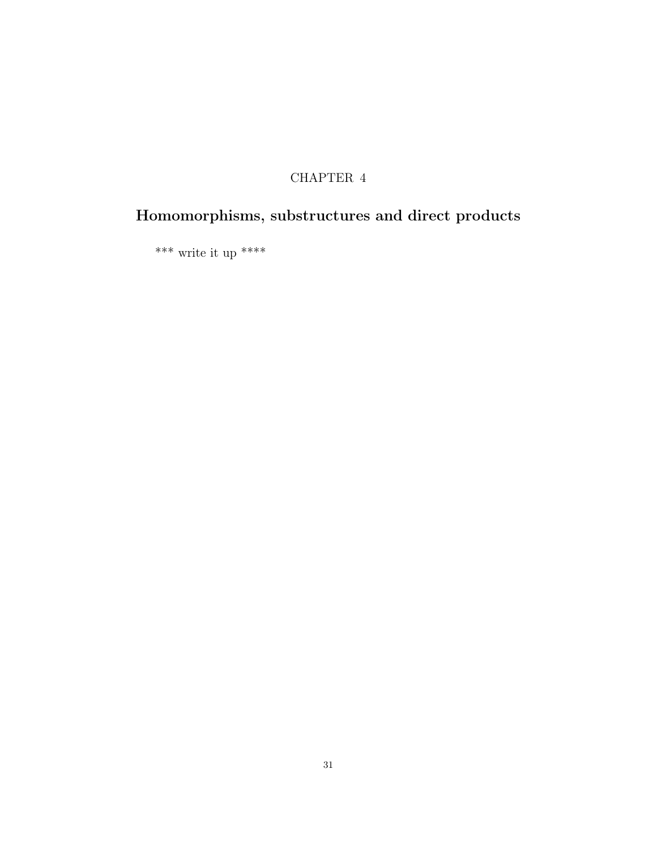# CHAPTER 4

# Homomorphisms, substructures and direct products

\*\*\* write it up \*\*\*\*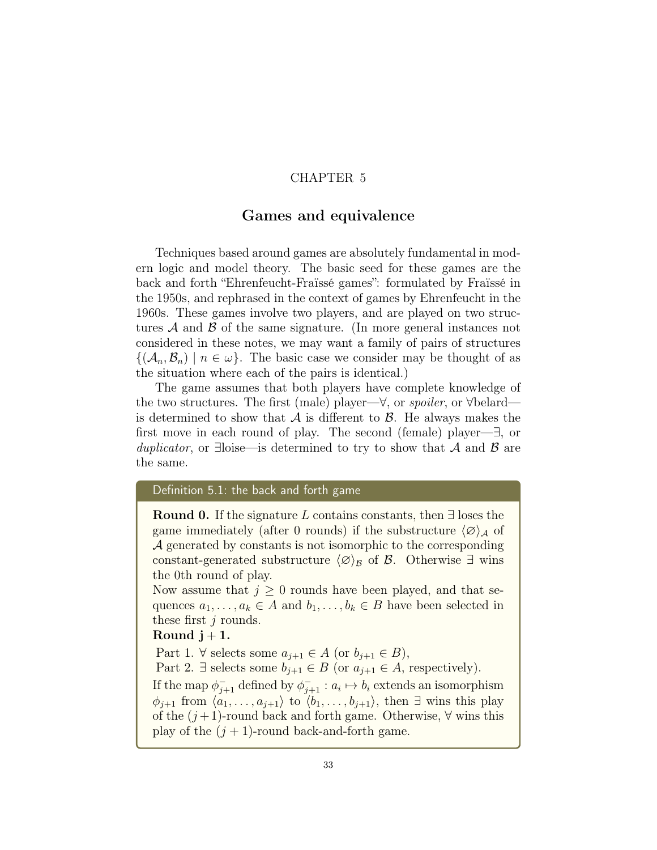## CHAPTER 5

## Games and equivalence

Techniques based around games are absolutely fundamental in modern logic and model theory. The basic seed for these games are the back and forth "Ehrenfeucht-Fraïssé games": formulated by Fraïssé in the 1950s, and rephrased in the context of games by Ehrenfeucht in the 1960s. These games involve two players, and are played on two structures  $\mathcal A$  and  $\mathcal B$  of the same signature. (In more general instances not considered in these notes, we may want a family of pairs of structures  ${({\cal A}_n, {\cal B}_n) \mid n \in \omega}$ . The basic case we consider may be thought of as the situation where each of the pairs is identical.)

The game assumes that both players have complete knowledge of the two structures. The first (male) player—∀, or spoiler, or ∀belard is determined to show that  $A$  is different to  $B$ . He always makes the first move in each round of play. The second (female) player—∃, or duplicator, or ∃loise—is determined to try to show that  $A$  and  $B$  are the same.

## Definition 5.1: the back and forth game

**Round 0.** If the signature L contains constants, then  $\exists$  loses the game immediately (after 0 rounds) if the substructure  $\langle \varnothing \rangle_{\mathcal{A}}$  of A generated by constants is not isomorphic to the corresponding constant-generated substructure  $\langle \varnothing \rangle_{\mathcal{B}}$  of  $\mathcal{B}$ . Otherwise  $\exists$  wins the 0th round of play.

Now assume that  $j \geq 0$  rounds have been played, and that sequences  $a_1, \ldots, a_k \in A$  and  $b_1, \ldots, b_k \in B$  have been selected in these first  $j$  rounds.

## Round  $j+1$ .

Part 1.  $\forall$  selects some  $a_{j+1} \in A$  (or  $b_{j+1} \in B$ ),

Part 2.  $\exists$  selects some  $b_{j+1} \in B$  (or  $a_{j+1} \in A$ , respectively).

If the map  $\phi_{j+1}^-$  defined by  $\phi_{j+1}^- : a_i \mapsto b_i$  extends an isomorphism  $\phi_{j+1}$  from  $\langle a_1, \ldots, a_{j+1} \rangle$  to  $\langle b_1, \ldots, b_{j+1} \rangle$ , then  $\exists$  wins this play of the  $(j+1)$ -round back and forth game. Otherwise,  $\forall$  wins this play of the  $(j + 1)$ -round back-and-forth game.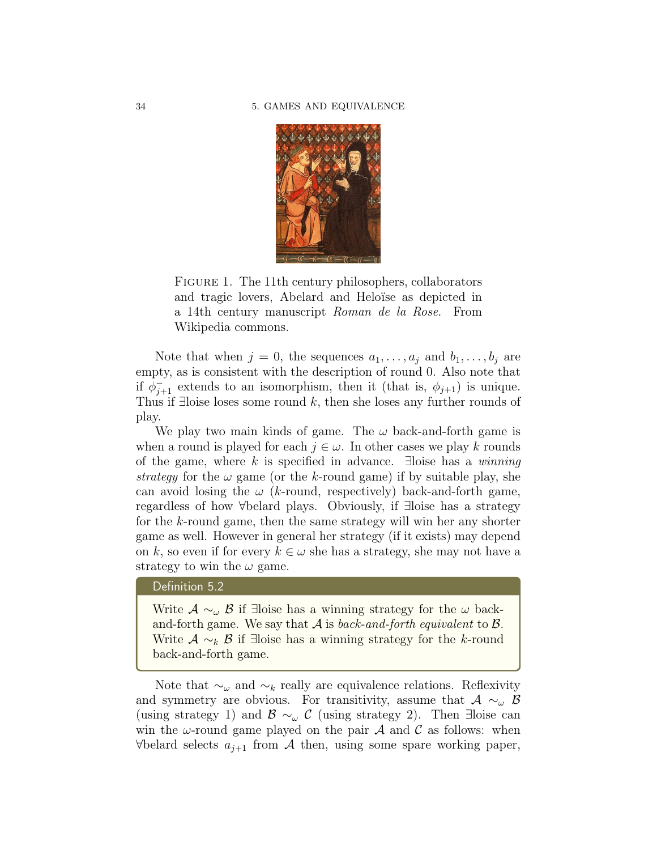

FIGURE 1. The 11<sup>th</sup> century philosophers, collaborators and tragic lovers, Abelard and Heloïse as depicted in a 14th century manuscript Roman de la Rose. From Wikipedia commons.

Note that when  $j = 0$ , the sequences  $a_1, \ldots, a_j$  and  $b_1, \ldots, b_j$  are empty, as is consistent with the description of round 0. Also note that if  $\phi_{j+1}^-$  extends to an isomorphism, then it (that is,  $\phi_{j+1}$ ) is unique. Thus if ∃loise loses some round k, then she loses any further rounds of play.

We play two main kinds of game. The  $\omega$  back-and-forth game is when a round is played for each  $j \in \omega$ . In other cases we play k rounds of the game, where k is specified in advance.  $\exists$ loise has a winning strategy for the  $\omega$  game (or the k-round game) if by suitable play, she can avoid losing the  $\omega$  (*k*-round, respectively) back-and-forth game, regardless of how ∀belard plays. Obviously, if ∃loise has a strategy for the k-round game, then the same strategy will win her any shorter game as well. However in general her strategy (if it exists) may depend on k, so even if for every  $k \in \omega$  she has a strategy, she may not have a strategy to win the  $\omega$  game.

#### Definition 5.2

Write  $\mathcal{A} \sim_{\omega} \mathcal{B}$  if ∃loise has a winning strategy for the  $\omega$  backand-forth game. We say that  $A$  is *back-and-forth equivalent* to  $B$ . Write  $A \sim_k B$  if ∃loise has a winning strategy for the k-round back-and-forth game.

Note that  $\sim_\omega$  and  $\sim_k$  really are equivalence relations. Reflexivity and symmetry are obvious. For transitivity, assume that  $A \sim_\omega B$ (using strategy 1) and  $\mathcal{B} \sim_{\omega} \mathcal{C}$  (using strategy 2). Then ∃loise can win the  $\omega$ -round game played on the pair  $\mathcal A$  and  $\mathcal C$  as follows: when  $\forall$ belard selects  $a_{j+1}$  from  $\mathcal A$  then, using some spare working paper,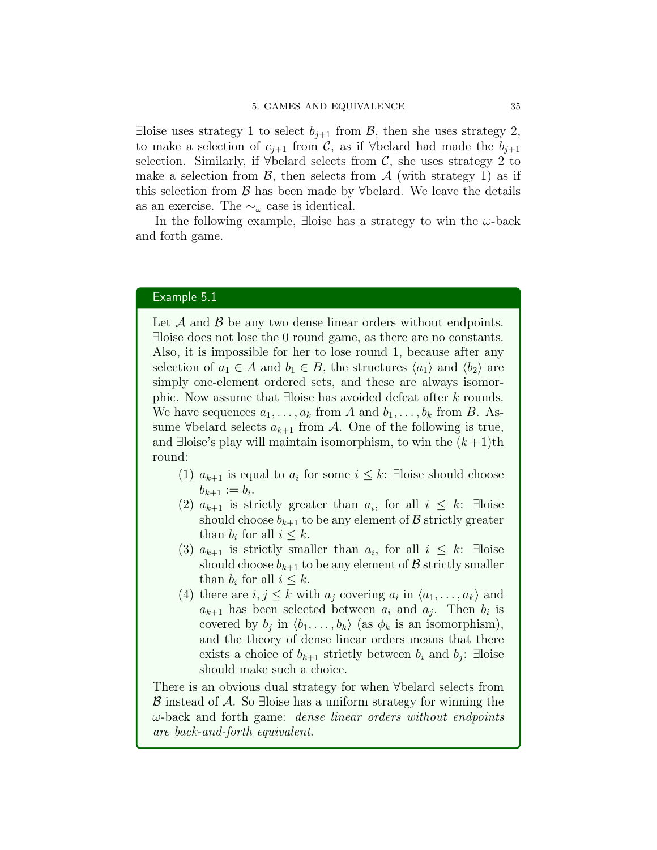∃loise uses strategy 1 to select  $b_{i+1}$  from  $\mathcal{B}$ , then she uses strategy 2, to make a selection of  $c_{i+1}$  from C, as if ∀belard had made the  $b_{i+1}$ selection. Similarly, if  $\forall$ belard selects from C, she uses strategy 2 to make a selection from  $\beta$ , then selects from  $\mathcal A$  (with strategy 1) as if this selection from  $\beta$  has been made by ∀belard. We leave the details as an exercise. The  $\sim_\omega$  case is identical.

In the following example, ∃loise has a strategy to win the  $\omega$ -back and forth game.

#### Example 5.1

Let  $A$  and  $B$  be any two dense linear orders without endpoints. ∃loise does not lose the 0 round game, as there are no constants. Also, it is impossible for her to lose round 1, because after any selection of  $a_1 \in A$  and  $b_1 \in B$ , the structures  $\langle a_1 \rangle$  and  $\langle b_2 \rangle$  are simply one-element ordered sets, and these are always isomorphic. Now assume that ∃loise has avoided defeat after k rounds. We have sequences  $a_1, \ldots, a_k$  from A and  $b_1, \ldots, b_k$  from B. Assume  $\forall$ belard selects  $a_{k+1}$  from A. One of the following is true, and ∃loise's play will maintain isomorphism, to win the  $(k+1)$ th round:

- (1)  $a_{k+1}$  is equal to  $a_i$  for some  $i \leq k$ : ∃loise should choose  $b_{k+1} := b_i.$
- (2)  $a_{k+1}$  is strictly greater than  $a_i$ , for all  $i \leq k$ : ∃loise should choose  $b_{k+1}$  to be any element of  $\beta$  strictly greater than  $b_i$  for all  $i \leq k$ .
- (3)  $a_{k+1}$  is strictly smaller than  $a_i$ , for all  $i \leq k$ : ∃loise should choose  $b_{k+1}$  to be any element of  $\mathcal{B}$  strictly smaller than  $b_i$  for all  $i \leq k$ .
- (4) there are  $i, j \leq k$  with  $a_j$  covering  $a_i$  in  $\langle a_1, \ldots, a_k \rangle$  and  $a_{k+1}$  has been selected between  $a_i$  and  $a_j$ . Then  $b_i$  is covered by  $b_j$  in  $\langle b_1, \ldots, b_k \rangle$  (as  $\phi_k$  is an isomorphism), and the theory of dense linear orders means that there exists a choice of  $b_{k+1}$  strictly between  $b_i$  and  $b_j$ : ∃loise should make such a choice.

There is an obvious dual strategy for when ∀belard selects from  $\beta$  instead of  $\mathcal A$ . So ∃loise has a uniform strategy for winning the  $\omega$ -back and forth game: *dense linear orders without endpoints* are back-and-forth equivalent.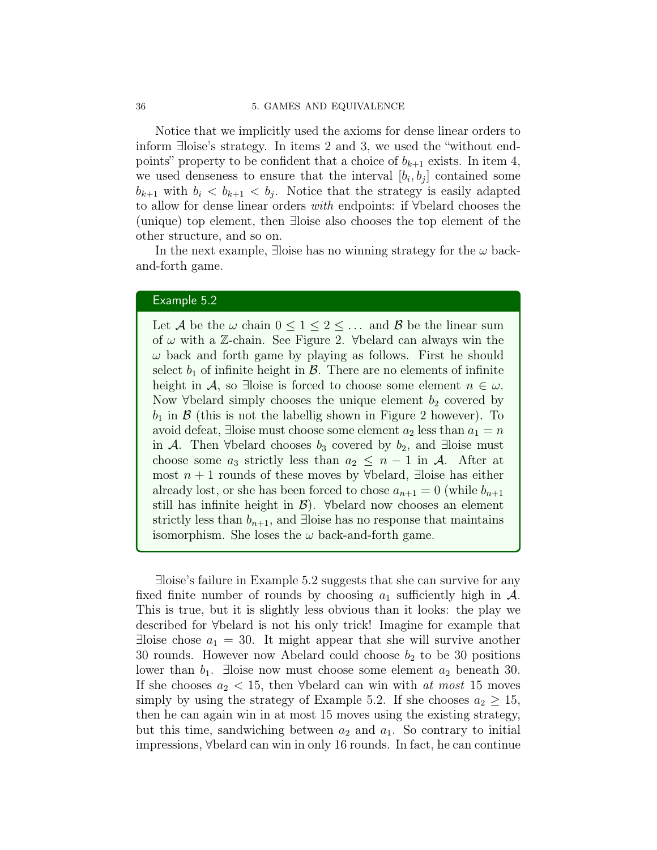#### 36 5. GAMES AND EQUIVALENCE

Notice that we implicitly used the axioms for dense linear orders to inform ∃loise's strategy. In items 2 and 3, we used the "without endpoints" property to be confident that a choice of  $b_{k+1}$  exists. In item 4, we used denseness to ensure that the interval  $[b_i, b_j]$  contained some  $b_{k+1}$  with  $b_i < b_{k+1} < b_j$ . Notice that the strategy is easily adapted to allow for dense linear orders with endpoints: if ∀belard chooses the (unique) top element, then ∃loise also chooses the top element of the other structure, and so on.

In the next example, ∃loise has no winning strategy for the  $\omega$  backand-forth game.

## Example 5.2

Let A be the  $\omega$  chain  $0 \leq 1 \leq 2 \leq \ldots$  and B be the linear sum of  $\omega$  with a Z-chain. See Figure 2.  $\forall$ belard can always win the  $\omega$  back and forth game by playing as follows. First he should select  $b_1$  of infinite height in  $\mathcal{B}$ . There are no elements of infinite height in A, so ∃loise is forced to choose some element  $n \in \omega$ . Now  $\forall$  belard simply chooses the unique element  $b_2$  covered by  $b_1$  in  $\beta$  (this is not the labellig shown in Figure 2 however). To avoid defeat, ∃loise must choose some element  $a_2$  less than  $a_1 = n$ in A. Then ∀belard chooses  $b_3$  covered by  $b_2$ , and ∃loise must choose some  $a_3$  strictly less than  $a_2 \leq n-1$  in A. After at most  $n + 1$  rounds of these moves by ∀belard, ∃loise has either already lost, or she has been forced to chose  $a_{n+1} = 0$  (while  $b_{n+1}$ ) still has infinite height in  $\mathcal{B}$ ). ∀belard now chooses an element strictly less than  $b_{n+1}$ , and ∃loise has no response that maintains isomorphism. She loses the  $\omega$  back-and-forth game.

∃loise's failure in Example 5.2 suggests that she can survive for any fixed finite number of rounds by choosing  $a_1$  sufficiently high in  $\mathcal{A}$ . This is true, but it is slightly less obvious than it looks: the play we described for ∀belard is not his only trick! Imagine for example that  $\exists$ loise chose  $a_1 = 30$ . It might appear that she will survive another 30 rounds. However now Abelard could choose  $b_2$  to be 30 positions lower than  $b_1$ . ∃loise now must choose some element  $a_2$  beneath 30. If she chooses  $a_2 < 15$ , then ∀belard can win with at most 15 moves simply by using the strategy of Example 5.2. If she chooses  $a_2 \geq 15$ , then he can again win in at most 15 moves using the existing strategy, but this time, sandwiching between  $a_2$  and  $a_1$ . So contrary to initial impressions, ∀belard can win in only 16 rounds. In fact, he can continue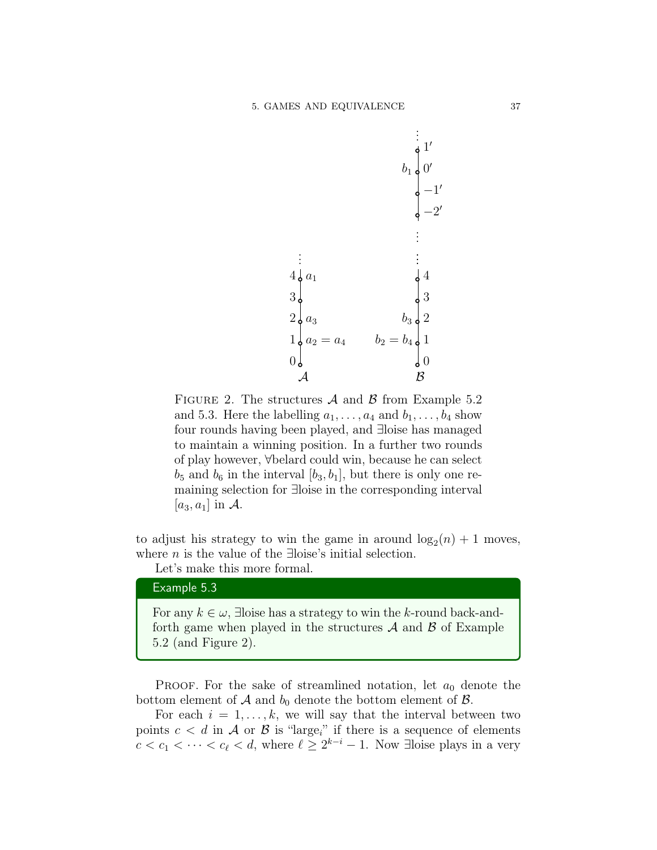

FIGURE 2. The structures  $A$  and  $B$  from Example 5.2 and 5.3. Here the labelling  $a_1, \ldots, a_4$  and  $b_1, \ldots, b_4$  show four rounds having been played, and ∃loise has managed to maintain a winning position. In a further two rounds of play however, ∀belard could win, because he can select  $b_5$  and  $b_6$  in the interval  $[b_3, b_1]$ , but there is only one remaining selection for ∃loise in the corresponding interval  $[a_3, a_1]$  in A.

to adjust his strategy to win the game in around  $log_2(n) + 1$  moves, where *n* is the value of the ∃loise's initial selection.

Let's make this more formal.

#### Example 5.3

For any  $k \in \omega$ , ∃loise has a strategy to win the k-round back-andforth game when played in the structures  $A$  and  $B$  of Example 5.2 (and Figure 2).

**PROOF.** For the sake of streamlined notation, let  $a_0$  denote the bottom element of  $A$  and  $b_0$  denote the bottom element of  $B$ .

For each  $i = 1, \ldots, k$ , we will say that the interval between two points  $c < d$  in A or B is "large<sub>i</sub>" if there is a sequence of elements  $c < c_1 < \cdots < c_\ell < d$ , where  $\ell \geq 2^{k-i} - 1$ . Now ∃loise plays in a very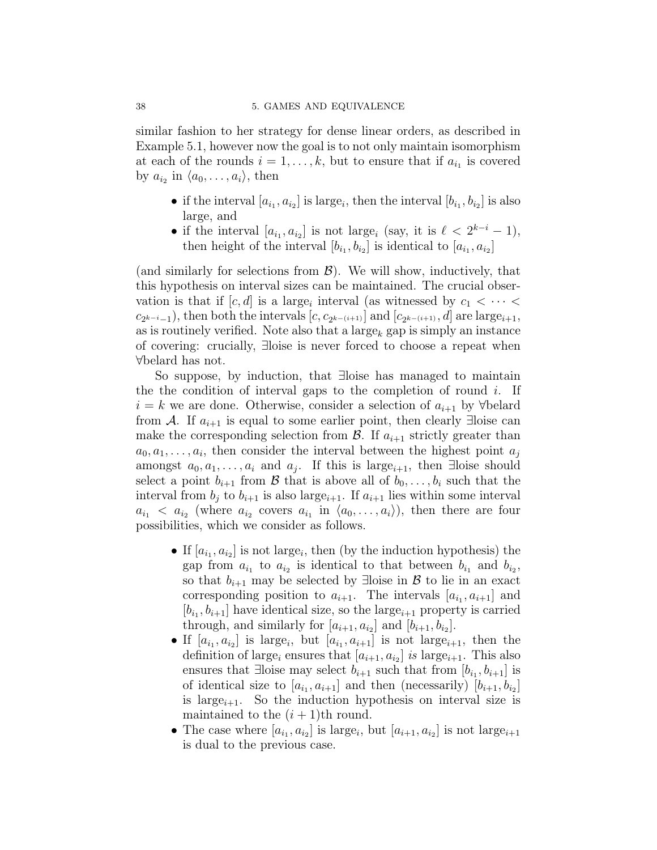similar fashion to her strategy for dense linear orders, as described in Example 5.1, however now the goal is to not only maintain isomorphism at each of the rounds  $i = 1, \ldots, k$ , but to ensure that if  $a_{i_1}$  is covered by  $a_{i_2}$  in  $\langle a_0, \ldots, a_i \rangle$ , then

- if the interval  $[a_{i_1}, a_{i_2}]$  is large<sub>i</sub>, then the interval  $[b_{i_1}, b_{i_2}]$  is also large, and
- if the interval  $[a_{i_1}, a_{i_2}]$  is not large<sub>i</sub> (say, it is  $\ell < 2^{k-i} 1$ ), then height of the interval  $[b_{i_1}, b_{i_2}]$  is identical to  $[a_{i_1}, a_{i_2}]$

(and similarly for selections from  $\mathcal{B}$ ). We will show, inductively, that this hypothesis on interval sizes can be maintained. The crucial observation is that if  $[c, d]$  is a large<sub>i</sub> interval (as witnessed by  $c_1 < \cdots <$  $c_{2^{k-i}-1}$ ), then both the intervals  $[c, c_{2^{k-(i+1)}}]$  and  $[c_{2^{k-(i+1)}}, d]$  are large<sub>i+1</sub>, as is routinely verified. Note also that a large<sub>k</sub> gap is simply an instance of covering: crucially, ∃loise is never forced to choose a repeat when ∀belard has not.

So suppose, by induction, that ∃loise has managed to maintain the the condition of interval gaps to the completion of round  $i$ . If  $i = k$  we are done. Otherwise, consider a selection of  $a_{i+1}$  by  $\forall$ belard from A. If  $a_{i+1}$  is equal to some earlier point, then clearly ∃loise can make the corresponding selection from  $\mathcal{B}$ . If  $a_{i+1}$  strictly greater than  $a_0, a_1, \ldots, a_i$ , then consider the interval between the highest point  $a_j$ amongst  $a_0, a_1, \ldots, a_i$  and  $a_j$ . If this is large<sub>i+1</sub>, then ∃loise should select a point  $b_{i+1}$  from  $\mathcal B$  that is above all of  $b_0, \ldots, b_i$  such that the interval from  $b_i$  to  $b_{i+1}$  is also large<sub>i+1</sub>. If  $a_{i+1}$  lies within some interval  $a_{i_1} < a_{i_2}$  (where  $a_{i_2}$  covers  $a_{i_1}$  in  $\langle a_0, \ldots, a_i \rangle$ ), then there are four possibilities, which we consider as follows.

- If  $[a_{i_1}, a_{i_2}]$  is not large<sub>i</sub>, then (by the induction hypothesis) the gap from  $a_{i_1}$  to  $a_{i_2}$  is identical to that between  $b_{i_1}$  and  $b_{i_2}$ , so that  $b_{i+1}$  may be selected by ∃loise in B to lie in an exact corresponding position to  $a_{i+1}$ . The intervals  $[a_{i_1}, a_{i+1}]$  and  $[b_{i_1}, b_{i+1}]$  have identical size, so the large<sub>i+1</sub> property is carried through, and similarly for  $[a_{i+1}, a_{i_2}]$  and  $[b_{i+1}, b_{i_2}]$ .
- If  $[a_{i_1}, a_{i_2}]$  is large<sub>i</sub>, but  $[a_{i_1}, a_{i+1}]$  is not large<sub>i+1</sub>, then the definition of large<sub>i</sub> ensures that  $[a_{i+1}, a_{i_2}]$  is large<sub>i+1</sub>. This also ensures that ∃loise may select  $b_{i+1}$  such that from  $[b_{i_1}, b_{i+1}]$  is of identical size to  $[a_{i_1}, a_{i+1}]$  and then (necessarily)  $[b_{i+1}, b_{i_2}]$ is large<sub>i+1</sub>. So the induction hypothesis on interval size is maintained to the  $(i + 1)$ th round.
- The case where  $[a_{i_1}, a_{i_2}]$  is large<sub>i</sub>, but  $[a_{i+1}, a_{i_2}]$  is not large<sub>i+1</sub> is dual to the previous case.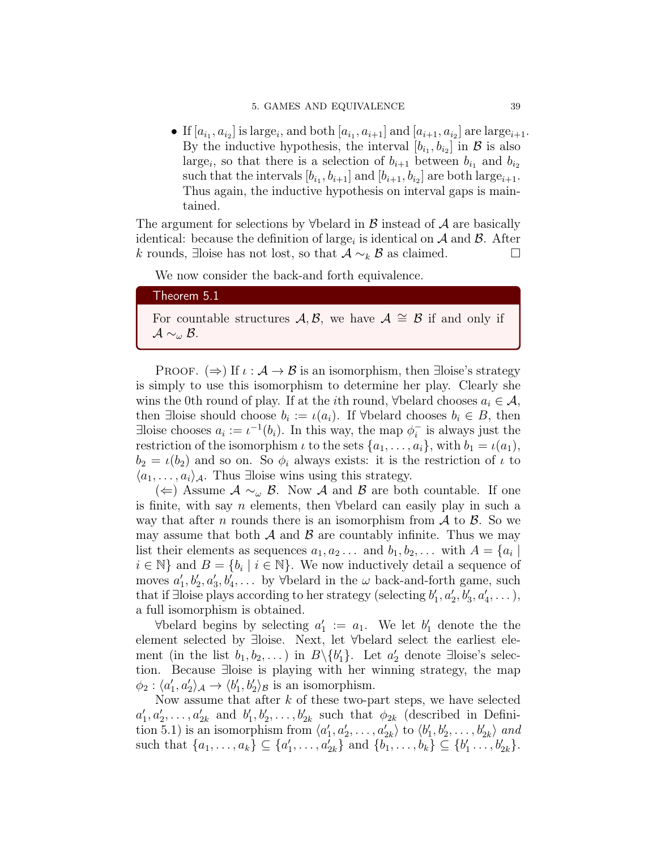#### 5. GAMES AND EQUIVALENCE 39

• If  $[a_{i_1}, a_{i_2}]$  is large<sub>i</sub>, and both  $[a_{i_1}, a_{i_1}]$  and  $[a_{i+1}, a_{i_2}]$  are large<sub>i+1</sub>. By the inductive hypothesis, the interval  $[b_{i_1}, b_{i_2}]$  in  $\mathcal{B}$  is also large<sub>i</sub>, so that there is a selection of  $b_{i+1}$  between  $b_{i_1}$  and  $b_{i_2}$ such that the intervals  $[b_{i_1}, b_{i+1}]$  and  $[b_{i+1}, b_{i_2}]$  are both large<sub>i+1</sub>. Thus again, the inductive hypothesis on interval gaps is maintained.

The argument for selections by  $\forall$ belard in  $\beta$  instead of  $\mathcal A$  are basically identical: because the definition of large<sub>i</sub> is identical on  $A$  and  $B$ . After k rounds, ∃loise has not lost, so that  $A \sim_k B$  as claimed.  $\Box$ 

We now consider the back-and forth equivalence.

## Theorem 5.1

For countable structures  $\mathcal{A}, \mathcal{B}$ , we have  $\mathcal{A} \cong \mathcal{B}$  if and only if  $\mathcal{A} \sim_\omega \mathcal{B}$ .

PROOF.  $(\Rightarrow)$  If  $\iota : \mathcal{A} \to \mathcal{B}$  is an isomorphism, then ∃loise's strategy is simply to use this isomorphism to determine her play. Clearly she wins the 0th round of play. If at the *i*th round,  $\forall$ belard chooses  $a_i \in \mathcal{A}$ , then ∃loise should choose  $b_i := \iota(a_i)$ . If  $\forall$ belard chooses  $b_i \in B$ , then ∃loise chooses  $a_i := \iota^{-1}(b_i)$ . In this way, the map  $\phi_i^ \overline{i}$  is always just the restriction of the isomorphism  $\iota$  to the sets  $\{a_1, \ldots, a_i\}$ , with  $b_1 = \iota(a_1)$ ,  $b_2 = \iota(b_2)$  and so on. So  $\phi_i$  always exists: it is the restriction of  $\iota$  to  $\langle a_1, \ldots, a_i \rangle_{\mathcal{A}}$ . Thus ∃loise wins using this strategy.

(∈) Assume  $A \sim_{\omega} B$ . Now A and B are both countable. If one is finite, with say n elements, then ∀belard can easily play in such a way that after n rounds there is an isomorphism from  $\mathcal A$  to  $\mathcal B$ . So we may assume that both  $\mathcal A$  and  $\mathcal B$  are countably infinite. Thus we may list their elements as sequences  $a_1, a_2 \ldots$  and  $b_1, b_2, \ldots$  with  $A = \{a_i \mid$  $i \in \mathbb{N}$  and  $B = \{b_i \mid i \in \mathbb{N}\}\$ . We now inductively detail a sequence of moves  $a'_1, b'_2, a'_3, b'_4, \ldots$  by  $\forall$ belard in the  $\omega$  back-and-forth game, such that if ∃loise plays according to her strategy (selecting  $b'_1, a'_2, b'_3, a'_4, \ldots$ ), a full isomorphism is obtained.

 $\forall$ belard begins by selecting  $a'_1 := a_1$ . We let  $b'_1$  denote the the element selected by ∃loise. Next, let ∀belard select the earliest element (in the list  $b_1, b_2, \ldots$ ) in  $B \setminus \{b'_1\}$ . Let  $a'_2$  denote ∃loise's selection. Because ∃loise is playing with her winning strategy, the map  $\phi_2: \langle a_1', a_2' \rangle_{\mathcal{A}} \to \langle b_1', b_2' \rangle_{\mathcal{B}}$  is an isomorphism.

Now assume that after  $k$  of these two-part steps, we have selected  $a'_1, a'_2, \ldots, a'_{2k}$  and  $b'_1, b'_2, \ldots, b'_{2k}$  such that  $\phi_{2k}$  (described in Definition 5.1) is an isomorphism from  $\langle a'_1, a'_2, \ldots, a'_{2k} \rangle$  to  $\langle b'_1, b'_2, \ldots, b'_{2k} \rangle$  and such that  $\{a_1, \ldots, a_k\} \subseteq \{a'_1, \ldots, a'_{2k}\}\$ and  $\{b_1, \ldots, b_k\} \subseteq \{b'_1, \ldots, b'_{2k}\}.$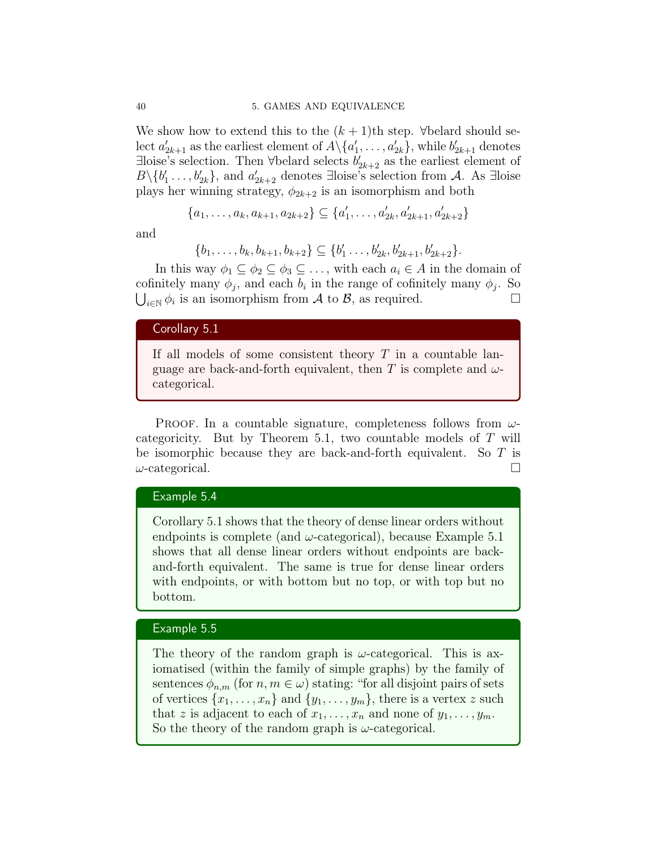We show how to extend this to the  $(k+1)$ th step. ∀belard should select  $a'_{2k+1}$  as the earliest element of  $A \setminus \{a'_1, \ldots, a'_{2k}\}\$ , while  $b'_{2k+1}$  denotes ∃loise's selection. Then ∀belard selects  $b'_{2k+2}$  as the earliest element of  $B\backslash \{b'_1,\ldots,b'_{2k}\}\$ , and  $a'_{2k+2}$  denotes ∃loise's selection from A. As ∃loise plays her winning strategy,  $\phi_{2k+2}$  is an isomorphism and both

$$
\{a_1, \ldots, a_k, a_{k+1}, a_{2k+2}\} \subseteq \{a'_1, \ldots, a'_{2k}, a'_{2k+1}, a'_{2k+2}\}\
$$

and

$$
\{b_1,\ldots,b_k,b_{k+1},b_{k+2}\}\subseteq \{b'_1\ldots,b'_{2k},b'_{2k+1},b'_{2k+2}\}.
$$

In this way  $\phi_1 \subseteq \phi_2 \subseteq \phi_3 \subseteq \ldots$ , with each  $a_i \in A$  in the domain of cofinitely many  $\phi_j$ , and each  $b_i$  in the range of cofinitely many  $\phi_j$ . So  $\bigcup_{i\in\mathbb{N}}\phi_i$  is an isomorphism from A to B, as required.

## Corollary 5.1

If all models of some consistent theory  $T$  in a countable language are back-and-forth equivalent, then T is complete and  $\omega$ categorical.

PROOF. In a countable signature, completeness follows from  $\omega$ categoricity. But by Theorem 5.1, two countable models of T will be isomorphic because they are back-and-forth equivalent. So T is  $\omega$ -categorical.

## Example 5.4

Corollary 5.1 shows that the theory of dense linear orders without endpoints is complete (and  $\omega$ -categorical), because Example 5.1 shows that all dense linear orders without endpoints are backand-forth equivalent. The same is true for dense linear orders with endpoints, or with bottom but no top, or with top but no bottom.

## Example 5.5

The theory of the random graph is  $\omega$ -categorical. This is axiomatised (within the family of simple graphs) by the family of sentences  $\phi_{n,m}$  (for  $n,m \in \omega$ ) stating: "for all disjoint pairs of sets of vertices  $\{x_1, \ldots, x_n\}$  and  $\{y_1, \ldots, y_m\}$ , there is a vertex z such that z is adjacent to each of  $x_1, \ldots, x_n$  and none of  $y_1, \ldots, y_m$ . So the theory of the random graph is  $\omega$ -categorical.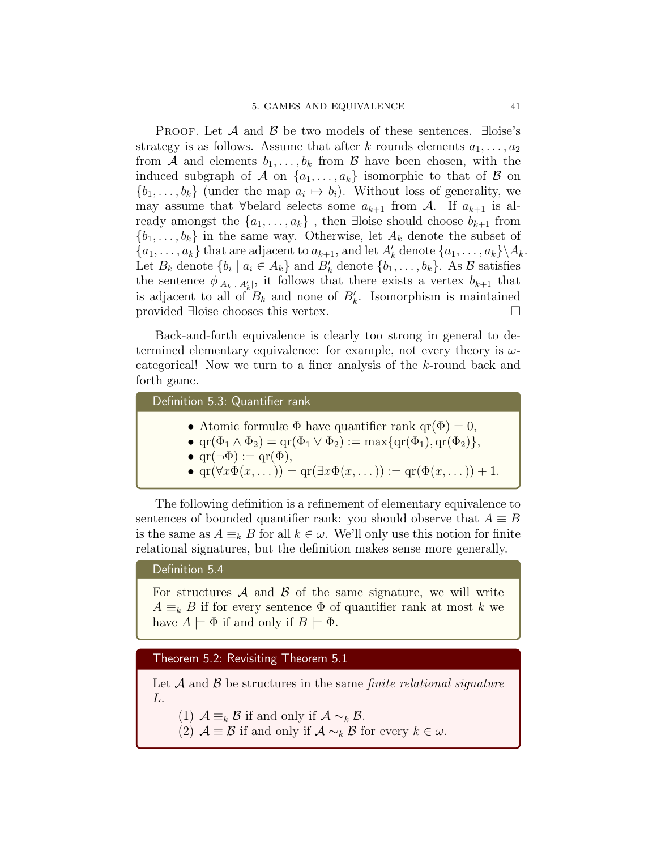PROOF. Let  $\mathcal A$  and  $\mathcal B$  be two models of these sentences.  $\exists$ loise's strategy is as follows. Assume that after k rounds elements  $a_1, \ldots, a_2$ from A and elements  $b_1, \ldots, b_k$  from B have been chosen, with the induced subgraph of A on  $\{a_1, \ldots, a_k\}$  isomorphic to that of B on  $\{b_1, \ldots, b_k\}$  (under the map  $a_i \mapsto b_i$ ). Without loss of generality, we may assume that ∀belard selects some  $a_{k+1}$  from A. If  $a_{k+1}$  is already amongst the  $\{a_1, \ldots, a_k\}$ , then ∃loise should choose  $b_{k+1}$  from  $\{b_1, \ldots, b_k\}$  in the same way. Otherwise, let  $A_k$  denote the subset of  $\{a_1, \ldots, a_k\}$  that are adjacent to  $a_{k+1}$ , and let  $A'_k$  denote  $\{a_1, \ldots, a_k\} \setminus A_k$ . Let  $B_k$  denote  $\{b_i \mid a_i \in A_k\}$  and  $B'_k$  denote  $\{b_1, \ldots, b_k\}$ . As  $\mathcal B$  satisfies the sentence  $\phi_{|A_k|,|A'_k|}$ , it follows that there exists a vertex  $b_{k+1}$  that is adjacent to all of  $B_k$  and none of  $B'_k$ . Isomorphism is maintained provided ∃loise chooses this vertex. □

Back-and-forth equivalence is clearly too strong in general to determined elementary equivalence: for example, not every theory is  $\omega$ categorical! Now we turn to a finer analysis of the k-round back and forth game.

Definition 5.3: Quantifier rank

- Atomic formulæ  $\Phi$  have quantifier rank  $\text{qr}(\Phi) = 0$ ,
- $\text{qr}(\Phi_1 \wedge \Phi_2) = \text{qr}(\Phi_1 \vee \Phi_2) := \max\{\text{qr}(\Phi_1), \text{qr}(\Phi_2)\},\$
- $\text{qr}(\neg \Phi) := \text{qr}(\Phi),$
- $\operatorname{qr}(\forall x \Phi(x, \dots)) = \operatorname{qr}(\exists x \Phi(x, \dots)) := \operatorname{qr}(\Phi(x, \dots)) + 1.$

The following definition is a refinement of elementary equivalence to sentences of bounded quantifier rank: you should observe that  $A \equiv B$ is the same as  $A \equiv_k B$  for all  $k \in \omega$ . We'll only use this notion for finite relational signatures, but the definition makes sense more generally.

#### Definition 5.4

For structures  $A$  and  $B$  of the same signature, we will write  $A \equiv_k B$  if for every sentence  $\Phi$  of quantifier rank at most k we have  $A \models \Phi$  if and only if  $B \models \Phi$ .

Theorem 5.2: Revisiting Theorem 5.1

Let  $A$  and  $B$  be structures in the same *finite relational signature* L.

- (1)  $\mathcal{A} \equiv_k \mathcal{B}$  if and only if  $\mathcal{A} \sim_k \mathcal{B}$ .
- (2)  $\mathcal{A} \equiv \mathcal{B}$  if and only if  $\mathcal{A} \sim_k \mathcal{B}$  for every  $k \in \omega$ .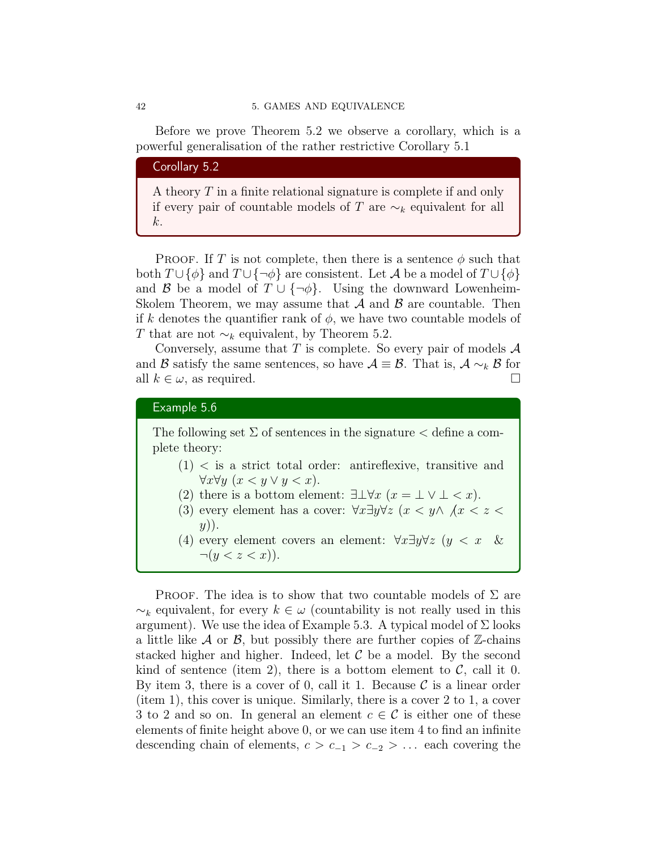Before we prove Theorem 5.2 we observe a corollary, which is a powerful generalisation of the rather restrictive Corollary 5.1

## Corollary 5.2

A theory T in a finite relational signature is complete if and only if every pair of countable models of T are  $\sim_k$  equivalent for all k.

PROOF. If T is not complete, then there is a sentence  $\phi$  such that both  $T \cup {\phi}$  and  $T \cup {\neg \phi}$  are consistent. Let A be a model of  $T \cup {\phi}$ and B be a model of  $T \cup \{\neg \phi\}$ . Using the downward Lowenheim-Skolem Theorem, we may assume that  $A$  and  $B$  are countable. Then if k denotes the quantifier rank of  $\phi$ , we have two countable models of T that are not  $\sim_k$  equivalent, by Theorem 5.2.

Conversely, assume that T is complete. So every pair of models  $\mathcal A$ and B satisfy the same sentences, so have  $A \equiv B$ . That is,  $A \sim_k B$  for all  $k \in \omega$ , as required.

## Example 5.6

The following set  $\Sigma$  of sentences in the signature  $\zeta$  define a complete theory:

- $(1)$  < is a strict total order: antireflexive, transitive and  $\forall x \forall y \ (x < y \lor y < x).$
- (2) there is a bottom element:  $\exists \bot \forall x \ (x = \bot \lor \bot \leq x).$
- (3) every element has a cover:  $\forall x \exists y \forall z$  ( $x < y \land x < z <$  $y)$ ).
- (4) every element covers an element:  $\forall x \exists y \forall z \ (y \langle x \rangle \&$  $\neg(y < z < x)).$

PROOF. The idea is to show that two countable models of  $\Sigma$  are  $\sim_k$  equivalent, for every  $k \in \omega$  (countability is not really used in this argument). We use the idea of Example 5.3. A typical model of  $\Sigma$  looks a little like  $\mathcal A$  or  $\mathcal B$ , but possibly there are further copies of  $\mathbb Z$ -chains stacked higher and higher. Indeed, let  $\mathcal C$  be a model. By the second kind of sentence (item 2), there is a bottom element to  $\mathcal{C}$ , call it 0. By item 3, there is a cover of 0, call it 1. Because  $\mathcal C$  is a linear order (item 1), this cover is unique. Similarly, there is a cover 2 to 1, a cover 3 to 2 and so on. In general an element  $c \in \mathcal{C}$  is either one of these elements of finite height above 0, or we can use item 4 to find an infinite descending chain of elements,  $c > c_{-1} > c_{-2} > ...$  each covering the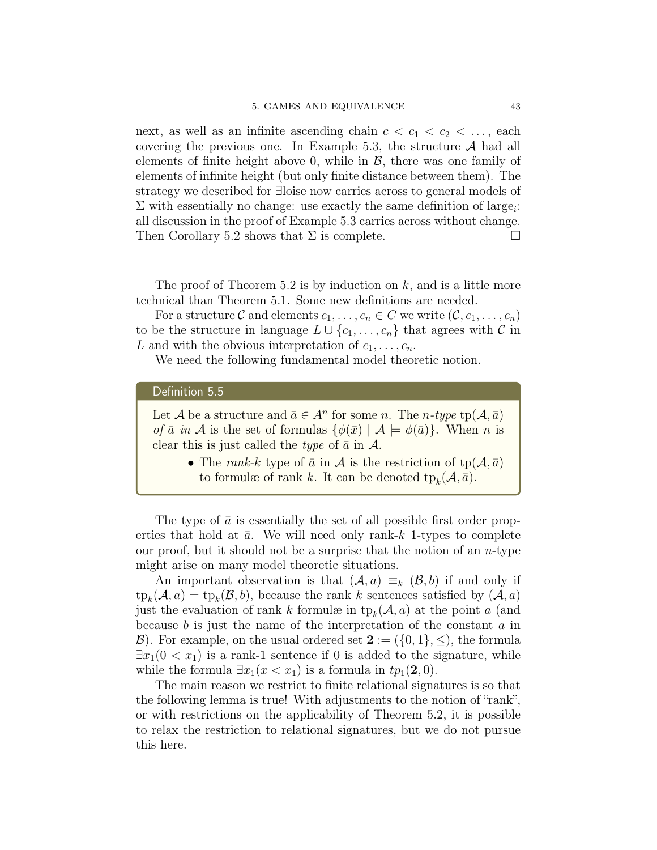next, as well as an infinite ascending chain  $c < c_1 < c_2 < \ldots$ , each covering the previous one. In Example 5.3, the structure  $A$  had all elements of finite height above 0, while in  $\mathcal{B}$ , there was one family of elements of infinite height (but only finite distance between them). The strategy we described for ∃loise now carries across to general models of  $\Sigma$  with essentially no change: use exactly the same definition of large<sub>i</sub>: all discussion in the proof of Example 5.3 carries across without change. Then Corollary 5.2 shows that  $\Sigma$  is complete.

The proof of Theorem 5.2 is by induction on  $k$ , and is a little more technical than Theorem 5.1. Some new definitions are needed.

For a structure C and elements  $c_1, \ldots, c_n \in C$  we write  $(\mathcal{C}, c_1, \ldots, c_n)$ to be the structure in language  $L \cup \{c_1, \ldots, c_n\}$  that agrees with C in L and with the obvious interpretation of  $c_1, \ldots, c_n$ .

We need the following fundamental model theoretic notion.

#### Definition 5.5

Let A be a structure and  $\bar{a} \in A^n$  for some n. The n-type  $tp(A, \bar{a})$ of  $\bar{a}$  in A is the set of formulas  $\{\phi(\bar{x}) | A \models \phi(\bar{a})\}$ . When n is clear this is just called the *type* of  $\bar{a}$  in  $\mathcal{A}$ .

> • The rank-k type of  $\bar{a}$  in  $A$  is the restriction of tp( $A, \bar{a}$ ) to formulæ of rank k. It can be denoted  $tp_k(\mathcal{A}, \bar{a})$ .

The type of  $\bar{a}$  is essentially the set of all possible first order properties that hold at  $\bar{a}$ . We will need only rank-k 1-types to complete our proof, but it should not be a surprise that the notion of an  $n$ -type might arise on many model theoretic situations.

An important observation is that  $(A, a) \equiv_k (B, b)$  if and only if  $\text{tp}_k(\mathcal{A}, a) = \text{tp}_k(\mathcal{B}, b)$ , because the rank k sentences satisfied by  $(\mathcal{A}, a)$ just the evaluation of rank k formulæ in  $tp_k(\mathcal{A}, a)$  at the point a (and because  $b$  is just the name of the interpretation of the constant  $a$  in  $\mathcal{B}$ ). For example, on the usual ordered set  $2 := (\{0,1\}, \leq),$  the formula  $\exists x_1(0 < x_1)$  is a rank-1 sentence if 0 is added to the signature, while while the formula  $\exists x_1(x \lt x_1)$  is a formula in  $tp_1(2, 0)$ .

The main reason we restrict to finite relational signatures is so that the following lemma is true! With adjustments to the notion of "rank", or with restrictions on the applicability of Theorem 5.2, it is possible to relax the restriction to relational signatures, but we do not pursue this here.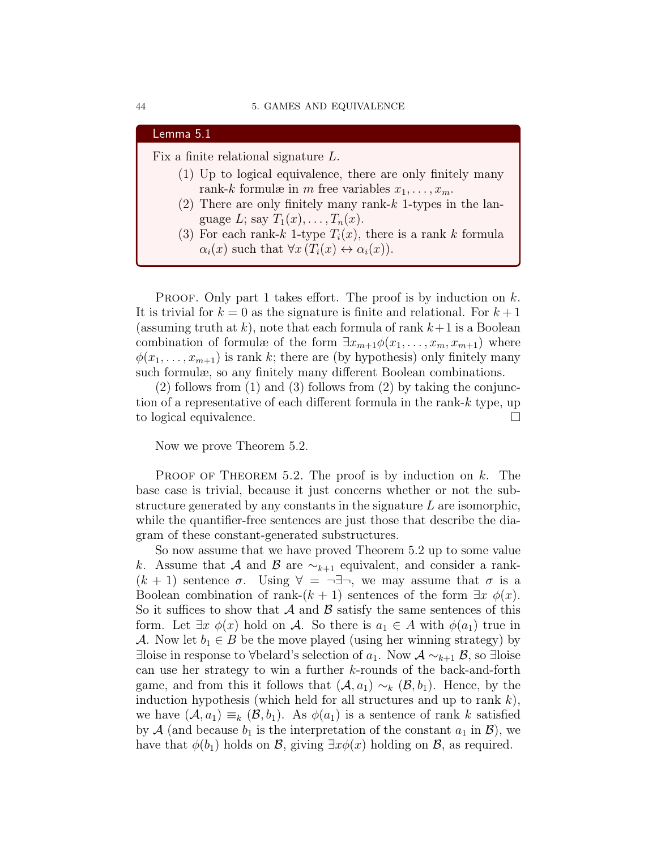| Lemma 5.1                                                                  |
|----------------------------------------------------------------------------|
| Fix a finite relational signature $L$ .                                    |
| (1) Up to logical equivalence, there are only finitely many                |
| rank-k formulæ in m free variables $x_1, \ldots, x_m$ .                    |
| (2) There are only finitely many rank- $k$ 1-types in the lan-             |
| guage L; say $T_1(x), \ldots, T_n(x)$ .                                    |
| (3) For each rank-k 1-type $T_i(x)$ , there is a rank k formula            |
| $\alpha_i(x)$ such that $\forall x (T_i(x) \leftrightarrow \alpha_i(x))$ . |

PROOF. Only part 1 takes effort. The proof is by induction on  $k$ . It is trivial for  $k = 0$  as the signature is finite and relational. For  $k + 1$ (assuming truth at k), note that each formula of rank  $k+1$  is a Boolean combination of formulæ of the form  $\exists x_{m+1}\phi(x_1,\ldots,x_m,x_{m+1})$  where  $\phi(x_1, \ldots, x_{m+1})$  is rank k; there are (by hypothesis) only finitely many such formulæ, so any finitely many different Boolean combinations.

(2) follows from (1) and (3) follows from (2) by taking the conjunction of a representative of each different formula in the rank-k type, up to logical equivalence.

Now we prove Theorem 5.2.

PROOF OF THEOREM 5.2. The proof is by induction on  $k$ . The base case is trivial, because it just concerns whether or not the substructure generated by any constants in the signature  $L$  are isomorphic, while the quantifier-free sentences are just those that describe the diagram of these constant-generated substructures.

So now assume that we have proved Theorem 5.2 up to some value k. Assume that A and B are  $\sim_{k+1}$  equivalent, and consider a rank- $(k + 1)$  sentence  $\sigma$ . Using  $\forall = \neg \exists \neg$ , we may assume that  $\sigma$  is a Boolean combination of rank- $(k + 1)$  sentences of the form  $\exists x \phi(x)$ . So it suffices to show that  $\mathcal A$  and  $\mathcal B$  satisfy the same sentences of this form. Let  $\exists x \phi(x)$  hold on A. So there is  $a_1 \in A$  with  $\phi(a_1)$  true in A. Now let  $b_1 \in B$  be the move played (using her winning strategy) by ∃loise in response to ∀belard's selection of  $a_1$ . Now  $\mathcal{A} \sim_{k+1} \mathcal{B}$ , so ∃loise can use her strategy to win a further k-rounds of the back-and-forth game, and from this it follows that  $(A, a_1) \sim_k (B, b_1)$ . Hence, by the induction hypothesis (which held for all structures and up to rank  $k$ ), we have  $(A, a_1) \equiv_k (B, b_1)$ . As  $\phi(a_1)$  is a sentence of rank k satisfied by A (and because  $b_1$  is the interpretation of the constant  $a_1$  in  $\mathcal{B}$ ), we have that  $\phi(b_1)$  holds on  $\mathcal{B}$ , giving  $\exists x \phi(x)$  holding on  $\mathcal{B}$ , as required.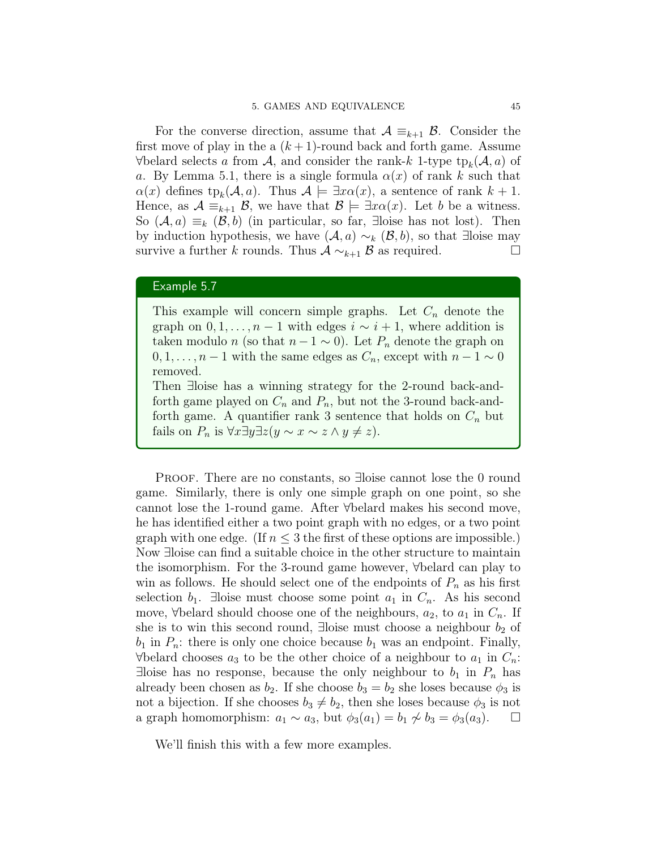For the converse direction, assume that  $A \equiv_{k+1} B$ . Consider the first move of play in the a  $(k+1)$ -round back and forth game. Assume  $\forall$ belard selects a from  $A$ , and consider the rank-k 1-type  $tp_k(A, a)$  of a. By Lemma 5.1, there is a single formula  $\alpha(x)$  of rank k such that  $\alpha(x)$  defines  $tp_k(\mathcal{A},a)$ . Thus  $\mathcal{A} \models \exists x \alpha(x)$ , a sentence of rank  $k+1$ . Hence, as  $\mathcal{A} \equiv_{k+1} \mathcal{B}$ , we have that  $\mathcal{B} \models \exists x \alpha(x)$ . Let b be a witness. So  $(A, a) \equiv_k (B, b)$  (in particular, so far, ∃loise has not lost). Then by induction hypothesis, we have  $(A, a) \sim_k (\mathcal{B}, b)$ , so that ∃loise may survive a further k rounds. Thus  $A \sim_{k+1} B$  as required.  $\Box$ 

## Example 5.7

This example will concern simple graphs. Let  $C_n$  denote the graph on  $0, 1, \ldots, n-1$  with edges  $i \sim i+1$ , where addition is taken modulo n (so that  $n-1 \sim 0$ ). Let  $P_n$  denote the graph on  $0, 1, \ldots, n-1$  with the same edges as  $C_n$ , except with  $n-1 \sim 0$ removed.

Then ∃loise has a winning strategy for the 2-round back-andforth game played on  $C_n$  and  $P_n$ , but not the 3-round back-andforth game. A quantifier rank 3 sentence that holds on  $C_n$  but fails on  $P_n$  is  $\forall x \exists y \exists z (y \sim x \sim z \land y \neq z)$ .

PROOF. There are no constants, so ∃loise cannot lose the 0 round game. Similarly, there is only one simple graph on one point, so she cannot lose the 1-round game. After ∀belard makes his second move, he has identified either a two point graph with no edges, or a two point graph with one edge. (If  $n \leq 3$  the first of these options are impossible.) Now ∃loise can find a suitable choice in the other structure to maintain the isomorphism. For the 3-round game however, ∀belard can play to win as follows. He should select one of the endpoints of  $P_n$  as his first selection  $b_1$ . ∃loise must choose some point  $a_1$  in  $C_n$ . As his second move,  $\forall$ belard should choose one of the neighbours,  $a_2$ , to  $a_1$  in  $C_n$ . If she is to win this second round, ∃loise must choose a neighbour  $b_2$  of  $b_1$  in  $P_n$ : there is only one choice because  $b_1$  was an endpoint. Finally,  $\forall$ belard chooses  $a_3$  to be the other choice of a neighbour to  $a_1$  in  $C_n$ .  $\exists$ loise has no response, because the only neighbour to  $b_1$  in  $P_n$  has already been chosen as  $b_2$ . If she choose  $b_3 = b_2$  she loses because  $\phi_3$  is not a bijection. If she chooses  $b_3 \neq b_2$ , then she loses because  $\phi_3$  is not a graph homomorphism:  $a_1 \sim a_3$ , but  $\phi_3(a_1) = b_1 \not\sim b_3 = \phi_3(a_3)$ .

We'll finish this with a few more examples.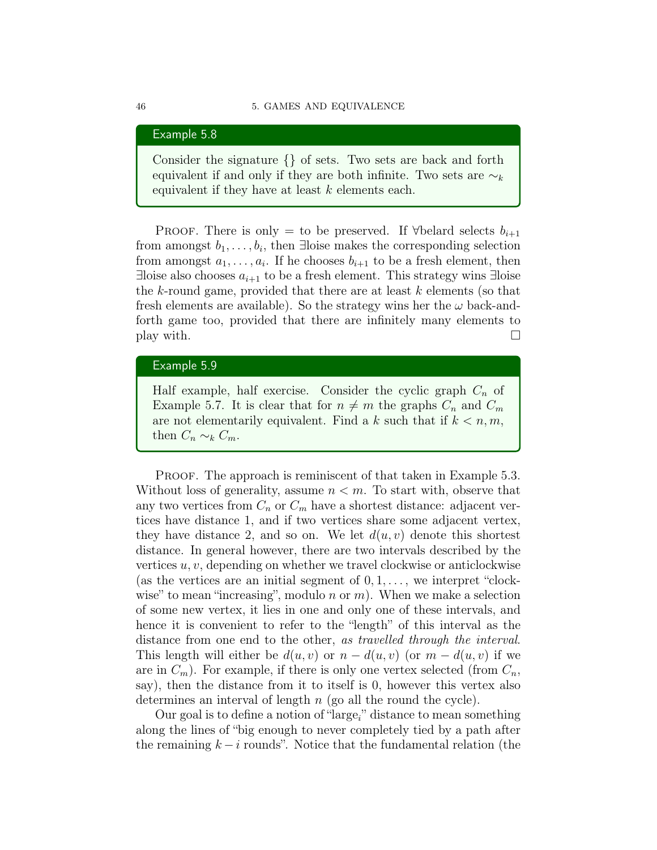#### Example 5.8

Consider the signature {} of sets. Two sets are back and forth equivalent if and only if they are both infinite. Two sets are  $\sim_k$ equivalent if they have at least  $k$  elements each.

PROOF. There is only = to be preserved. If  $\forall$ belard selects  $b_{i+1}$ from amongst  $b_1, \ldots, b_i$ , then ∃loise makes the corresponding selection from amongst  $a_1, \ldots, a_i$ . If he chooses  $b_{i+1}$  to be a fresh element, then ∃loise also chooses  $a_{i+1}$  to be a fresh element. This strategy wins ∃loise the k-round game, provided that there are at least  $k$  elements (so that fresh elements are available). So the strategy wins her the  $\omega$  back-andforth game too, provided that there are infinitely many elements to play with.  $\Box$ 

## Example 5.9

Half example, half exercise. Consider the cyclic graph  $C_n$  of Example 5.7. It is clear that for  $n \neq m$  the graphs  $C_n$  and  $C_m$ are not elementarily equivalent. Find a k such that if  $k < n, m$ , then  $C_n \sim_k C_m$ .

PROOF. The approach is reminiscent of that taken in Example 5.3. Without loss of generality, assume  $n < m$ . To start with, observe that any two vertices from  $C_n$  or  $C_m$  have a shortest distance: adjacent vertices have distance 1, and if two vertices share some adjacent vertex, they have distance 2, and so on. We let  $d(u, v)$  denote this shortest distance. In general however, there are two intervals described by the vertices  $u, v$ , depending on whether we travel clockwise or anticlockwise (as the vertices are an initial segment of  $0, 1, \ldots$ , we interpret "clockwise" to mean "increasing", modulo  $n \text{ or } m$ ). When we make a selection of some new vertex, it lies in one and only one of these intervals, and hence it is convenient to refer to the "length" of this interval as the distance from one end to the other, as travelled through the interval. This length will either be  $d(u, v)$  or  $n - d(u, v)$  (or  $m - d(u, v)$ ) if we are in  $C_m$ ). For example, if there is only one vertex selected (from  $C_n$ , say), then the distance from it to itself is 0, however this vertex also determines an interval of length  $n$  (go all the round the cycle).

Our goal is to define a notion of "large<sub>i</sub>" distance to mean something along the lines of "big enough to never completely tied by a path after the remaining  $k - i$  rounds". Notice that the fundamental relation (the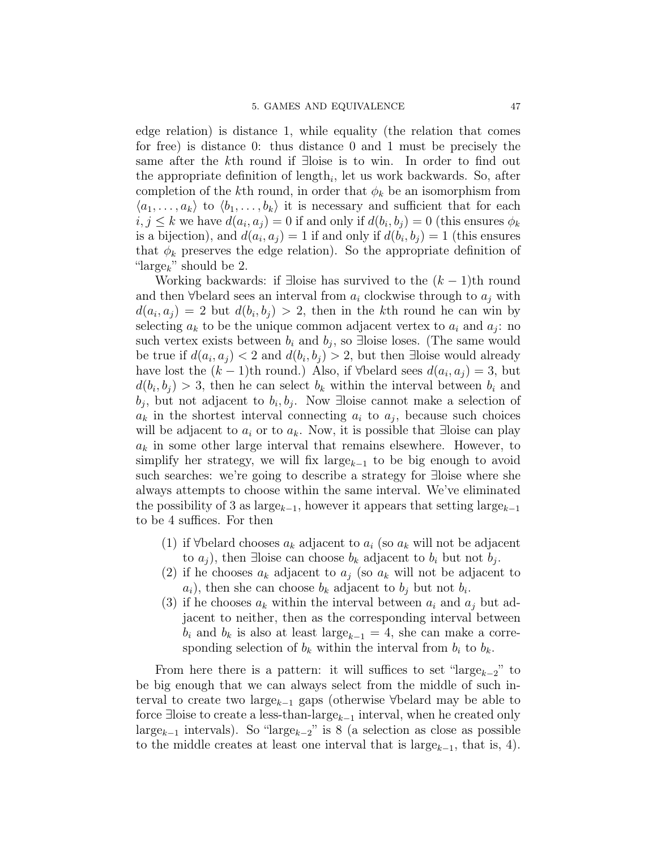edge relation) is distance 1, while equality (the relation that comes for free) is distance 0: thus distance 0 and 1 must be precisely the same after the kth round if ∃loise is to win. In order to find out the appropriate definition of  $\text{length}_i$ , let us work backwards. So, after completion of the kth round, in order that  $\phi_k$  be an isomorphism from  $\langle a_1, \ldots, a_k \rangle$  to  $\langle b_1, \ldots, b_k \rangle$  it is necessary and sufficient that for each  $i, j \leq k$  we have  $d(a_i, a_j) = 0$  if and only if  $d(b_i, b_j) = 0$  (this ensures  $\phi_k$ is a bijection), and  $d(a_i, a_j) = 1$  if and only if  $d(b_i, b_j) = 1$  (this ensures that  $\phi_k$  preserves the edge relation). So the appropriate definition of "large<sub>k</sub>" should be 2.

Working backwards: if ∃loise has survived to the  $(k-1)$ th round and then  $\forall$ belard sees an interval from  $a_i$  clockwise through to  $a_j$  with  $d(a_i, a_j) = 2$  but  $d(b_i, b_j) > 2$ , then in the kth round he can win by selecting  $a_k$  to be the unique common adjacent vertex to  $a_i$  and  $a_j$ : no such vertex exists between  $b_i$  and  $b_j$ , so ∃loise loses. (The same would be true if  $d(a_i, a_j) < 2$  and  $d(b_i, b_j) > 2$ , but then ∃loise would already have lost the  $(k-1)$ th round.) Also, if ∀belard sees  $d(a_i, a_j) = 3$ , but  $d(b_i, b_j) > 3$ , then he can select  $b_k$  within the interval between  $b_i$  and  $b_j$ , but not adjacent to  $b_i, b_j$ . Now ∃loise cannot make a selection of  $a_k$  in the shortest interval connecting  $a_i$  to  $a_j$ , because such choices will be adjacent to  $a_i$  or to  $a_k$ . Now, it is possible that ∃loise can play  $a_k$  in some other large interval that remains elsewhere. However, to simplify her strategy, we will fix large<sub> $k-1$ </sub> to be big enough to avoid such searches: we're going to describe a strategy for ∃loise where she always attempts to choose within the same interval. We've eliminated the possibility of 3 as large<sub>k−1</sub>, however it appears that setting large<sub>k−1</sub> to be 4 suffices. For then

- (1) if  $\forall$ belard chooses  $a_k$  adjacent to  $a_i$  (so  $a_k$  will not be adjacent to  $a_j$ ), then ∃loise can choose  $b_k$  adjacent to  $b_i$  but not  $b_j$ .
- (2) if he chooses  $a_k$  adjacent to  $a_j$  (so  $a_k$  will not be adjacent to  $a_i$ , then she can choose  $b_k$  adjacent to  $b_j$  but not  $b_i$ .
- (3) if he chooses  $a_k$  within the interval between  $a_i$  and  $a_j$  but adjacent to neither, then as the corresponding interval between  $b_i$  and  $b_k$  is also at least large<sub>k−1</sub> = 4, she can make a corresponding selection of  $b_k$  within the interval from  $b_i$  to  $b_k$ .

From here there is a pattern: it will suffices to set "large<sub>k-2</sub>" to be big enough that we can always select from the middle of such interval to create two large<sub>k−1</sub> gaps (otherwise ∀belard may be able to force ∃loise to create a less-than-large<sub>k-1</sub> interval, when he created only large<sub>k-1</sub> intervals). So "large<sub>k-2</sub>" is 8 (a selection as close as possible to the middle creates at least one interval that is large<sub> $k-1$ </sub>, that is, 4).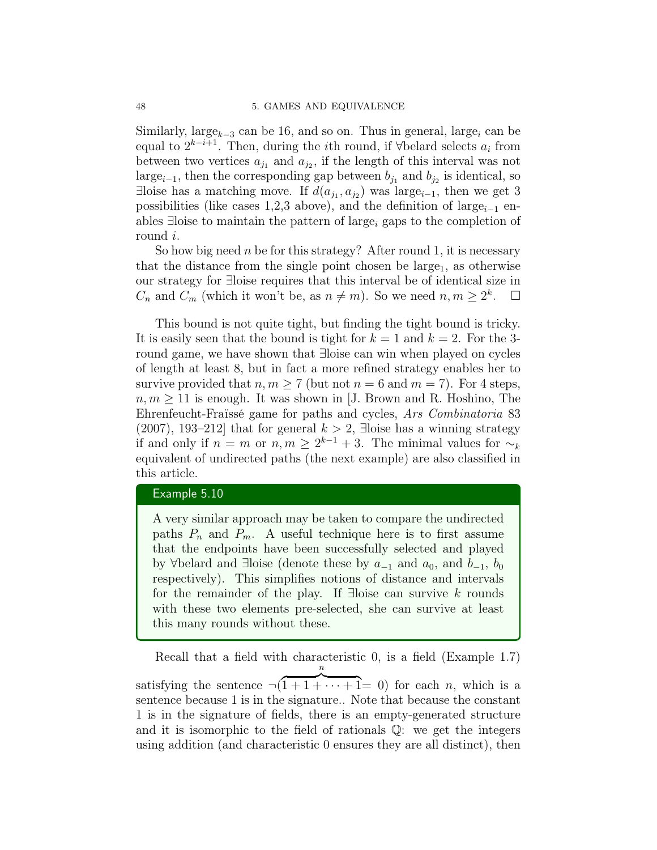Similarly, large<sub>k-3</sub> can be 16, and so on. Thus in general, large<sub>i</sub> can be equal to  $2^{k-i+1}$ . Then, during the *i*th round, if  $\forall$ belard selects  $a_i$  from between two vertices  $a_{j_1}$  and  $a_{j_2}$ , if the length of this interval was not large<sub>i−1</sub>, then the corresponding gap between  $b_{j_1}$  and  $b_{j_2}$  is identical, so ∃loise has a matching move. If  $d(a_{j_1}, a_{j_2})$  was large<sub>i-1</sub>, then we get 3 possibilities (like cases 1,2,3 above), and the definition of large<sub>i-1</sub> enables  $\exists$ loise to maintain the pattern of large<sub>i</sub> gaps to the completion of round i.

So how big need n be for this strategy? After round 1, it is necessary that the distance from the single point chosen be large<sub>1</sub>, as otherwise our strategy for ∃loise requires that this interval be of identical size in  $C_n$  and  $\widetilde{C_m}$  (which it won't be, as  $n \neq m$ ). So we need  $n, m \geq 2^k$ .  $\Box$ 

This bound is not quite tight, but finding the tight bound is tricky. It is easily seen that the bound is tight for  $k = 1$  and  $k = 2$ . For the 3round game, we have shown that ∃loise can win when played on cycles of length at least 8, but in fact a more refined strategy enables her to survive provided that  $n, m \geq 7$  (but not  $n = 6$  and  $m = 7$ ). For 4 steps,  $n, m \geq 11$  is enough. It was shown in [J. Brown and R. Hoshino, The Ehrenfeucht-Fraïssé game for paths and cycles, Ars Combinatoria 83 (2007), 193–212] that for general  $k > 2$ , ∃loise has a winning strategy if and only if  $n = m$  or  $n, m \ge 2^{k-1} + 3$ . The minimal values for  $\sim_k$ equivalent of undirected paths (the next example) are also classified in this article.

#### Example 5.10

A very similar approach may be taken to compare the undirected paths  $P_n$  and  $P_m$ . A useful technique here is to first assume that the endpoints have been successfully selected and played by ∀belard and ∃loise (denote these by  $a_{-1}$  and  $a_0$ , and  $b_{-1}$ ,  $b_0$ respectively). This simplifies notions of distance and intervals for the remainder of the play. If ∃loise can survive  $k$  rounds with these two elements pre-selected, she can survive at least this many rounds without these.

Recall that a field with characteristic 0, is a field (Example 1.7) satisfying the sentence  $\neg (1 + 1 + \cdots + 1 = 0)$  for each *n*, which is a n sentence because 1 is in the signature.. Note that because the constant 1 is in the signature of fields, there is an empty-generated structure and it is isomorphic to the field of rationals Q: we get the integers using addition (and characteristic 0 ensures they are all distinct), then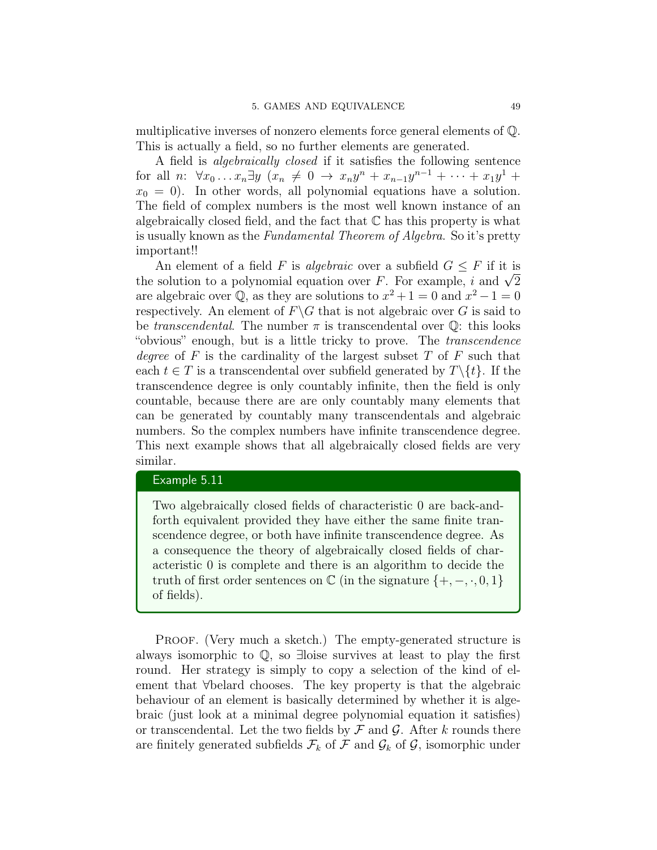multiplicative inverses of nonzero elements force general elements of Q. This is actually a field, so no further elements are generated.

A field is algebraically closed if it satisfies the following sentence for all  $n: \forall x_0 \ldots x_n \exists y \ (x_n \neq 0 \rightarrow x_n y^n + x_{n-1} y^{n-1} + \cdots + x_1 y^1 +$  $x_0 = 0$ . In other words, all polynomial equations have a solution. The field of complex numbers is the most well known instance of an algebraically closed field, and the fact that  $\mathbb C$  has this property is what is usually known as the Fundamental Theorem of Algebra. So it's pretty important!!

An element of a field F is *algebraic* over a subfield  $G \leq F$  if it is An element of a field F is *algebraic* over a subfield  $G \leq F$  if it is<br>the solution to a polynomial equation over F. For example, i and  $\sqrt{2}$ are algebraic over  $\overline{Q}$ , as they are solutions to  $x^2 + 1 = 0$  and  $x^2 - 1 = 0$ respectively. An element of  $F\backslash G$  that is not algebraic over G is said to be *transcendental*. The number  $\pi$  is transcendental over  $\mathbb{Q}$ : this looks "obvious" enough, but is a little tricky to prove. The transcendence degree of F is the cardinality of the largest subset  $T$  of  $F$  such that each  $t \in T$  is a transcendental over subfield generated by  $T \setminus \{t\}$ . If the transcendence degree is only countably infinite, then the field is only countable, because there are are only countably many elements that can be generated by countably many transcendentals and algebraic numbers. So the complex numbers have infinite transcendence degree. This next example shows that all algebraically closed fields are very similar.

## Example 5.11

Two algebraically closed fields of characteristic 0 are back-andforth equivalent provided they have either the same finite transcendence degree, or both have infinite transcendence degree. As a consequence the theory of algebraically closed fields of characteristic 0 is complete and there is an algorithm to decide the truth of first order sentences on  $\mathbb C$  (in the signature  $\{+,-,\cdot,0,1\}$ of fields).

PROOF. (Very much a sketch.) The empty-generated structure is always isomorphic to Q, so ∃loise survives at least to play the first round. Her strategy is simply to copy a selection of the kind of element that ∀belard chooses. The key property is that the algebraic behaviour of an element is basically determined by whether it is algebraic (just look at a minimal degree polynomial equation it satisfies) or transcendental. Let the two fields by  $\mathcal F$  and  $\mathcal G$ . After k rounds there are finitely generated subfields  $\mathcal{F}_k$  of  $\mathcal F$  and  $\mathcal G_k$  of  $\mathcal G$ , isomorphic under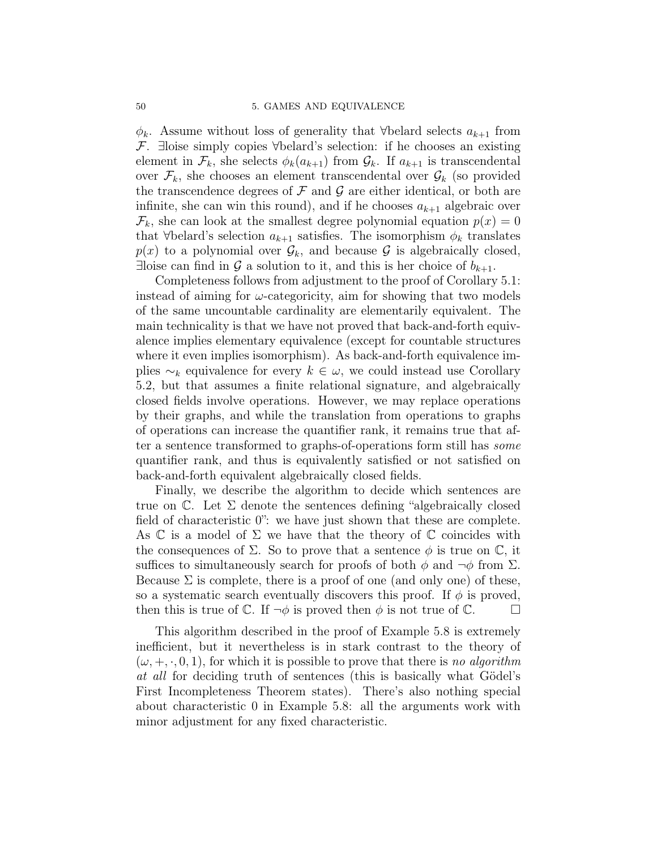$\phi_k$ . Assume without loss of generality that ∀belard selects  $a_{k+1}$  from F. ∃loise simply copies ∀belard's selection: if he chooses an existing element in  $\mathcal{F}_k$ , she selects  $\phi_k(a_{k+1})$  from  $\mathcal{G}_k$ . If  $a_{k+1}$  is transcendental over  $\mathcal{F}_k$ , she chooses an element transcendental over  $\mathcal{G}_k$  (so provided the transcendence degrees of  $\mathcal F$  and  $\mathcal G$  are either identical, or both are infinite, she can win this round), and if he chooses  $a_{k+1}$  algebraic over  $\mathcal{F}_k$ , she can look at the smallest degree polynomial equation  $p(x) = 0$ that ∀belard's selection  $a_{k+1}$  satisfies. The isomorphism  $\phi_k$  translates  $p(x)$  to a polynomial over  $\mathcal{G}_k$ , and because  $\mathcal G$  is algebraically closed, ∃loise can find in G a solution to it, and this is her choice of  $b_{k+1}$ .

Completeness follows from adjustment to the proof of Corollary 5.1: instead of aiming for  $\omega$ -categoricity, aim for showing that two models of the same uncountable cardinality are elementarily equivalent. The main technicality is that we have not proved that back-and-forth equivalence implies elementary equivalence (except for countable structures where it even implies isomorphism). As back-and-forth equivalence implies  $\sim_k$  equivalence for every  $k \in \omega$ , we could instead use Corollary 5.2, but that assumes a finite relational signature, and algebraically closed fields involve operations. However, we may replace operations by their graphs, and while the translation from operations to graphs of operations can increase the quantifier rank, it remains true that after a sentence transformed to graphs-of-operations form still has some quantifier rank, and thus is equivalently satisfied or not satisfied on back-and-forth equivalent algebraically closed fields.

Finally, we describe the algorithm to decide which sentences are true on  $\mathbb{C}$ . Let  $\Sigma$  denote the sentences defining "algebraically closed field of characteristic 0": we have just shown that these are complete. As  $\mathbb C$  is a model of  $\Sigma$  we have that the theory of  $\mathbb C$  coincides with the consequences of  $\Sigma$ . So to prove that a sentence  $\phi$  is true on  $\mathbb{C}$ , it suffices to simultaneously search for proofs of both  $\phi$  and  $\neg \phi$  from  $\Sigma$ . Because  $\Sigma$  is complete, there is a proof of one (and only one) of these, so a systematic search eventually discovers this proof. If  $\phi$  is proved, then this is true of  $\mathbb{C}$ . If  $\neg \phi$  is proved then  $\phi$  is not true of  $\mathbb{C}$ .

This algorithm described in the proof of Example 5.8 is extremely inefficient, but it nevertheless is in stark contrast to the theory of  $(\omega, +, \cdot, 0, 1)$ , for which it is possible to prove that there is no algorithm at all for deciding truth of sentences (this is basically what Gödel's First Incompleteness Theorem states). There's also nothing special about characteristic 0 in Example 5.8: all the arguments work with minor adjustment for any fixed characteristic.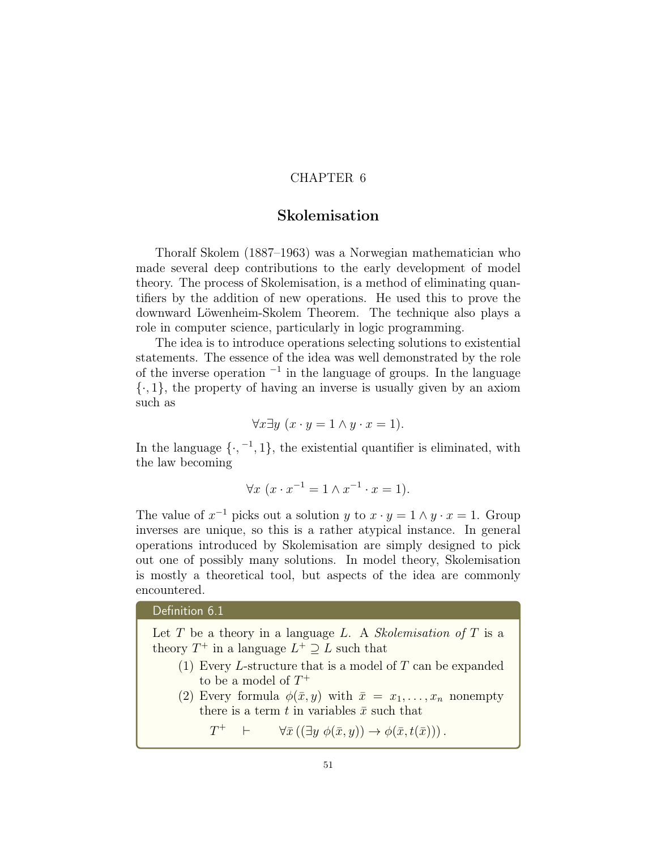## CHAPTER 6

## Skolemisation

Thoralf Skolem (1887–1963) was a Norwegian mathematician who made several deep contributions to the early development of model theory. The process of Skolemisation, is a method of eliminating quantifiers by the addition of new operations. He used this to prove the downward Löwenheim-Skolem Theorem. The technique also plays a role in computer science, particularly in logic programming.

The idea is to introduce operations selecting solutions to existential statements. The essence of the idea was well demonstrated by the role of the inverse operation <sup>−</sup><sup>1</sup> in the language of groups. In the language  $\{\cdot, 1\}$ , the property of having an inverse is usually given by an axiom such as

$$
\forall x \exists y \ (x \cdot y = 1 \land y \cdot x = 1).
$$

In the language  $\{\cdot, -1, 1\}$ , the existential quantifier is eliminated, with the law becoming

$$
\forall x \ (x \cdot x^{-1} = 1 \land x^{-1} \cdot x = 1).
$$

The value of  $x^{-1}$  picks out a solution y to  $x \cdot y = 1 \wedge y \cdot x = 1$ . Group inverses are unique, so this is a rather atypical instance. In general operations introduced by Skolemisation are simply designed to pick out one of possibly many solutions. In model theory, Skolemisation is mostly a theoretical tool, but aspects of the idea are commonly encountered.

## Definition 6.1

Let  $T$  be a theory in a language  $L$ . A *Skolemisation of*  $T$  is a theory  $T^+$  in a language  $L^+ \supseteq L$  such that

- (1) Every L-structure that is a model of  $T$  can be expanded to be a model of  $T^+$
- (2) Every formula  $\phi(\bar{x}, y)$  with  $\bar{x} = x_1, \ldots, x_n$  nonempty there is a term t in variables  $\bar{x}$  such that

 $T^+$  $\vdash \qquad \forall \bar{x} ((\exists y \phi(\bar{x}, y)) \rightarrow \phi(\bar{x}, t(\bar{x}))).$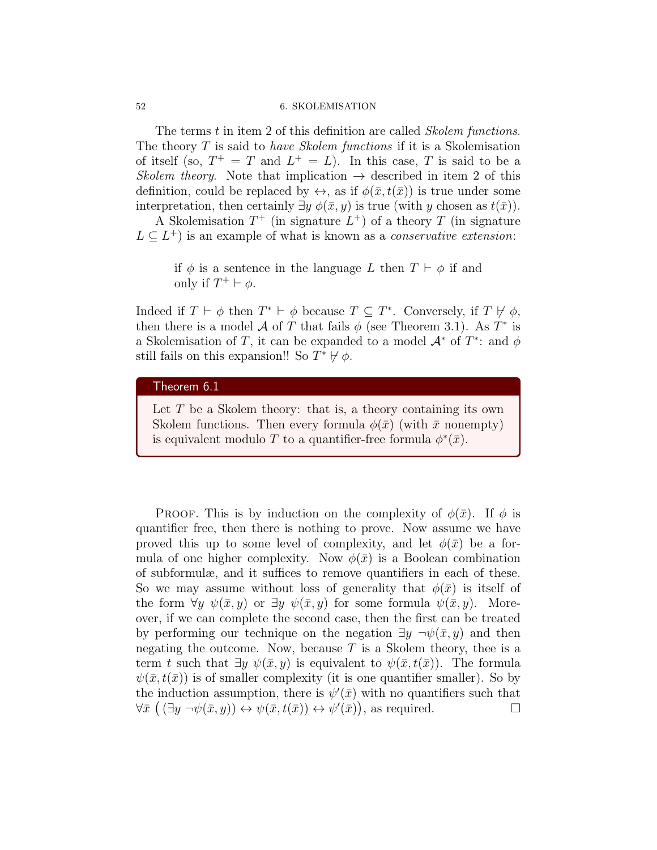#### 52 6. SKOLEMISATION

The terms t in item 2 of this definition are called *Skolem functions*. The theory  $T$  is said to *have Skolem functions* if it is a Skolemisation of itself (so,  $T^+ = T$  and  $L^+ = L$ ). In this case, T is said to be a Skolem theory. Note that implication  $\rightarrow$  described in item 2 of this definition, could be replaced by  $\leftrightarrow$ , as if  $\phi(\bar{x}, t(\bar{x}))$  is true under some interpretation, then certainly  $\exists y \phi(\bar{x}, y)$  is true (with y chosen as  $t(\bar{x})$ ).

A Skolemisation  $T^+$  (in signature  $L^+$ ) of a theory T (in signature  $L \subseteq L^+$ ) is an example of what is known as a *conservative extension*:

if  $\phi$  is a sentence in the language L then  $T \vdash \phi$  if and only if  $T^+ \vdash \phi$ .

Indeed if  $T \vdash \phi$  then  $T^* \vdash \phi$  because  $T \subseteq T^*$ . Conversely, if  $T \not\models \phi$ , then there is a model A of T that fails  $\phi$  (see Theorem 3.1). As T<sup>\*</sup> is a Skolemisation of T, it can be expanded to a model  $\mathcal{A}^*$  of  $T^*$ : and  $\phi$ still fails on this expansion!! So  $T^* \not\vdash \phi$ .

#### Theorem 6.1

Let  $T$  be a Skolem theory: that is, a theory containing its own Skolem functions. Then every formula  $\phi(\bar{x})$  (with  $\bar{x}$  nonempty) is equivalent modulo T to a quantifier-free formula  $\phi^*(\bar{x})$ .

PROOF. This is by induction on the complexity of  $\phi(\bar{x})$ . If  $\phi$  is quantifier free, then there is nothing to prove. Now assume we have proved this up to some level of complexity, and let  $\phi(\bar{x})$  be a formula of one higher complexity. Now  $\phi(\bar{x})$  is a Boolean combination of subformulæ, and it suffices to remove quantifiers in each of these. So we may assume without loss of generality that  $\phi(\bar{x})$  is itself of the form  $\forall y \ \psi(\bar{x}, y)$  or  $\exists y \ \psi(\bar{x}, y)$  for some formula  $\psi(\bar{x}, y)$ . Moreover, if we can complete the second case, then the first can be treated by performing our technique on the negation  $\exists y \neg \psi(\bar{x}, y)$  and then negating the outcome. Now, because  $T$  is a Skolem theory, thee is a term t such that  $\exists y \psi(\bar{x}, y)$  is equivalent to  $\psi(\bar{x}, t(\bar{x}))$ . The formula  $\psi(\bar{x}, t(\bar{x}))$  is of smaller complexity (it is one quantifier smaller). So by the induction assumption, there is  $\psi'(\bar{x})$  with no quantifiers such that  $\forall \bar{x} \ ((\exists y \ \neg \psi(\bar{x}, y)) \leftrightarrow \psi(\bar{x}, t(\bar{x})) \leftrightarrow \psi'(\bar{x})),$  as required.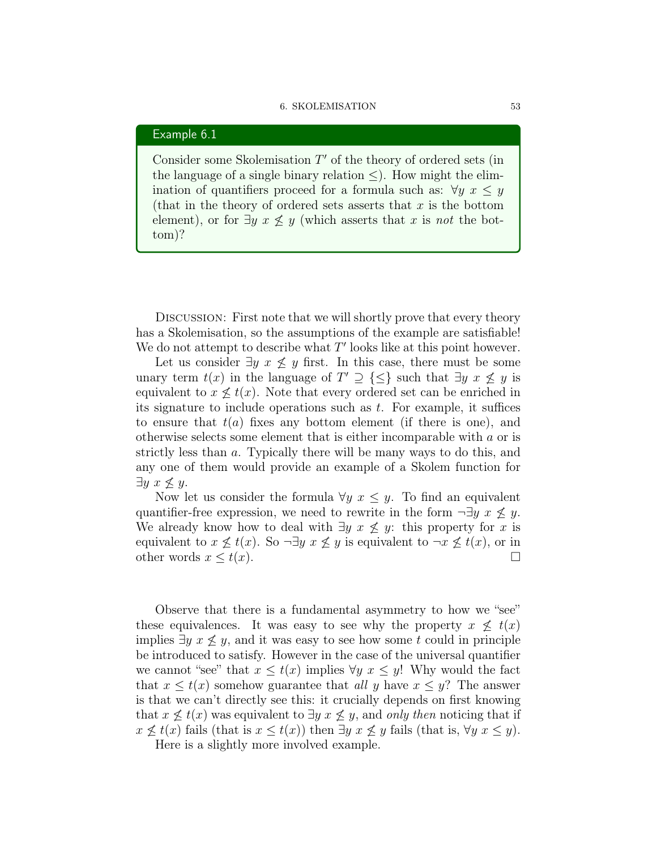#### 6. SKOLEMISATION 53

#### Example 6.1

Consider some Skolemisation  $T'$  of the theory of ordered sets (in the language of a single binary relation  $\leq$ ). How might the elimination of quantifiers proceed for a formula such as:  $\forall y \ x \leq y$ (that in the theory of ordered sets asserts that  $x$  is the bottom element), or for  $\exists y \ x \not\leq y$  (which asserts that x is not the bottom)?

Discussion: First note that we will shortly prove that every theory has a Skolemisation, so the assumptions of the example are satisfiable! We do not attempt to describe what  $T'$  looks like at this point however.

Let us consider  $\exists y \; x \not\leq y$  first. In this case, there must be some unary term  $t(x)$  in the language of  $T' \supseteq {\leq}$  such that  $\exists y \ x \not\leq y$  is equivalent to  $x \nleq t(x)$ . Note that every ordered set can be enriched in its signature to include operations such as  $t$ . For example, it suffices to ensure that  $t(a)$  fixes any bottom element (if there is one), and otherwise selects some element that is either incomparable with a or is strictly less than a. Typically there will be many ways to do this, and any one of them would provide an example of a Skolem function for  $\exists y \ x \nleq y.$ 

Now let us consider the formula  $\forall y \ x \leq y$ . To find an equivalent quantifier-free expression, we need to rewrite in the form  $\neg \exists y \ x \not\leq y$ . We already know how to deal with  $\exists y \ x \not\leq y$ : this property for x is equivalent to  $x \not\leq t(x)$ . So  $\neg \exists y \ x \not\leq y$  is equivalent to  $\neg x \not\leq t(x)$ , or in other words  $x \leq t(x)$ .

Observe that there is a fundamental asymmetry to how we "see" these equivalences. It was easy to see why the property  $x \not\leq t(x)$ implies  $\exists y \; x \not\leq y$ , and it was easy to see how some t could in principle be introduced to satisfy. However in the case of the universal quantifier we cannot "see" that  $x \leq t(x)$  implies  $\forall y \ x \leq y!$  Why would the fact that  $x \leq t(x)$  somehow guarantee that all y have  $x \leq y$ ? The answer is that we can't directly see this: it crucially depends on first knowing that  $x \nless t(x)$  was equivalent to  $\exists y \; x \nless y$ , and only then noticing that if  $x \nleq t(x)$  fails (that is  $x \leq t(x)$ ) then  $\exists y \ x \nleq y$  fails (that is,  $\forall y \ x \leq y$ ). Here is a slightly more involved example.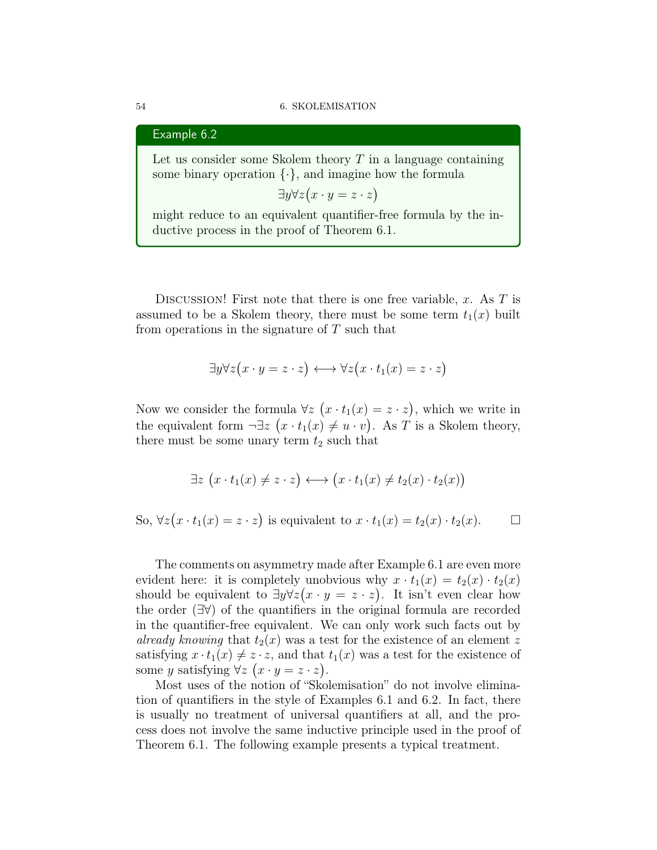#### 54 6. SKOLEMISATION

#### Example 6.2

Let us consider some Skolem theory  $T$  in a language containing some binary operation  $\{\cdot\}$ , and imagine how the formula

 $\exists y \forall z (x \cdot y = z \cdot z)$ 

might reduce to an equivalent quantifier-free formula by the inductive process in the proof of Theorem 6.1.

DISCUSSION! First note that there is one free variable,  $x$ . As  $T$  is assumed to be a Skolem theory, there must be some term  $t_1(x)$  built from operations in the signature of  $T$  such that

$$
\exists y \forall z (x \cdot y = z \cdot z) \longleftrightarrow \forall z (x \cdot t_1(x) = z \cdot z)
$$

Now we consider the formula  $\forall z \ (x \cdot t_1(x) = z \cdot z)$ , which we write in the equivalent form  $\neg \exists z \ (x \cdot t_1(x) \neq u \cdot v)$ . As T is a Skolem theory, there must be some unary term  $t_2$  such that

$$
\exists z \ (x \cdot t_1(x) \neq z \cdot z) \longleftrightarrow (x \cdot t_1(x) \neq t_2(x) \cdot t_2(x))
$$

So,  $\forall z (x \cdot t_1(x) = z \cdot z)$  is equivalent to  $x \cdot t_1(x) = t_2(x) \cdot t_2(x)$ .  $\Box$ 

The comments on asymmetry made after Example 6.1 are even more evident here: it is completely unobvious why  $x \cdot t_1(x) = t_2(x) \cdot t_2(x)$ should be equivalent to  $\exists y \forall z (x \cdot y = z \cdot z)$ . It isn't even clear how the order (∃∀) of the quantifiers in the original formula are recorded in the quantifier-free equivalent. We can only work such facts out by already knowing that  $t_2(x)$  was a test for the existence of an element z satisfying  $x \cdot t_1(x) \neq z \cdot z$ , and that  $t_1(x)$  was a test for the existence of some y satisfying  $\forall z \ (x \cdot y = z \cdot z).$ 

Most uses of the notion of "Skolemisation" do not involve elimination of quantifiers in the style of Examples 6.1 and 6.2. In fact, there is usually no treatment of universal quantifiers at all, and the process does not involve the same inductive principle used in the proof of Theorem 6.1. The following example presents a typical treatment.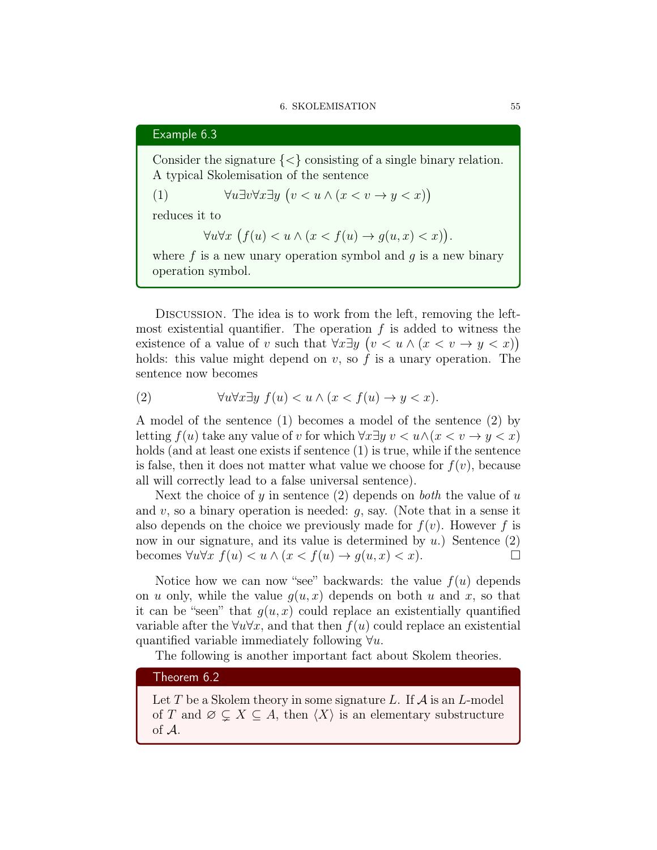## Example 6.3

Consider the signature  $\{<\}$  consisting of a single binary relation. A typical Skolemisation of the sentence

(1) 
$$
\forall u \exists v \forall x \exists y \ (v < u \land (x < v \rightarrow y < x))
$$

reduces it to

$$
\forall u \forall x \ (f(u) < u \land (x < f(u) \to g(u, x) < x)).
$$

where  $f$  is a new unary operation symbol and  $g$  is a new binary operation symbol.

Discussion. The idea is to work from the left, removing the leftmost existential quantifier. The operation  $f$  is added to witness the existence of a value of v such that  $\forall x \exists y \ (v \leq u \land (x \leq v \rightarrow y \leq x))$ holds: this value might depend on  $v$ , so  $f$  is a unary operation. The sentence now becomes

(2) 
$$
\forall u \forall x \exists y \ f(u) < u \land (x < f(u) \to y < x).
$$

A model of the sentence (1) becomes a model of the sentence (2) by letting  $f(u)$  take any value of v for which  $\forall x \exists y \; v \leq u \land (x \leq v \rightarrow y \leq x)$ holds (and at least one exists if sentence (1) is true, while if the sentence is false, then it does not matter what value we choose for  $f(v)$ , because all will correctly lead to a false universal sentence).

Next the choice of y in sentence  $(2)$  depends on both the value of u and v, so a binary operation is needed:  $q$ , say. (Note that in a sense it also depends on the choice we previously made for  $f(v)$ . However f is now in our signature, and its value is determined by  $u$ .) Sentence  $(2)$ becomes  $\forall u \forall x \ f(u) < u \land (x < f(u) \rightarrow g(u, x) < x).$ 

Notice how we can now "see" backwards: the value  $f(u)$  depends on u only, while the value  $g(u, x)$  depends on both u and x, so that it can be "seen" that  $g(u, x)$  could replace an existentially quantified variable after the  $\forall u \forall x$ , and that then  $f(u)$  could replace an existential quantified variable immediately following  $\forall u$ .

The following is another important fact about Skolem theories.

#### Theorem 6.2

Let T be a Skolem theory in some signature L. If  $\mathcal A$  is an L-model of T and  $\emptyset \subset X \subset A$ , then  $\langle X \rangle$  is an elementary substructure of A.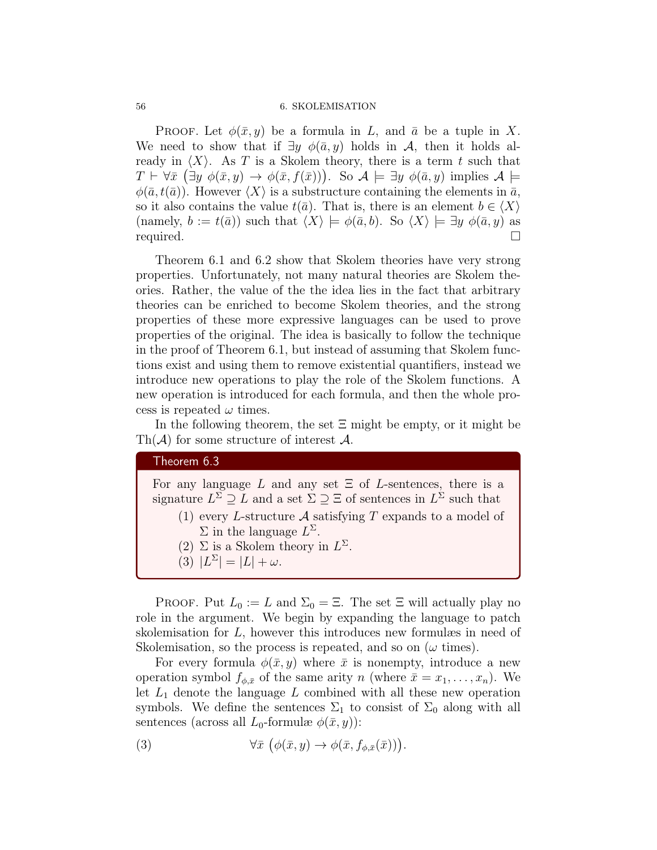#### 56 6. SKOLEMISATION

PROOF. Let  $\phi(\bar{x}, y)$  be a formula in L, and  $\bar{a}$  be a tuple in X. We need to show that if  $\exists y \phi(\bar{a}, y)$  holds in A, then it holds already in  $\langle X \rangle$ . As T is a Skolem theory, there is a term t such that  $T \vdash \forall \bar{x} \ (\exists y \ \phi(\bar{x}, y) \rightarrow \phi(\bar{x}, f(\bar{x})))$ . So  $\mathcal{A} \models \exists y \ \phi(\bar{a}, y)$  implies  $\mathcal{A} \models$  $\phi(\bar{a}, t(\bar{a}))$ . However  $\langle X \rangle$  is a substructure containing the elements in  $\bar{a}$ , so it also contains the value  $t(\bar{a})$ . That is, there is an element  $b \in \langle X \rangle$ (namely,  $b := t(\bar{a})$ ) such that  $\langle X \rangle \models \phi(\bar{a}, b)$ . So  $\langle X \rangle \models \exists y \phi(\bar{a}, y)$  as required.

Theorem 6.1 and 6.2 show that Skolem theories have very strong properties. Unfortunately, not many natural theories are Skolem theories. Rather, the value of the the idea lies in the fact that arbitrary theories can be enriched to become Skolem theories, and the strong properties of these more expressive languages can be used to prove properties of the original. The idea is basically to follow the technique in the proof of Theorem 6.1, but instead of assuming that Skolem functions exist and using them to remove existential quantifiers, instead we introduce new operations to play the role of the Skolem functions. A new operation is introduced for each formula, and then the whole process is repeated  $\omega$  times.

In the following theorem, the set  $\Xi$  might be empty, or it might be  $\text{Th}(\mathcal{A})$  for some structure of interest  $\mathcal{A}$ .

## Theorem 6.3

For any language L and any set  $\Xi$  of L-sentences, there is a signature  $L^{\Sigma} \supseteq L$  and a set  $\Sigma \supseteq \Xi$  of sentences in  $L^{\Sigma}$  such that

- (1) every L-structure  $A$  satisfying T expands to a model of  $\Sigma$  in the language  $L^{\Sigma}$ .
- (2)  $\Sigma$  is a Skolem theory in  $L^{\Sigma}$ .
- (3)  $|L^{\Sigma}| = |L| + \omega$ .

PROOF. Put  $L_0 := L$  and  $\Sigma_0 = \Xi$ . The set  $\Xi$  will actually play no role in the argument. We begin by expanding the language to patch skolemisation for L, however this introduces new formulæs in need of Skolemisation, so the process is repeated, and so on  $(\omega \text{ times})$ .

For every formula  $\phi(\bar{x}, y)$  where  $\bar{x}$  is nonempty, introduce a new operation symbol  $f_{\phi,\bar{x}}$  of the same arity n (where  $\bar{x} = x_1, \ldots, x_n$ ). We let  $L_1$  denote the language  $L$  combined with all these new operation symbols. We define the sentences  $\Sigma_1$  to consist of  $\Sigma_0$  along with all sentences (across all  $L_0$ -formulæ  $\phi(\bar{x}, y)$ ):

(3) 
$$
\forall \bar{x} \ (\phi(\bar{x}, y) \to \phi(\bar{x}, f_{\phi, \bar{x}}(\bar{x}))).
$$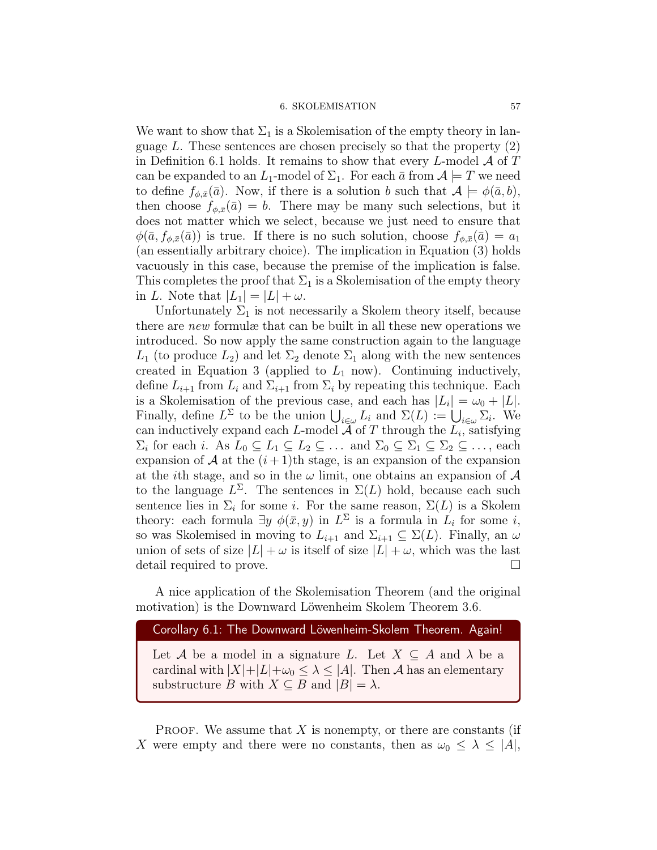#### 6. SKOLEMISATION 57

We want to show that  $\Sigma_1$  is a Skolemisation of the empty theory in language  $L$ . These sentences are chosen precisely so that the property  $(2)$ in Definition 6.1 holds. It remains to show that every L-model  $\mathcal A$  of T can be expanded to an  $L_1$ -model of  $\Sigma_1$ . For each  $\bar{a}$  from  $\mathcal{A} \models T$  we need to define  $f_{\phi,\bar{x}}(\bar{a})$ . Now, if there is a solution b such that  $\mathcal{A} \models \phi(\bar{a},b)$ , then choose  $f_{\phi,\bar{x}}(\bar{a}) = b$ . There may be many such selections, but it does not matter which we select, because we just need to ensure that  $\phi(\bar{a}, f_{\phi,\bar{x}}(\bar{a}))$  is true. If there is no such solution, choose  $f_{\phi,\bar{x}}(\bar{a}) = a_1$ (an essentially arbitrary choice). The implication in Equation (3) holds vacuously in this case, because the premise of the implication is false. This completes the proof that  $\Sigma_1$  is a Skolemisation of the empty theory in L. Note that  $|L_1| = |L| + \omega$ .

Unfortunately  $\Sigma_1$  is not necessarily a Skolem theory itself, because there are new formulæ that can be built in all these new operations we introduced. So now apply the same construction again to the language  $L_1$  (to produce  $L_2$ ) and let  $\Sigma_2$  denote  $\Sigma_1$  along with the new sentences created in Equation 3 (applied to  $L_1$  now). Continuing inductively, define  $L_{i+1}$  from  $L_i$  and  $\Sigma_{i+1}$  from  $\Sigma_i$  by repeating this technique. Each is a Skolemisation of the previous case, and each has  $|L_i| = \omega_0 + |L|$ . Finally, define  $L^{\Sigma}$  to be the union  $\bigcup_{i\in\omega}L_i$  and  $\Sigma(L):=\bigcup_{i\in\omega}\Sigma_i$ . We can inductively expand each L-model  $A$  of T through the  $L_i$ , satisfying  $\Sigma_i$  for each *i*. As  $L_0 \subseteq L_1 \subseteq L_2 \subseteq \ldots$  and  $\Sigma_0 \subseteq \Sigma_1 \subseteq \Sigma_2 \subseteq \ldots$ , each expansion of A at the  $(i+1)$ th stage, is an expansion of the expansion at the *i*th stage, and so in the  $\omega$  limit, one obtains an expansion of  $\mathcal A$ to the language  $L^{\Sigma}$ . The sentences in  $\Sigma(L)$  hold, because each such sentence lies in  $\Sigma_i$  for some *i*. For the same reason,  $\Sigma(L)$  is a Skolem theory: each formula  $\exists y \phi(\bar{x}, y)$  in  $L^{\Sigma}$  is a formula in  $L_i$  for some i, so was Skolemised in moving to  $L_{i+1}$  and  $\Sigma_{i+1} \subseteq \Sigma(L)$ . Finally, an  $\omega$ union of sets of size  $|L| + \omega$  is itself of size  $|L| + \omega$ , which was the last detail required to prove.

A nice application of the Skolemisation Theorem (and the original motivation) is the Downward Löwenheim Skolem Theorem 3.6.

## Corollary 6.1: The Downward Löwenheim-Skolem Theorem. Again!

Let A be a model in a signature L. Let  $X \subseteq A$  and  $\lambda$  be a cardinal with  $|X|+|L|+\omega_0 \leq \lambda \leq |A|$ . Then A has an elementary substructure B with  $X \subseteq B$  and  $|B| = \lambda$ .

PROOF. We assume that  $X$  is nonempty, or there are constants (if X were empty and there were no constants, then as  $\omega_0 \leq \lambda \leq |A|$ ,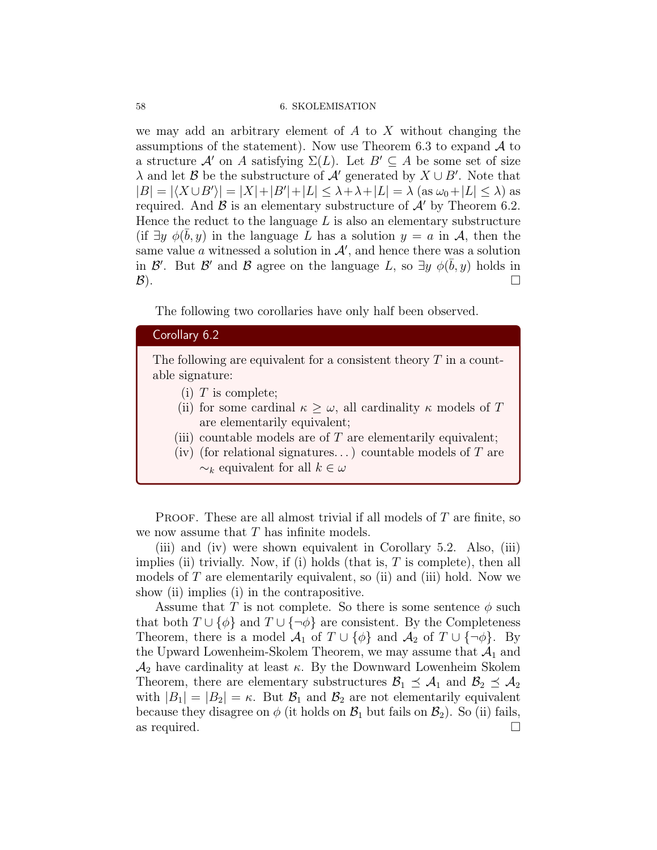#### 58 6. SKOLEMISATION

we may add an arbitrary element of  $A$  to  $X$  without changing the assumptions of the statement). Now use Theorem 6.3 to expand  $A$  to a structure A' on A satisfying  $\Sigma(L)$ . Let  $B' \subseteq A$  be some set of size  $\lambda$  and let B be the substructure of  $\mathcal{A}'$  generated by  $X \cup B'$ . Note that  $|B| = |\langle X \cup B' \rangle| = |X| + |B'| + |L| \leq \lambda + \lambda + |L| = \lambda \text{ (as } \omega_0 + |L| \leq \lambda \text{) as }$ required. And  $\beta$  is an elementary substructure of  $\mathcal{A}'$  by Theorem 6.2. Hence the reduct to the language  $L$  is also an elementary substructure (if  $\exists y \phi(\bar{b}, y)$  in the language  $\bar{L}$  has a solution  $y = a$  in A, then the same value a witnessed a solution in  $A'$ , and hence there was a solution in  $\mathcal{B}'$ . But  $\mathcal{B}'$  and  $\mathcal{B}$  agree on the language L, so  $\exists y \phi(\bar{b}, y)$  holds in  $\mathcal{B}$ ).

The following two corollaries have only half been observed.

## Corollary 6.2

The following are equivalent for a consistent theory  $T$  in a countable signature:

- (i)  $T$  is complete;
- (ii) for some cardinal  $\kappa \geq \omega$ , all cardinality  $\kappa$  models of T are elementarily equivalent;
- (iii) countable models are of  $T$  are elementarily equivalent;
- (iv) (for relational signatures...) countable models of  $T$  are  $\sim_k$  equivalent for all  $k \in \omega$

**PROOF.** These are all almost trivial if all models of  $T$  are finite, so we now assume that T has infinite models.

(iii) and (iv) were shown equivalent in Corollary 5.2. Also, (iii) implies (ii) trivially. Now, if (i) holds (that is,  $T$  is complete), then all models of  $T$  are elementarily equivalent, so (ii) and (iii) hold. Now we show (ii) implies (i) in the contrapositive.

Assume that T is not complete. So there is some sentence  $\phi$  such that both  $T \cup {\phi}$  and  $T \cup {\neg \phi}$  are consistent. By the Completeness Theorem, there is a model  $\mathcal{A}_1$  of  $T \cup \{\phi\}$  and  $\mathcal{A}_2$  of  $T \cup \{\neg \phi\}$ . By the Upward Lowenheim-Skolem Theorem, we may assume that  $\mathcal{A}_1$  and  $\mathcal{A}_2$  have cardinality at least  $\kappa$ . By the Downward Lowenheim Skolem Theorem, there are elementary substructures  $\mathcal{B}_1 \preceq \mathcal{A}_1$  and  $\mathcal{B}_2 \preceq \mathcal{A}_2$ with  $|B_1| = |B_2| = \kappa$ . But  $B_1$  and  $B_2$  are not elementarily equivalent because they disagree on  $\phi$  (it holds on  $\mathcal{B}_1$  but fails on  $\mathcal{B}_2$ ). So (ii) fails, as required.  $\Box$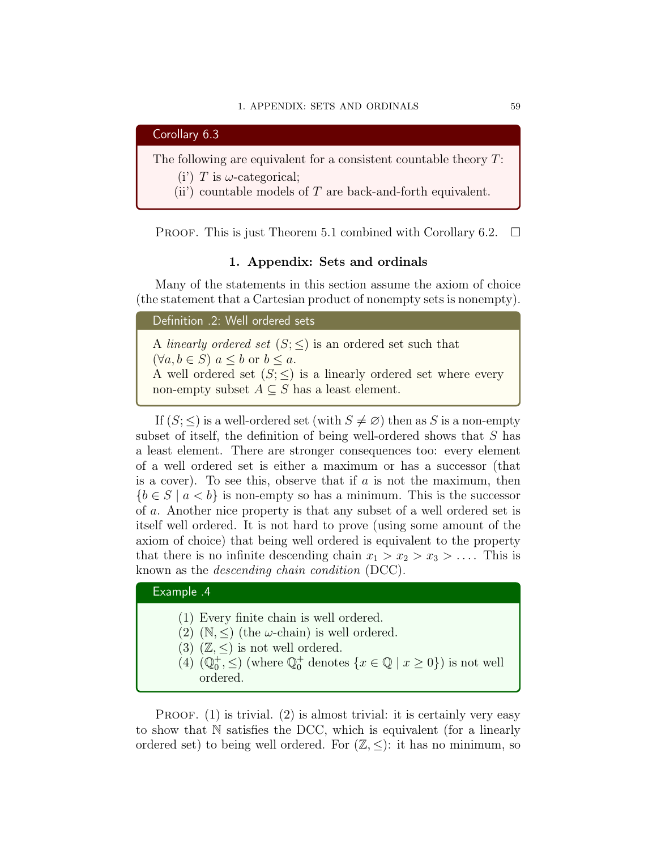

The following are equivalent for a consistent countable theory  $T$ :

(i') T is  $\omega$ -categorical;

(ii) countable models of T are back-and-forth equivalent.

PROOF. This is just Theorem 5.1 combined with Corollary 6.2.  $\Box$ 

#### 1. Appendix: Sets and ordinals

Many of the statements in this section assume the axiom of choice (the statement that a Cartesian product of nonempty sets is nonempty).

Definition .2: Well ordered sets

A linearly ordered set  $(S; \leq)$  is an ordered set such that  $(\forall a, b \in S) \ a \leq b \text{ or } b \leq a.$ A well ordered set  $(S; \leq)$  is a linearly ordered set where every non-empty subset  $A \subseteq S$  has a least element.

If  $(S; \leq)$  is a well-ordered set (with  $S \neq \emptyset$ ) then as S is a non-empty subset of itself, the definition of being well-ordered shows that S has a least element. There are stronger consequences too: every element of a well ordered set is either a maximum or has a successor (that is a cover). To see this, observe that if  $a$  is not the maximum, then  ${b \in S \mid a < b}$  is non-empty so has a minimum. This is the successor of a. Another nice property is that any subset of a well ordered set is itself well ordered. It is not hard to prove (using some amount of the axiom of choice) that being well ordered is equivalent to the property that there is no infinite descending chain  $x_1 > x_2 > x_3 > \ldots$ . This is known as the descending chain condition (DCC).

## Example .4

- (1) Every finite chain is well ordered.
- (2)  $(N, \leq)$  (the  $\omega$ -chain) is well ordered.
- (3)  $(\mathbb{Z}, \leq)$  is not well ordered.
- (4)  $(\mathbb{Q}_0^+, \le)$  (where  $\mathbb{Q}_0^+$  denotes  $\{x \in \mathbb{Q} \mid x \ge 0\}$ ) is not well ordered.

PROOF.  $(1)$  is trivial.  $(2)$  is almost trivial: it is certainly very easy to show that N satisfies the DCC, which is equivalent (for a linearly ordered set) to being well ordered. For  $(\mathbb{Z}, \leq)$ : it has no minimum, so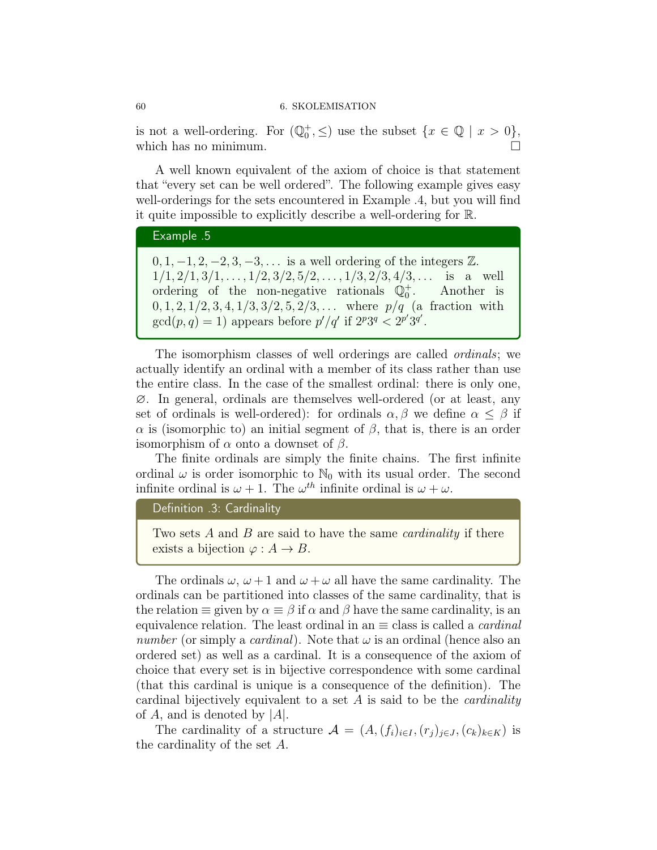is not a well-ordering. For  $(\mathbb{Q}_0^+, \leq)$  use the subset  $\{x \in \mathbb{Q} \mid x > 0\},\$ which has no minimum.  $\square$ 

A well known equivalent of the axiom of choice is that statement that "every set can be well ordered". The following example gives easy well-orderings for the sets encountered in Example .4, but you will find it quite impossible to explicitly describe a well-ordering for R.

## Example .5

 $0, 1, -1, 2, -2, 3, -3, \ldots$  is a well ordering of the integers  $\mathbb{Z}$ .  $1/1, 2/1, 3/1, \ldots, 1/2, 3/2, 5/2, \ldots, 1/3, 2/3, 4/3, \ldots$  is a well ordering of the non-negative rationals  $\mathbb{Q}^+_0$ . Another is  $0, 1, 2, 1/2, 3, 4, 1/3, 3/2, 5, 2/3, \ldots$  where  $p/q$  (a fraction with  $gcd(p, q) = 1)$  appears before  $p'/q'$  if  $2^p 3^q < 2^{p'} 3^{q'}$ .

The isomorphism classes of well orderings are called ordinals; we actually identify an ordinal with a member of its class rather than use the entire class. In the case of the smallest ordinal: there is only one, ∅. In general, ordinals are themselves well-ordered (or at least, any set of ordinals is well-ordered): for ordinals  $\alpha, \beta$  we define  $\alpha \leq \beta$  if  $\alpha$  is (isomorphic to) an initial segment of  $\beta$ , that is, there is an order isomorphism of  $\alpha$  onto a downset of  $\beta$ .

The finite ordinals are simply the finite chains. The first infinite ordinal  $\omega$  is order isomorphic to  $\mathbb{N}_0$  with its usual order. The second infinite ordinal is  $\omega + 1$ . The  $\omega^{th}$  infinite ordinal is  $\omega + \omega$ .

```
Definition .3: Cardinality
```
Two sets  $A$  and  $B$  are said to have the same *cardinality* if there exists a bijection  $\varphi : A \to B$ .

The ordinals  $\omega, \omega + 1$  and  $\omega + \omega$  all have the same cardinality. The ordinals can be partitioned into classes of the same cardinality, that is the relation  $\equiv$  given by  $\alpha \equiv \beta$  if  $\alpha$  and  $\beta$  have the same cardinality, is an equivalence relation. The least ordinal in an  $\equiv$  class is called a *cardinal* number (or simply a *cardinal*). Note that  $\omega$  is an ordinal (hence also an ordered set) as well as a cardinal. It is a consequence of the axiom of choice that every set is in bijective correspondence with some cardinal (that this cardinal is unique is a consequence of the definition). The cardinal bijectively equivalent to a set  $A$  is said to be the *cardinality* of A, and is denoted by  $|A|$ .

The cardinality of a structure  $\mathcal{A} = (A,(f_i)_{i\in I},(r_i)_{i\in J},(c_k)_{k\in K})$  is the cardinality of the set A.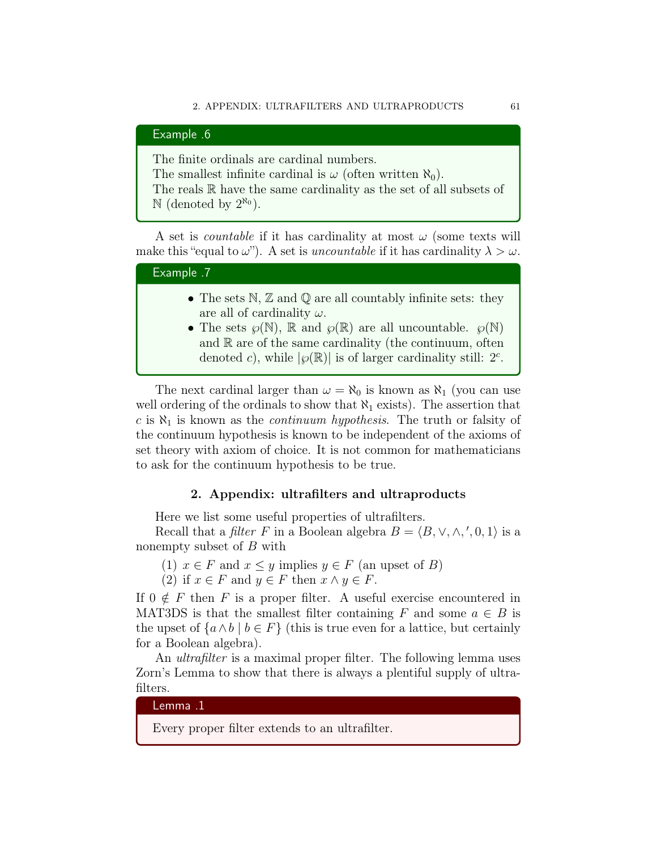Example .6 The finite ordinals are cardinal numbers. The smallest infinite cardinal is  $\omega$  (often written  $\aleph_0$ ). The reals  $\mathbb R$  have the same cardinality as the set of all subsets of

 $\mathbb{N}$  (denoted by  $2^{\aleph_0}$ ).

A set is *countable* if it has cardinality at most  $\omega$  (some texts will make this "equal to  $\omega$ "). A set is uncountable if it has cardinality  $\lambda > \omega$ .

## Example .7

- The sets  $\mathbb{N}, \mathbb{Z}$  and  $\mathbb{Q}$  are all countably infinite sets: they are all of cardinality  $\omega$ .
- The sets  $\wp(\mathbb{N})$ ,  $\mathbb R$  and  $\wp(\mathbb R)$  are all uncountable.  $\wp(\mathbb{N})$ and  $\mathbb R$  are of the same cardinality (the continuum, often denoted c), while  $|\wp(\mathbb{R})|$  is of larger cardinality still:  $2^c$ .

The next cardinal larger than  $\omega = \aleph_0$  is known as  $\aleph_1$  (you can use well ordering of the ordinals to show that  $\aleph_1$  exists). The assertion that c is  $\aleph_1$  is known as the *continuum hypothesis*. The truth or falsity of the continuum hypothesis is known to be independent of the axioms of set theory with axiom of choice. It is not common for mathematicians to ask for the continuum hypothesis to be true.

## 2. Appendix: ultrafilters and ultraproducts

Here we list some useful properties of ultrafilters.

Recall that a *filter* F in a Boolean algebra  $B = \langle B, \vee, \wedge, ', 0, 1 \rangle$  is a nonempty subset of B with

(1)  $x \in F$  and  $x \leq y$  implies  $y \in F$  (an upset of B)

(2) if  $x \in F$  and  $y \in F$  then  $x \wedge y \in F$ .

If  $0 \notin F$  then F is a proper filter. A useful exercise encountered in MAT3DS is that the smallest filter containing F and some  $a \in B$  is the upset of  ${a \wedge b \mid b \in F}$  (this is true even for a lattice, but certainly for a Boolean algebra).

An *ultrafilter* is a maximal proper filter. The following lemma uses Zorn's Lemma to show that there is always a plentiful supply of ultrafilters.

Lemma .1

Every proper filter extends to an ultrafilter.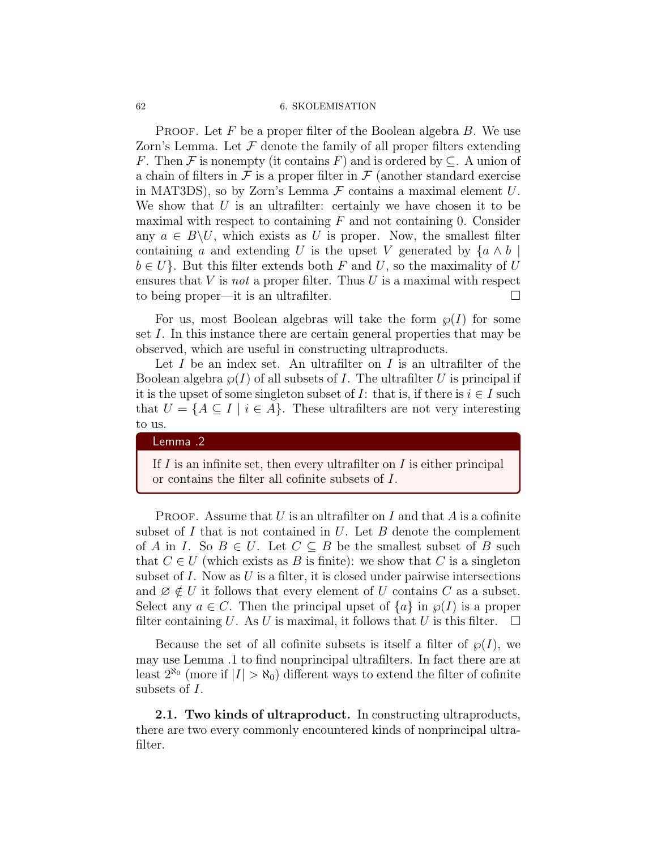#### 62 6. SKOLEMISATION

**PROOF.** Let F be a proper filter of the Boolean algebra  $B$ . We use Zorn's Lemma. Let  $\mathcal F$  denote the family of all proper filters extending F. Then F is nonempty (it contains F) and is ordered by  $\subseteq$ . A union of a chain of filters in  $\mathcal F$  is a proper filter in  $\mathcal F$  (another standard exercise in MAT3DS), so by Zorn's Lemma  $\mathcal F$  contains a maximal element  $U$ . We show that  $U$  is an ultrafilter: certainly we have chosen it to be maximal with respect to containing  $F$  and not containing 0. Consider any  $a \in B \backslash U$ , which exists as U is proper. Now, the smallest filter containing a and extending U is the upset V generated by  $\{a \wedge b\}$  $b \in U$ . But this filter extends both F and U, so the maximality of U ensures that  $V$  is *not* a proper filter. Thus  $U$  is a maximal with respect to being proper—it is an ultrafilter. □

For us, most Boolean algebras will take the form  $\wp(I)$  for some set I. In this instance there are certain general properties that may be observed, which are useful in constructing ultraproducts.

Let  $I$  be an index set. An ultrafilter on  $I$  is an ultrafilter of the Boolean algebra  $\wp(I)$  of all subsets of I. The ultrafilter U is principal if it is the upset of some singleton subset of I: that is, if there is  $i \in I$  such that  $U = \{A \subseteq I \mid i \in A\}$ . These ultrafilters are not very interesting to us.

#### Lemma .2

If  $I$  is an infinite set, then every ultrafilter on  $I$  is either principal or contains the filter all cofinite subsets of I.

**PROOF.** Assume that U is an ultrafilter on I and that A is a cofinite subset of  $I$  that is not contained in  $U$ . Let  $B$  denote the complement of A in I. So  $B \in U$ . Let  $C \subseteq B$  be the smallest subset of B such that  $C \in U$  (which exists as B is finite): we show that C is a singleton subset of  $I$ . Now as  $U$  is a filter, it is closed under pairwise intersections and  $\emptyset \notin U$  it follows that every element of U contains C as a subset. Select any  $a \in C$ . Then the principal upset of  $\{a\}$  in  $\wp(I)$  is a proper filter containing U. As U is maximal, it follows that U is this filter.  $\Box$ 

Because the set of all cofinite subsets is itself a filter of  $\wp(I)$ , we may use Lemma .1 to find nonprincipal ultrafilters. In fact there are at least  $2^{\aleph_0}$  (more if  $|I| > \aleph_0$ ) different ways to extend the filter of cofinite subsets of I.

2.1. Two kinds of ultraproduct. In constructing ultraproducts, there are two every commonly encountered kinds of nonprincipal ultrafilter.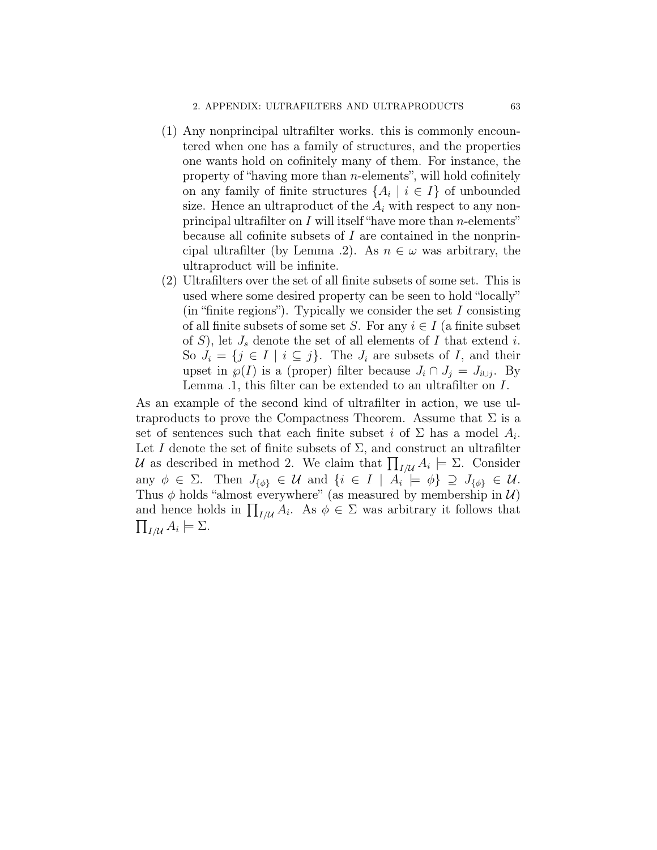- (1) Any nonprincipal ultrafilter works. this is commonly encountered when one has a family of structures, and the properties one wants hold on cofinitely many of them. For instance, the property of "having more than  $n$ -elements", will hold cofinitely on any family of finite structures  $\{A_i \mid i \in I\}$  of unbounded size. Hence an ultraproduct of the  $A_i$  with respect to any nonprincipal ultrafilter on  $I$  will itself "have more than  $n$ -elements" because all cofinite subsets of I are contained in the nonprincipal ultrafilter (by Lemma .2). As  $n \in \omega$  was arbitrary, the ultraproduct will be infinite.
- (2) Ultrafilters over the set of all finite subsets of some set. This is used where some desired property can be seen to hold "locally"  $(in "finite regions").$  Typically we consider the set I consisting of all finite subsets of some set S. For any  $i \in I$  (a finite subset of S), let  $J_s$  denote the set of all elements of I that extend i. So  $J_i = \{j \in I \mid i \subseteq j\}$ . The  $J_i$  are subsets of I, and their upset in  $\wp(I)$  is a (proper) filter because  $J_i \cap J_j = J_{i \cup j}$ . By Lemma .1, this filter can be extended to an ultrafilter on I.

As an example of the second kind of ultrafilter in action, we use ultraproducts to prove the Compactness Theorem. Assume that  $\Sigma$  is a set of sentences such that each finite subset i of  $\Sigma$  has a model  $A_i$ . Let I denote the set of finite subsets of  $\Sigma$ , and construct an ultrafilter U as described in method 2. We claim that  $\prod_{I/\mathcal{U}} A_i \models \Sigma$ . Consider any  $\phi \in \Sigma$ . Then  $J_{\{\phi\}} \in \mathcal{U}$  and  $\{i \in I \mid A_i \models \phi\} \supseteq J_{\{\phi\}} \in \mathcal{U}$ . Thus  $\phi$  holds "almost everywhere" (as measured by membership in  $\mathcal{U}$ ) and hence holds in  $\prod_{I/\mathcal{U}} A_i$ . As  $\phi \in \Sigma$  was arbitrary it follows that  $\prod_{I/\mathcal{U}} A_i \models \Sigma.$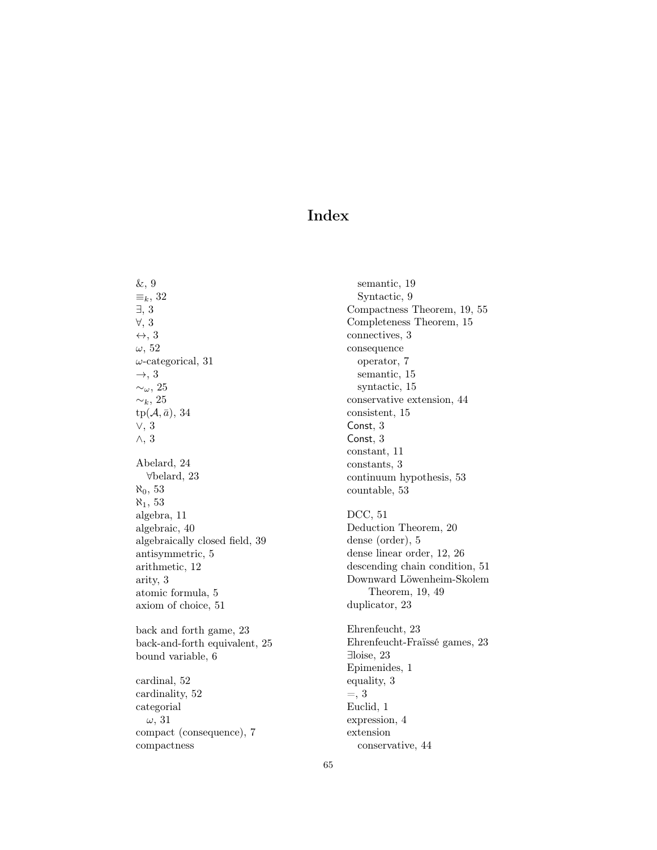## Index

&, 9  $\equiv_k$ , 32 ∃, 3 ∀, 3 ↔, 3  $\omega$ , 52  $\omega$ -categorical, 31  $\rightarrow$ , 3 ∼ω, 25  $∼_k$ , 25  $tp(\mathcal{A}, \bar{a}), 34$ ∨, 3 ∧, 3 Abelard, 24 ∀belard, 23  $\aleph_0$ , 53  $\aleph_1$ , 53 algebra, 11 algebraic, 40 algebraically closed field, 39 antisymmetric, 5 arithmetic, 12 arity, 3 atomic formula, 5 axiom of choice, 51 back and forth game, 23 back-and-forth equivalent, 25 bound variable, 6 cardinal, 52 cardinality, 52 categorial  $\omega$ , 31 compact (consequence), 7 compactness

semantic, 19 Syntactic, 9 Compactness Theorem, 19, 55 Completeness Theorem, 15 connectives, 3 consequence operator, 7 semantic, 15 syntactic, 15 conservative extension, 44 consistent, 15 Const, 3 Const, 3 constant, 11 constants, 3 continuum hypothesis, 53 countable, 53 DCC, 51 Deduction Theorem, 20 dense (order), 5 dense linear order, 12, 26 descending chain condition, 51 Downward Löwenheim-Skolem Theorem, 19, 49 duplicator, 23 Ehrenfeucht, 23 Ehrenfeucht-Fraïssé games, 23 ∃loise, 23 Epimenides, 1 equality, 3  $=$ , 3 Euclid, 1 expression, 4 extension conservative, 44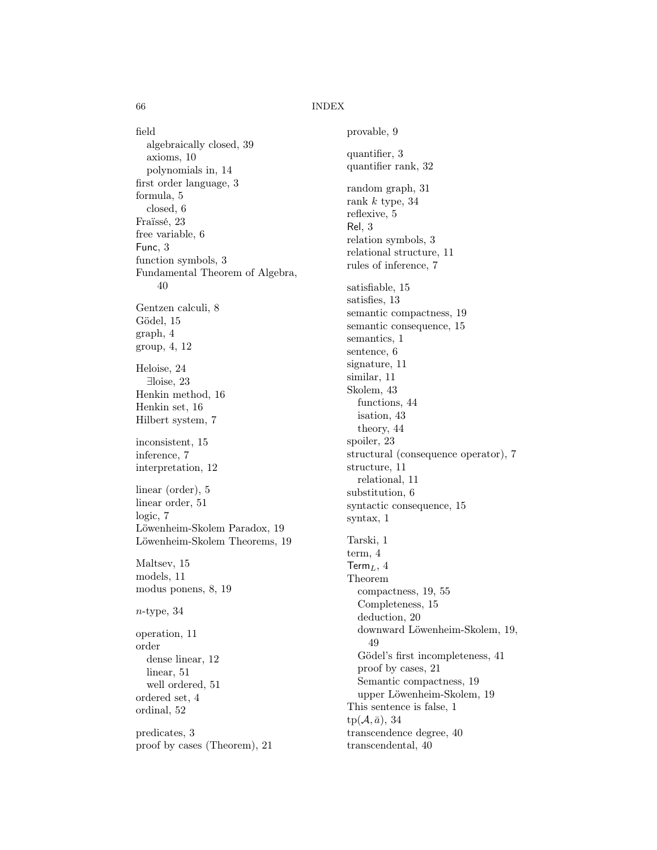66 INDEX

field algebraically closed, 39 axioms, 10 polynomials in, 14 first order language, 3 formula, 5 closed, 6 Fraïssé, 23 free variable, 6 Func, 3 function symbols, 3 Fundamental Theorem of Algebra, 40 Gentzen calculi, 8 Gödel, 15 graph, 4 group, 4, 12 Heloise, 24 ∃loise, 23 Henkin method, 16 Henkin set, 16 Hilbert system, 7 inconsistent, 15 inference, 7 interpretation, 12 linear (order), 5 linear order, 51 logic, 7 Löwenheim-Skolem Paradox, 19 Löwenheim-Skolem Theorems, 19 Maltsev, 15 models, 11 modus ponens, 8, 19  $n$ -type, 34 operation, 11 order dense linear, 12 linear, 51 well ordered, 51 ordered set, 4 ordinal, 52 predicates, 3 proof by cases (Theorem), 21

provable, 9 quantifier, 3 quantifier rank, 32 random graph, 31 rank  $k$  type, 34 reflexive, 5 Rel, 3 relation symbols, 3 relational structure, 11 rules of inference, 7 satisfiable, 15 satisfies, 13 semantic compactness, 19 semantic consequence, 15 semantics, 1 sentence, 6 signature, 11 similar, 11 Skolem, 43 functions, 44 isation, 43 theory, 44 spoiler, 23 structural (consequence operator), 7 structure, 11 relational, 11 substitution, 6 syntactic consequence, 15 syntax, 1 Tarski, 1 term, 4 Term $_L$ , 4 Theorem compactness, 19, 55 Completeness, 15 deduction, 20 downward Löwenheim-Skolem, 19, 49 Gödel's first incompleteness, 41 proof by cases, 21 Semantic compactness, 19 upper Löwenheim-Skolem, 19 This sentence is false, 1  $tp(\mathcal{A}, \bar{a}), 34$ transcendence degree, 40 transcendental, 40